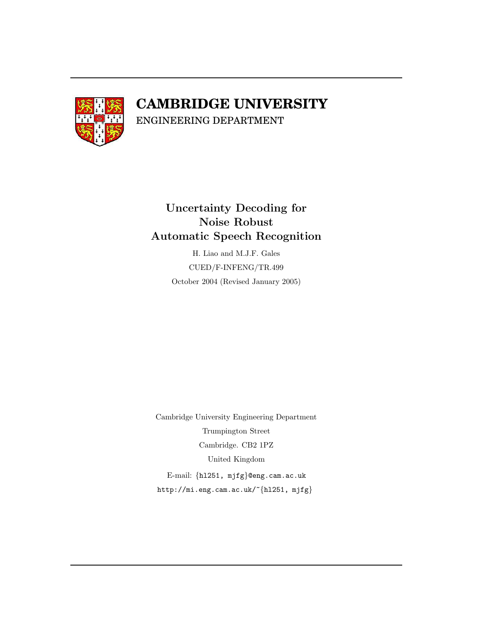

## **CAMBRIDGE UNIVERSITY**

ENGINEERING DEPARTMENT

### Uncertainty Decoding for Noise Robust Automatic Speech Recognition

H. Liao and M.J.F. Gales CUED/F-INFENG/TR.499 October 2004 (Revised January 2005)

Cambridge University Engineering Department Trumpington Street Cambridge. CB2 1PZ United Kingdom E-mail: {hl251, mjfg}@eng.cam.ac.uk http://mi.eng.cam.ac.uk/~{hl251, mjfg}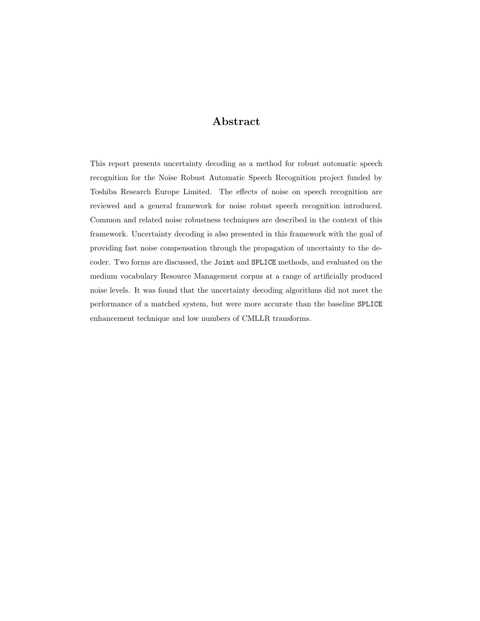#### Abstract

This report presents uncertainty decoding as a method for robust automatic speech recognition for the Noise Robust Automatic Speech Recognition project funded by Toshiba Research Europe Limited. The effects of noise on speech recognition are reviewed and a general framework for noise robust speech recognition introduced. Common and related noise robustness techniques are described in the context of this framework. Uncertainty decoding is also presented in this framework with the goal of providing fast noise compensation through the propagation of uncertainty to the decoder. Two forms are discussed, the Joint and SPLICE methods, and evaluated on the medium vocabulary Resource Management corpus at a range of artificially produced noise levels. It was found that the uncertainty decoding algorithms did not meet the performance of a matched system, but were more accurate than the baseline SPLICE enhancement technique and low numbers of CMLLR transforms.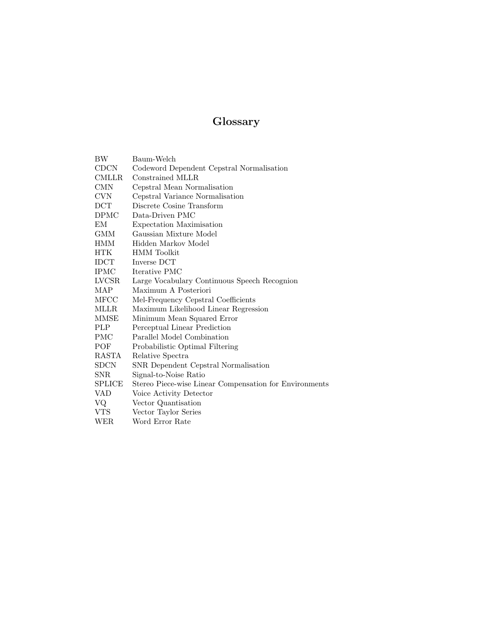### Glossary

| ΒW                | Baum-Welch                                             |
|-------------------|--------------------------------------------------------|
| <b>CDCN</b>       | Codeword Dependent Cepstral Normalisation              |
| <b>CMLLR</b>      | Constrained MLLR                                       |
| <b>CMN</b>        | Cepstral Mean Normalisation                            |
| <b>CVN</b>        | Cepstral Variance Normalisation                        |
| $_{\mathrm{DCT}}$ | Discrete Cosine Transform                              |
| <b>DPMC</b>       | Data-Driven PMC                                        |
| EМ                | Expectation Maximisation                               |
| <b>GMM</b>        | Gaussian Mixture Model                                 |
| <b>HMM</b>        | Hidden Markov Model                                    |
| HTK.              | <b>HMM</b> Toolkit                                     |
| IDCT              | Inverse DCT                                            |
| <b>IPMC</b>       | Iterative PMC                                          |
| LVCSR             | Large Vocabulary Continuous Speech Recognion           |
| MAP               | Maximum A Posteriori                                   |
| MFCC              | Mel-Frequency Cepstral Coefficients                    |
| <b>MLLR</b>       | Maximum Likelihood Linear Regression                   |
| MMSE              | Minimum Mean Squared Error                             |
| PLP               | Perceptual Linear Prediction                           |
| PMC               | Parallel Model Combination                             |
| POF               | Probabilistic Optimal Filtering                        |
| RASTA             | Relative Spectra                                       |
| <b>SDCN</b>       | SNR Dependent Cepstral Normalisation                   |
| SNR.              | Signal-to-Noise Ratio                                  |
| <b>SPLICE</b>     | Stereo Piece-wise Linear Compensation for Environments |
| VAD               | Voice Activity Detector                                |
| VQ                | Vector Quantisation                                    |
| <b>VTS</b>        | Vector Taylor Series                                   |
| WER               | Word Error Rate                                        |
|                   |                                                        |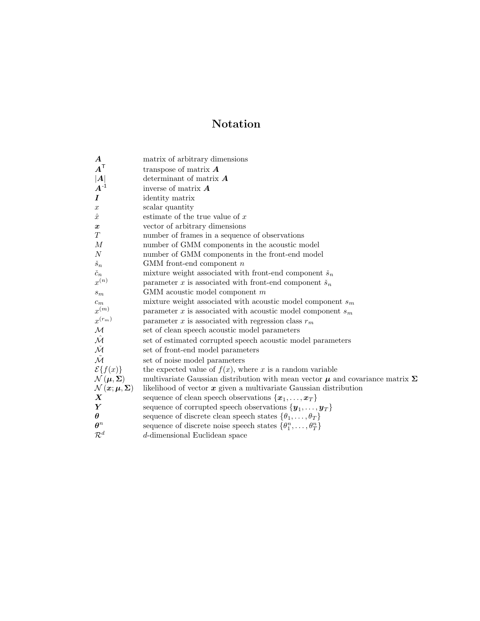### Notation

| matrix of arbitrary dimensions                                                           |
|------------------------------------------------------------------------------------------|
| transpose of matrix $\boldsymbol{A}$                                                     |
| determinant of matrix $A$                                                                |
| inverse of matrix $\boldsymbol{A}$                                                       |
| identity matrix                                                                          |
| scalar quantity                                                                          |
| estimate of the true value of $x$                                                        |
| vector of arbitrary dimensions                                                           |
| number of frames in a sequence of observations                                           |
| number of GMM components in the acoustic model                                           |
| number of GMM components in the front-end model                                          |
| GMM front-end component $n$                                                              |
| mixture weight associated with front-end component $\check{s}_n$                         |
| parameter x is associated with front-end component $\check{s}_n$                         |
| $GMM$ acoustic model component $m$                                                       |
| mixture weight associated with acoustic model component $s_m$                            |
| parameter x is associated with acoustic model component $s_m$                            |
| parameter x is associated with regression class $r_m$                                    |
| set of clean speech acoustic model parameters                                            |
| set of estimated corrupted speech acoustic model parameters                              |
| set of front-end model parameters                                                        |
| set of noise model parameters                                                            |
| the expected value of $f(x)$ , where x is a random variable                              |
| multivariate Gaussian distribution with mean vector $\mu$ and covariance matrix $\Sigma$ |
| likelihood of vector $x$ given a multivariate Gaussian distribution                      |
| sequence of clean speech observations $\{x_1, \ldots, x_T\}$                             |
| sequence of corrupted speech observations $\{y_1, \ldots, y_T\}$                         |
| sequence of discrete clean speech states $\{\theta_1, \ldots, \theta_T\}$                |
| sequence of discrete noise speech states $\{\theta_1^n, \ldots, \theta_T^n\}$            |
| d-dimensional Euclidean space                                                            |
|                                                                                          |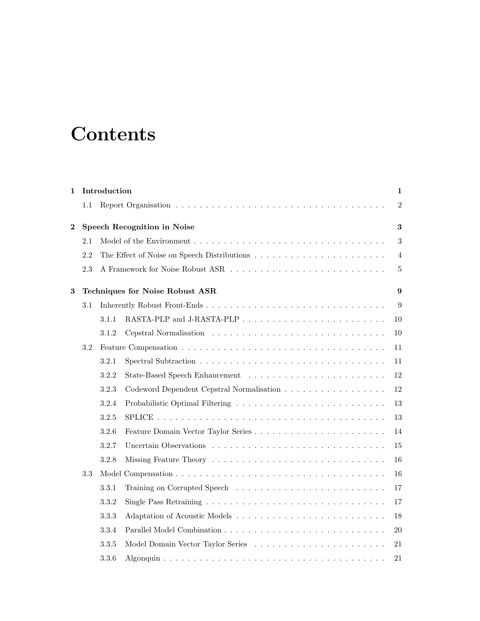## **Contents**

| $\mathbf 1$    |     | Introduction |                                           | 1              |
|----------------|-----|--------------|-------------------------------------------|----------------|
|                | 1.1 |              |                                           | $\overline{2}$ |
| $\overline{2}$ |     |              | Speech Recognition in Noise               | 3              |
|                | 2.1 |              |                                           | $\sqrt{3}$     |
|                | 2.2 |              |                                           | 4              |
|                | 2.3 |              |                                           | $\overline{5}$ |
| 3              |     |              | Techniques for Noise Robust ASR           | 9              |
|                | 3.1 |              |                                           | 9              |
|                |     | 3.1.1        |                                           | 10             |
|                |     | 3.1.2        |                                           | 10             |
|                | 3.2 |              |                                           | 11             |
|                |     | 3.2.1        |                                           | 11             |
|                |     | 3.2.2        |                                           | 12             |
|                |     | 3.2.3        | Codeword Dependent Cepstral Normalisation | 12             |
|                |     | 3.2.4        |                                           | 13             |
|                |     | 3.2.5        |                                           | 13             |
|                |     | 3.2.6        |                                           | 14             |
|                |     | 3.2.7        |                                           | 15             |
|                |     | 3.2.8        |                                           | 16             |
|                | 3.3 |              |                                           | 16             |
|                |     | 3.3.1        |                                           | 17             |
|                |     | 3.3.2        |                                           | 17             |
|                |     | 3.3.3        |                                           | 18             |
|                |     | 3.3.4        |                                           | 20             |
|                |     | 3.3.5        |                                           | 21             |
|                |     | 3.3.6        |                                           | 21             |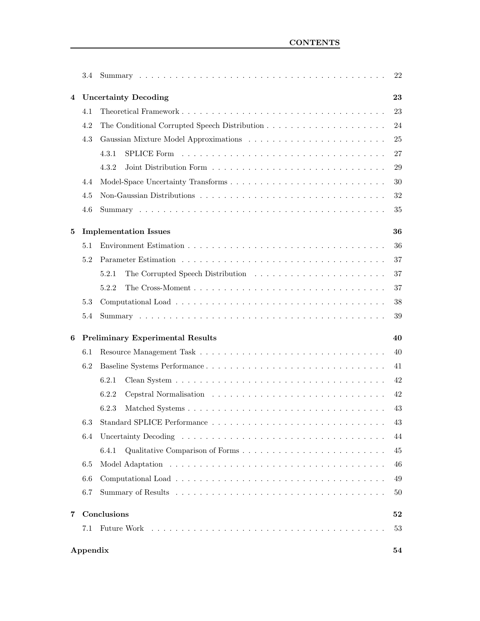|   | 3.4                         |                                         | 22 |
|---|-----------------------------|-----------------------------------------|----|
| 4 | <b>Uncertainty Decoding</b> |                                         |    |
|   | 4.1                         |                                         | 23 |
|   | 4.2                         |                                         | 24 |
|   | 4.3                         |                                         | 25 |
|   |                             | 4.3.1                                   | 27 |
|   |                             | 4.3.2                                   | 29 |
|   | 4.4                         |                                         | 30 |
|   | 4.5                         |                                         | 32 |
|   | 4.6                         |                                         | 35 |
| 5 |                             | <b>Implementation Issues</b>            | 36 |
|   | 5.1                         |                                         | 36 |
|   | 5.2                         |                                         | 37 |
|   |                             | 5.2.1                                   | 37 |
|   |                             | 5.2.2                                   | 37 |
|   | 5.3                         |                                         | 38 |
|   | 5.4                         |                                         | 39 |
| 6 |                             | <b>Preliminary Experimental Results</b> | 40 |
|   | 6.1                         |                                         | 40 |
|   | 6.2                         |                                         | 41 |
|   |                             | 6.2.1                                   | 42 |
|   |                             | 6.2.2                                   | 42 |
|   |                             | 6.2.3                                   | 43 |
|   |                             | 6.3 Standard SPLICE Performance         | 43 |
|   | 6.4                         |                                         | 44 |
|   |                             | 6.4.1                                   | 45 |
|   | 6.5                         |                                         | 46 |
|   | 6.6                         |                                         | 49 |
|   | 6.7                         |                                         | 50 |
| 7 |                             | Conclusions                             | 52 |
|   | 7.1                         |                                         | 53 |
|   | Appendix                    |                                         | 54 |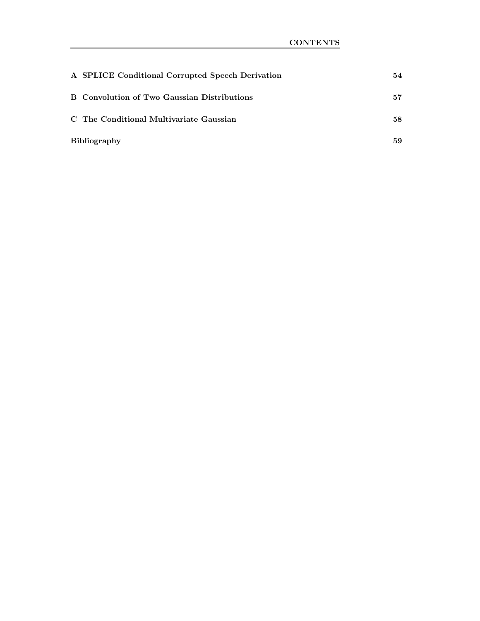| A SPLICE Conditional Corrupted Speech Derivation | 54 |
|--------------------------------------------------|----|
| B Convolution of Two Gaussian Distributions      | 57 |
| C. The Conditional Multivariate Gaussian         | 58 |
| <b>Bibliography</b>                              | 59 |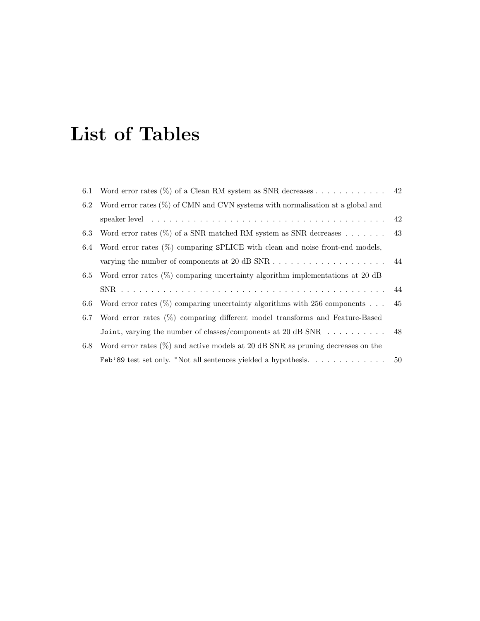# List of Tables

| 6.1 | Word error rates $(\%)$ of a Clean RM system as SNR decreases 42                                           |     |
|-----|------------------------------------------------------------------------------------------------------------|-----|
| 6.2 | Word error rates $(\%)$ of CMN and CVN systems with normalisation at a global and                          |     |
|     | speaker level $\ldots \ldots \ldots \ldots \ldots \ldots \ldots \ldots \ldots \ldots \ldots \ldots \ldots$ |     |
| 6.3 | Word error rates $(\%)$ of a SNR matched RM system as SNR decreases 43                                     |     |
| 6.4 | Word error rates $(\%)$ comparing SPLICE with clean and noise front-end models,                            |     |
|     | varying the number of components at 20 dB SNR $\dots \dots \dots \dots \dots \dots \dots \dots$            |     |
| 6.5 | Word error rates $(\%)$ comparing uncertainty algorithm implementations at 20 dB                           |     |
|     |                                                                                                            |     |
| 6.6 | Word error rates $(\%)$ comparing uncertainty algorithms with 256 components                               | -45 |
| 6.7 | Word error rates (%) comparing different model transforms and Feature-Based                                |     |
|     | Joint, varying the number of classes/components at 20 dB SNR 48                                            |     |
| 6.8 | Word error rates $(\%)$ and active models at 20 dB SNR as pruning decreases on the                         |     |
|     | $\text{Feb'}89$ test set only. *Not all sentences yielded a hypothesis.                                    | 50  |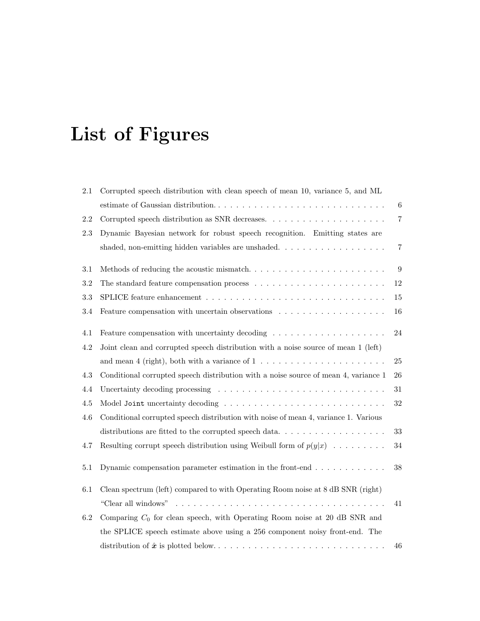# List of Figures

| 2.1     | Corrupted speech distribution with clean speech of mean 10, variance 5, and ML                           |                |
|---------|----------------------------------------------------------------------------------------------------------|----------------|
|         | estimate of Gaussian distribution                                                                        | $\,6\,$        |
| 2.2     |                                                                                                          | $\overline{7}$ |
| 2.3     | Dynamic Bayesian network for robust speech recognition. Emitting states are                              |                |
|         | shaded, non-emitting hidden variables are unshaded. $\ldots$ , $\ldots$ , $\ldots$ , $\ldots$ , $\ldots$ | $\,7$          |
| 3.1     | Methods of reducing the acoustic mismatch                                                                | 9              |
| $3.2\,$ |                                                                                                          | $12\,$         |
| 3.3     |                                                                                                          | $15\,$         |
| 3.4     |                                                                                                          | $16\,$         |
| 4.1     | Feature compensation with uncertainty decoding                                                           | 24             |
| 4.2     | Joint clean and corrupted speech distribution with a noise source of mean 1 (left)                       |                |
|         | and mean 4 (right), both with a variance of $1 \ldots \ldots \ldots \ldots \ldots \ldots \ldots$         | $25\,$         |
| 4.3     | Conditional corrupted speech distribution with a noise source of mean 4, variance 1                      | 26             |
| 4.4     | Uncertainty decoding processing $\ldots \ldots \ldots \ldots \ldots \ldots \ldots \ldots \ldots \ldots$  | 31             |
| $4.5\,$ |                                                                                                          | $32\,$         |
| 4.6     | Conditional corrupted speech distribution with noise of mean 4, variance 1. Various                      |                |
|         | distributions are fitted to the corrupted speech data                                                    | 33             |
| 4.7     | Resulting corrupt speech distribution using Weibull form of $p(y x)$                                     | 34             |
| $5.1\,$ | Dynamic compensation parameter estimation in the front-end $\dots \dots \dots \dots$                     | 38             |
| $6.1\,$ | Clean spectrum (left) compared to with Operating Room noise at 8 dB SNR (right)                          |                |
|         |                                                                                                          | 41             |
| 6.2     | Comparing $C_0$ for clean speech, with Operating Room noise at 20 dB SNR and                             |                |
|         | the SPLICE speech estimate above using a 256 component noisy front-end. The                              |                |
|         |                                                                                                          | 46             |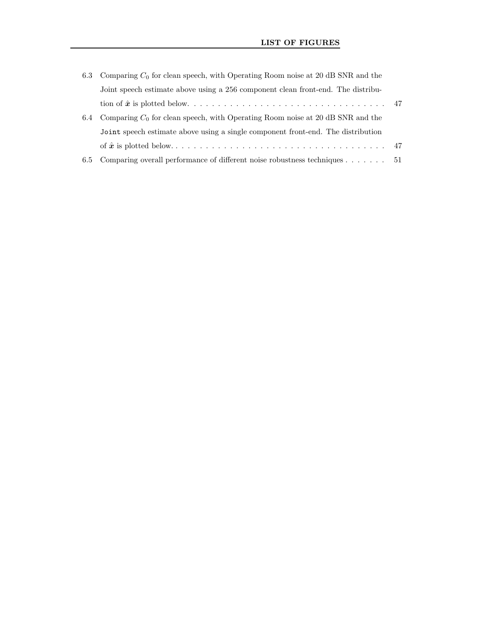| 6.3 | Comparing $C_0$ for clean speech, with Operating Room noise at 20 dB SNR and the     |     |
|-----|--------------------------------------------------------------------------------------|-----|
|     | Joint speech estimate above using a 256 component clean front-end. The distribu-     |     |
|     |                                                                                      |     |
| 6.4 | Comparing $C_0$ for clean speech, with Operating Room noise at 20 dB SNR and the     |     |
|     | Joint speech estimate above using a single component front-end. The distribution     |     |
|     |                                                                                      |     |
| 6.5 | Comparing overall performance of different noise robustness techniques $\dots \dots$ | -51 |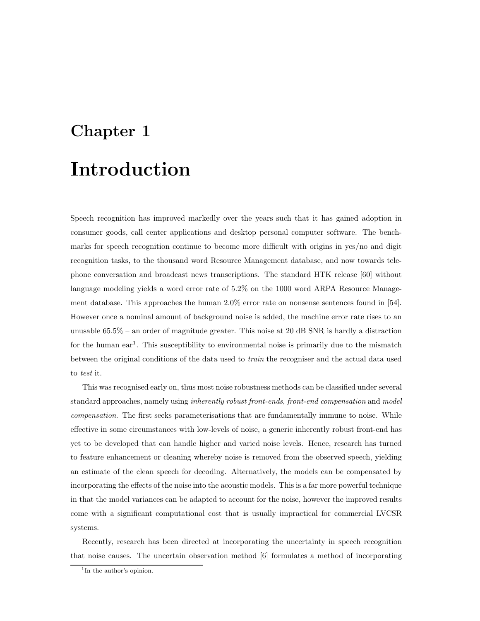# Chapter 1 Introduction

Speech recognition has improved markedly over the years such that it has gained adoption in consumer goods, call center applications and desktop personal computer software. The benchmarks for speech recognition continue to become more difficult with origins in yes/no and digit recognition tasks, to the thousand word Resource Management database, and now towards telephone conversation and broadcast news transcriptions. The standard HTK release [60] without language modeling yields a word error rate of 5.2% on the 1000 word ARPA Resource Management database. This approaches the human 2.0% error rate on nonsense sentences found in [54]. However once a nominal amount of background noise is added, the machine error rate rises to an unusable 65.5% – an order of magnitude greater. This noise at 20 dB SNR is hardly a distraction for the human ear<sup>1</sup>. This susceptibility to environmental noise is primarily due to the mismatch between the original conditions of the data used to train the recogniser and the actual data used to test it.

This was recognised early on, thus most noise robustness methods can be classified under several standard approaches, namely using *inherently robust front-ends, front-end compensation* and model compensation. The first seeks parameterisations that are fundamentally immune to noise. While effective in some circumstances with low-levels of noise, a generic inherently robust front-end has yet to be developed that can handle higher and varied noise levels. Hence, research has turned to feature enhancement or cleaning whereby noise is removed from the observed speech, yielding an estimate of the clean speech for decoding. Alternatively, the models can be compensated by incorporating the effects of the noise into the acoustic models. This is a far more powerful technique in that the model variances can be adapted to account for the noise, however the improved results come with a significant computational cost that is usually impractical for commercial LVCSR systems.

Recently, research has been directed at incorporating the uncertainty in speech recognition that noise causes. The uncertain observation method [6] formulates a method of incorporating

<sup>&</sup>lt;sup>1</sup>In the author's opinion.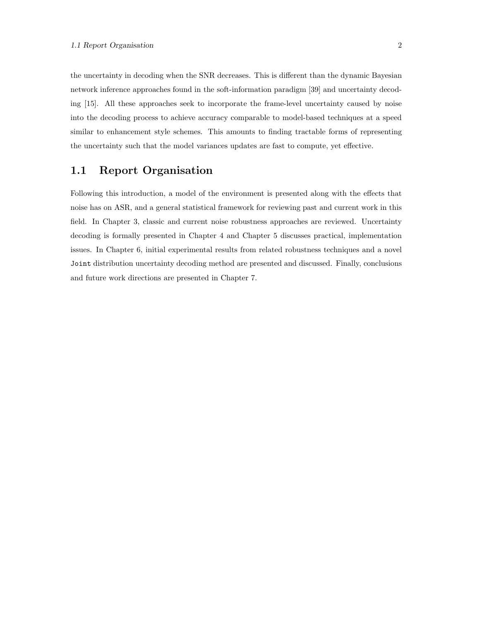the uncertainty in decoding when the SNR decreases. This is different than the dynamic Bayesian network inference approaches found in the soft-information paradigm [39] and uncertainty decoding [15]. All these approaches seek to incorporate the frame-level uncertainty caused by noise into the decoding process to achieve accuracy comparable to model-based techniques at a speed similar to enhancement style schemes. This amounts to finding tractable forms of representing the uncertainty such that the model variances updates are fast to compute, yet effective.

#### 1.1 Report Organisation

Following this introduction, a model of the environment is presented along with the effects that noise has on ASR, and a general statistical framework for reviewing past and current work in this field. In Chapter 3, classic and current noise robustness approaches are reviewed. Uncertainty decoding is formally presented in Chapter 4 and Chapter 5 discusses practical, implementation issues. In Chapter 6, initial experimental results from related robustness techniques and a novel Joint distribution uncertainty decoding method are presented and discussed. Finally, conclusions and future work directions are presented in Chapter 7.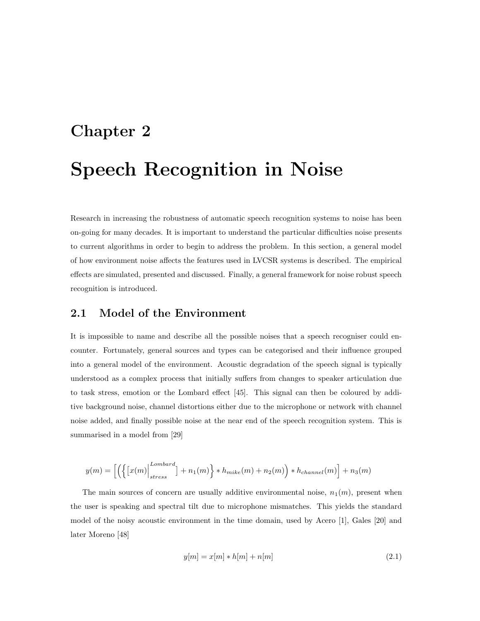# Chapter 2 Speech Recognition in Noise

Research in increasing the robustness of automatic speech recognition systems to noise has been on-going for many decades. It is important to understand the particular difficulties noise presents to current algorithms in order to begin to address the problem. In this section, a general model of how environment noise affects the features used in LVCSR systems is described. The empirical effects are simulated, presented and discussed. Finally, a general framework for noise robust speech recognition is introduced.

#### 2.1 Model of the Environment

It is impossible to name and describe all the possible noises that a speech recogniser could encounter. Fortunately, general sources and types can be categorised and their influence grouped into a general model of the environment. Acoustic degradation of the speech signal is typically understood as a complex process that initially suffers from changes to speaker articulation due to task stress, emotion or the Lombard effect [45]. This signal can then be coloured by additive background noise, channel distortions either due to the microphone or network with channel noise added, and finally possible noise at the near end of the speech recognition system. This is summarised in a model from [29]

$$
y(m) = \left[ \left( \left\{ \left[ x(m) \right]_{stress}^{Lombard} \right] + n_1(m) \right\} * h_{mike}(m) + n_2(m) \right) * h_{channel}(m) \right] + n_3(m)
$$

The main sources of concern are usually additive environmental noise,  $n_1(m)$ , present when the user is speaking and spectral tilt due to microphone mismatches. This yields the standard model of the noisy acoustic environment in the time domain, used by Acero [1], Gales [20] and later Moreno [48]

$$
y[m] = x[m] * h[m] + n[m]
$$
\n(2.1)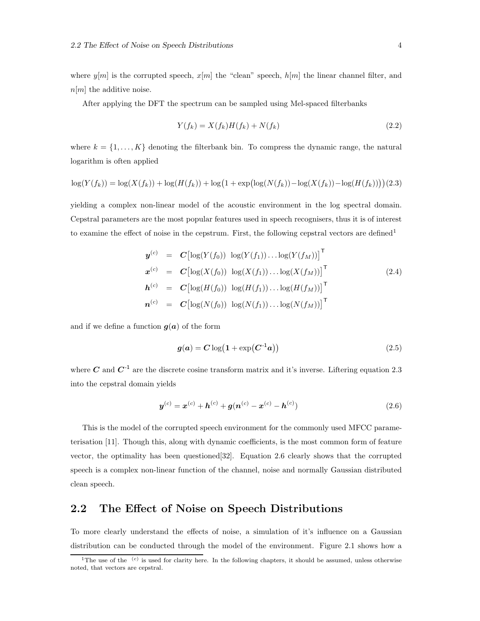where  $y[m]$  is the corrupted speech,  $x[m]$  the "clean" speech,  $h[m]$  the linear channel filter, and  $n[m]$  the additive noise.

After applying the DFT the spectrum can be sampled using Mel-spaced filterbanks

$$
Y(f_k) = X(f_k)H(f_k) + N(f_k)
$$
\n(2.2)

where  $k = \{1, \ldots, K\}$  denoting the filterbank bin. To compress the dynamic range, the natural logarithm is often applied

$$
\log(Y(f_k)) = \log(X(f_k)) + \log(H(f_k)) + \log(1 + \exp(\log(N(f_k)) - \log(X(f_k)) - \log(H(f_k))))(2.3)
$$

yielding a complex non-linear model of the acoustic environment in the log spectral domain. Cepstral parameters are the most popular features used in speech recognisers, thus it is of interest to examine the effect of noise in the cepstrum. First, the following cepstral vectors are defined<sup>1</sup>

$$
\mathbf{y}^{(c)} = \mathbf{C} \left[ \log(Y(f_0)) \log(Y(f_1)) \dots \log(Y(f_M)) \right]^\mathsf{T}
$$
\n
$$
\mathbf{x}^{(c)} = \mathbf{C} \left[ \log(X(f_0)) \log(X(f_1)) \dots \log(X(f_M)) \right]^\mathsf{T}
$$
\n
$$
\mathbf{h}^{(c)} = \mathbf{C} \left[ \log(H(f_0)) \log(H(f_1)) \dots \log(H(f_M)) \right]^\mathsf{T}
$$
\n
$$
\mathbf{n}^{(c)} = \mathbf{C} \left[ \log(N(f_0)) \log(N(f_1)) \dots \log(N(f_M)) \right]^\mathsf{T}
$$
\n(2.4)

and if we define a function  $g(a)$  of the form

$$
g(a) = C \log(1 + \exp(C^{-1}a))
$$
\n
$$
(2.5)
$$

where C and  $C^{-1}$  are the discrete cosine transform matrix and it's inverse. Liftering equation 2.3 into the cepstral domain yields

$$
\boldsymbol{y}^{(c)} = \boldsymbol{x}^{(c)} + \boldsymbol{h}^{(c)} + \boldsymbol{g}(\boldsymbol{n}^{(c)} - \boldsymbol{x}^{(c)} - \boldsymbol{h}^{(c)})
$$
(2.6)

This is the model of the corrupted speech environment for the commonly used MFCC parameterisation [11]. Though this, along with dynamic coefficients, is the most common form of feature vector, the optimality has been questioned[32]. Equation 2.6 clearly shows that the corrupted speech is a complex non-linear function of the channel, noise and normally Gaussian distributed clean speech.

#### 2.2 The Effect of Noise on Speech Distributions

To more clearly understand the effects of noise, a simulation of it's influence on a Gaussian distribution can be conducted through the model of the environment. Figure 2.1 shows how a

<sup>&</sup>lt;sup>1</sup>The use of the  $(c)$  is used for clarity here. In the following chapters, it should be assumed, unless otherwise noted, that vectors are cepstral.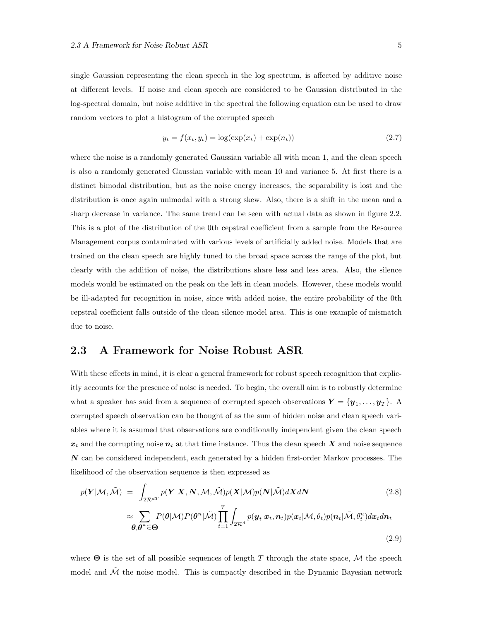single Gaussian representing the clean speech in the log spectrum, is affected by additive noise at different levels. If noise and clean speech are considered to be Gaussian distributed in the log-spectral domain, but noise additive in the spectral the following equation can be used to draw random vectors to plot a histogram of the corrupted speech

$$
y_t = f(x_t, y_t) = \log(\exp(x_t) + \exp(n_t))
$$
\n(2.7)

where the noise is a randomly generated Gaussian variable all with mean 1, and the clean speech is also a randomly generated Gaussian variable with mean 10 and variance 5. At first there is a distinct bimodal distribution, but as the noise energy increases, the separability is lost and the distribution is once again unimodal with a strong skew. Also, there is a shift in the mean and a sharp decrease in variance. The same trend can be seen with actual data as shown in figure 2.2. This is a plot of the distribution of the 0th cepstral coefficient from a sample from the Resource Management corpus contaminated with various levels of artificially added noise. Models that are trained on the clean speech are highly tuned to the broad space across the range of the plot, but clearly with the addition of noise, the distributions share less and less area. Also, the silence models would be estimated on the peak on the left in clean models. However, these models would be ill-adapted for recognition in noise, since with added noise, the entire probability of the 0th cepstral coefficient falls outside of the clean silence model area. This is one example of mismatch due to noise.

#### 2.3 A Framework for Noise Robust ASR

With these effects in mind, it is clear a general framework for robust speech recognition that explicitly accounts for the presence of noise is needed. To begin, the overall aim is to robustly determine what a speaker has said from a sequence of corrupted speech observations  $\boldsymbol{Y} = \{y_1, \ldots, y_T\}$ . A corrupted speech observation can be thought of as the sum of hidden noise and clean speech variables where it is assumed that observations are conditionally independent given the clean speech  $x_t$  and the corrupting noise  $n_t$  at that time instance. Thus the clean speech X and noise sequence  $N$  can be considered independent, each generated by a hidden first-order Markov processes. The likelihood of the observation sequence is then expressed as

$$
p(\mathbf{Y}|\mathcal{M},\tilde{\mathcal{M}}) = \int_{2\mathcal{R}^{dT}} p(\mathbf{Y}|\mathbf{X},\mathbf{N},\mathcal{M},\tilde{\mathcal{M}}) p(\mathbf{X}|\mathcal{M}) p(\mathbf{N}|\tilde{\mathcal{M}}) d\mathbf{X} d\mathbf{N}
$$
(2.8)  

$$
\approx \sum_{\boldsymbol{\theta},\boldsymbol{\theta}^{n} \in \Theta} P(\boldsymbol{\theta}|\mathcal{M}) P(\boldsymbol{\theta}^{n}|\tilde{\mathcal{M}}) \prod_{t=1}^{T} \int_{2\mathcal{R}^{d}} p(\mathbf{y}_{t}|\mathbf{x}_{t},\mathbf{n}_{t}) p(\mathbf{x}_{t}|\mathcal{M},\theta_{t}) p(\mathbf{n}_{t}|\tilde{\mathcal{M}},\theta_{t}^{n}) d\mathbf{x}_{t} d\mathbf{n}_{t}
$$
(2.9)

where  $\Theta$  is the set of all possible sequences of length T through the state space, M the speech model and  $\tilde{\mathcal{M}}$  the noise model. This is compactly described in the Dynamic Bayesian network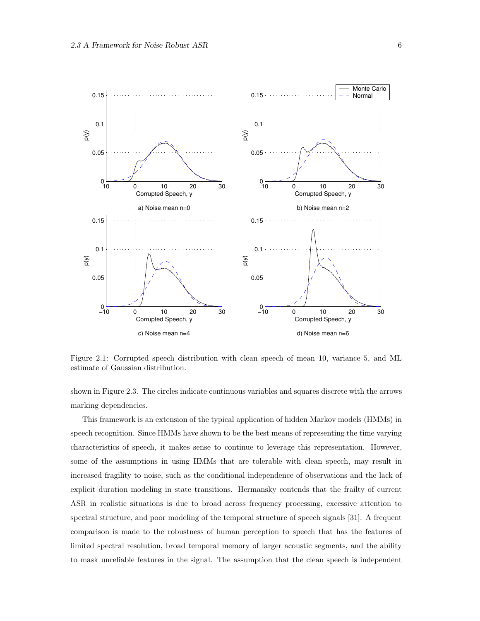

Figure 2.1: Corrupted speech distribution with clean speech of mean 10, variance 5, and ML estimate of Gaussian distribution.

shown in Figure 2.3. The circles indicate continuous variables and squares discrete with the arrows marking dependencies.

This framework is an extension of the typical application of hidden Markov models (HMMs) in speech recognition. Since HMMs have shown to be the best means of representing the time varying characteristics of speech, it makes sense to continue to leverage this representation. However, some of the assumptions in using HMMs that are tolerable with clean speech, may result in increased fragility to noise, such as the conditional independence of observations and the lack of explicit duration modeling in state transitions. Hermansky contends that the frailty of current ASR in realistic situations is due to broad across frequency processing, excessive attention to spectral structure, and poor modeling of the temporal structure of speech signals [31]. A frequent comparison is made to the robustness of human perception to speech that has the features of limited spectral resolution, broad temporal memory of larger acoustic segments, and the ability to mask unreliable features in the signal. The assumption that the clean speech is independent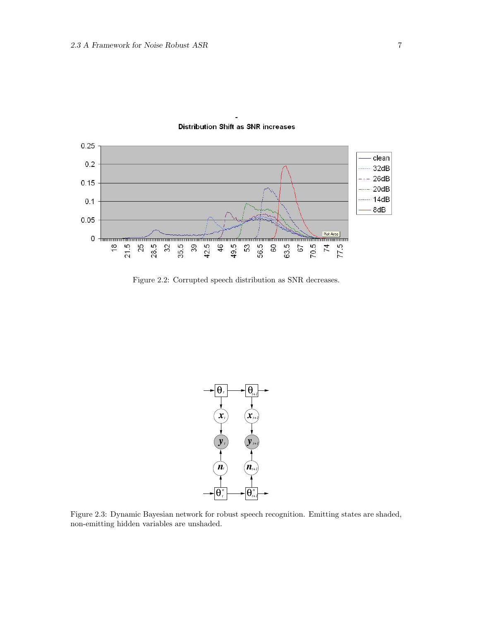

#### **Distribution Shift as SNR increases**

Figure 2.2: Corrupted speech distribution as SNR decreases.



Figure 2.3: Dynamic Bayesian network for robust speech recognition. Emitting states are shaded, non-emitting hidden variables are unshaded.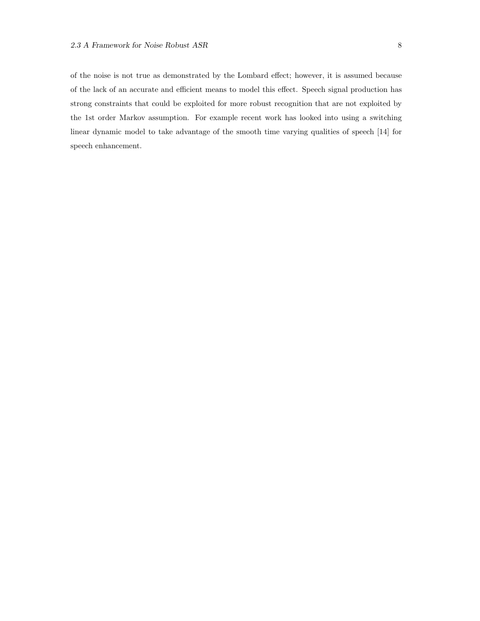of the noise is not true as demonstrated by the Lombard effect; however, it is assumed because of the lack of an accurate and efficient means to model this effect. Speech signal production has strong constraints that could be exploited for more robust recognition that are not exploited by the 1st order Markov assumption. For example recent work has looked into using a switching linear dynamic model to take advantage of the smooth time varying qualities of speech [14] for speech enhancement.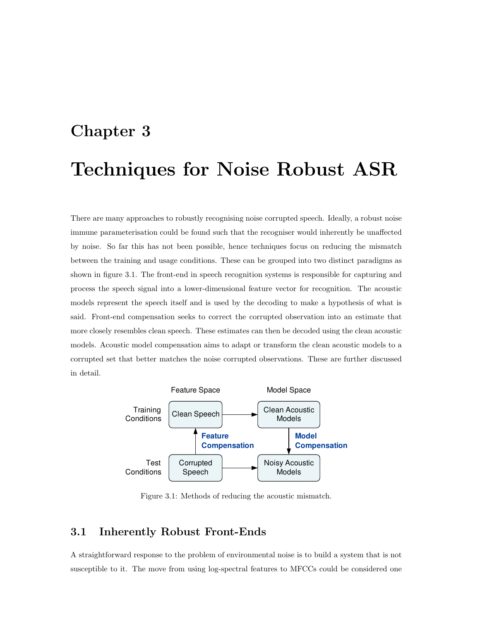# Chapter 3 Techniques for Noise Robust ASR

There are many approaches to robustly recognising noise corrupted speech. Ideally, a robust noise immune parameterisation could be found such that the recogniser would inherently be unaffected by noise. So far this has not been possible, hence techniques focus on reducing the mismatch between the training and usage conditions. These can be grouped into two distinct paradigms as shown in figure 3.1. The front-end in speech recognition systems is responsible for capturing and process the speech signal into a lower-dimensional feature vector for recognition. The acoustic models represent the speech itself and is used by the decoding to make a hypothesis of what is said. Front-end compensation seeks to correct the corrupted observation into an estimate that more closely resembles clean speech. These estimates can then be decoded using the clean acoustic models. Acoustic model compensation aims to adapt or transform the clean acoustic models to a corrupted set that better matches the noise corrupted observations. These are further discussed in detail.



Figure 3.1: Methods of reducing the acoustic mismatch.

#### 3.1 Inherently Robust Front-Ends

A straightforward response to the problem of environmental noise is to build a system that is not susceptible to it. The move from using log-spectral features to MFCCs could be considered one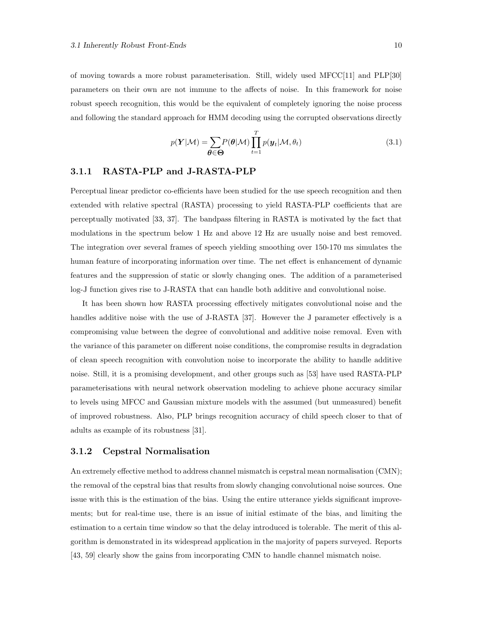of moving towards a more robust parameterisation. Still, widely used MFCC[11] and PLP[30] parameters on their own are not immune to the affects of noise. In this framework for noise robust speech recognition, this would be the equivalent of completely ignoring the noise process and following the standard approach for HMM decoding using the corrupted observations directly

$$
p(\boldsymbol{Y}|\mathcal{M}) = \sum_{\boldsymbol{\theta} \in \boldsymbol{\Theta}} P(\boldsymbol{\theta}|\mathcal{M}) \prod_{t=1}^{T} p(\boldsymbol{y}_t | \mathcal{M}, \theta_t)
$$
(3.1)

#### 3.1.1 RASTA-PLP and J-RASTA-PLP

Perceptual linear predictor co-efficients have been studied for the use speech recognition and then extended with relative spectral (RASTA) processing to yield RASTA-PLP coefficients that are perceptually motivated [33, 37]. The bandpass filtering in RASTA is motivated by the fact that modulations in the spectrum below 1 Hz and above 12 Hz are usually noise and best removed. The integration over several frames of speech yielding smoothing over 150-170 ms simulates the human feature of incorporating information over time. The net effect is enhancement of dynamic features and the suppression of static or slowly changing ones. The addition of a parameterised log-J function gives rise to J-RASTA that can handle both additive and convolutional noise.

It has been shown how RASTA processing effectively mitigates convolutional noise and the handles additive noise with the use of J-RASTA [37]. However the J parameter effectively is a compromising value between the degree of convolutional and additive noise removal. Even with the variance of this parameter on different noise conditions, the compromise results in degradation of clean speech recognition with convolution noise to incorporate the ability to handle additive noise. Still, it is a promising development, and other groups such as [53] have used RASTA-PLP parameterisations with neural network observation modeling to achieve phone accuracy similar to levels using MFCC and Gaussian mixture models with the assumed (but unmeasured) benefit of improved robustness. Also, PLP brings recognition accuracy of child speech closer to that of adults as example of its robustness [31].

#### 3.1.2 Cepstral Normalisation

An extremely effective method to address channel mismatch is cepstral mean normalisation (CMN); the removal of the cepstral bias that results from slowly changing convolutional noise sources. One issue with this is the estimation of the bias. Using the entire utterance yields significant improvements; but for real-time use, there is an issue of initial estimate of the bias, and limiting the estimation to a certain time window so that the delay introduced is tolerable. The merit of this algorithm is demonstrated in its widespread application in the majority of papers surveyed. Reports [43, 59] clearly show the gains from incorporating CMN to handle channel mismatch noise.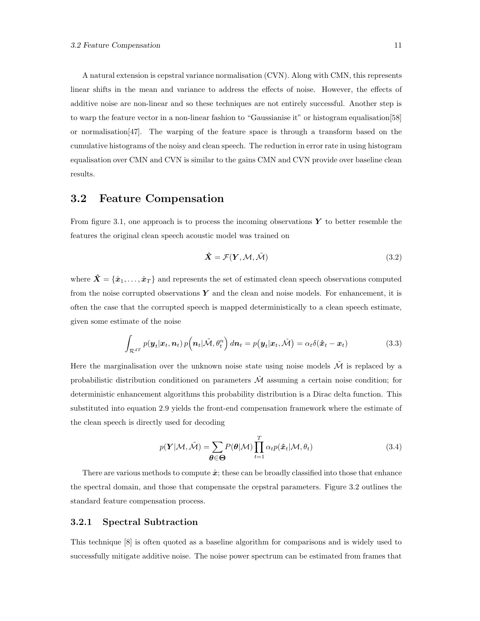A natural extension is cepstral variance normalisation (CVN). Along with CMN, this represents linear shifts in the mean and variance to address the effects of noise. However, the effects of additive noise are non-linear and so these techniques are not entirely successful. Another step is to warp the feature vector in a non-linear fashion to "Gaussianise it" or histogram equalisation[58] or normalisation[47]. The warping of the feature space is through a transform based on the cumulative histograms of the noisy and clean speech. The reduction in error rate in using histogram equalisation over CMN and CVN is similar to the gains CMN and CVN provide over baseline clean results.

#### 3.2 Feature Compensation

From figure 3.1, one approach is to process the incoming observations  $\boldsymbol{Y}$  to better resemble the features the original clean speech acoustic model was trained on

$$
\hat{\mathbf{X}} = \mathcal{F}(\mathbf{Y}, \mathcal{M}, \tilde{\mathcal{M}}) \tag{3.2}
$$

where  $\hat{X} = \{\hat{x}_1, \ldots, \hat{x}_T\}$  and represents the set of estimated clean speech observations computed from the noise corrupted observations  $Y$  and the clean and noise models. For enhancement, it is often the case that the corrupted speech is mapped deterministically to a clean speech estimate, given some estimate of the noise

$$
\int_{\mathcal{R}^{dT}} p(\boldsymbol{y}_t | \boldsymbol{x}_t, \boldsymbol{n}_t) p\big(\boldsymbol{n}_t | \tilde{\mathcal{M}}, \theta_t^n\big) d\boldsymbol{n}_t = p(\boldsymbol{y}_t | \boldsymbol{x}_t, \tilde{\mathcal{M}}) = \alpha_t \delta(\hat{\boldsymbol{x}}_t - \boldsymbol{x}_t)
$$
\n(3.3)

Here the marginalisation over the unknown noise state using noise models  $\tilde{\mathcal{M}}$  is replaced by a probabilistic distribution conditioned on parameters  $\tilde{\mathcal{M}}$  assuming a certain noise condition; for deterministic enhancement algorithms this probability distribution is a Dirac delta function. This substituted into equation 2.9 yields the front-end compensation framework where the estimate of the clean speech is directly used for decoding

$$
p(\boldsymbol{Y}|\mathcal{M}, \tilde{\mathcal{M}}) = \sum_{\boldsymbol{\theta} \in \boldsymbol{\Theta}} P(\boldsymbol{\theta}|\mathcal{M}) \prod_{t=1}^{T} \alpha_t p(\hat{\boldsymbol{x}}_t | \mathcal{M}, \theta_t)
$$
(3.4)

There are various methods to compute  $\hat{x}$ ; these can be broadly classified into those that enhance the spectral domain, and those that compensate the cepstral parameters. Figure 3.2 outlines the standard feature compensation process.

#### 3.2.1 Spectral Subtraction

This technique [8] is often quoted as a baseline algorithm for comparisons and is widely used to successfully mitigate additive noise. The noise power spectrum can be estimated from frames that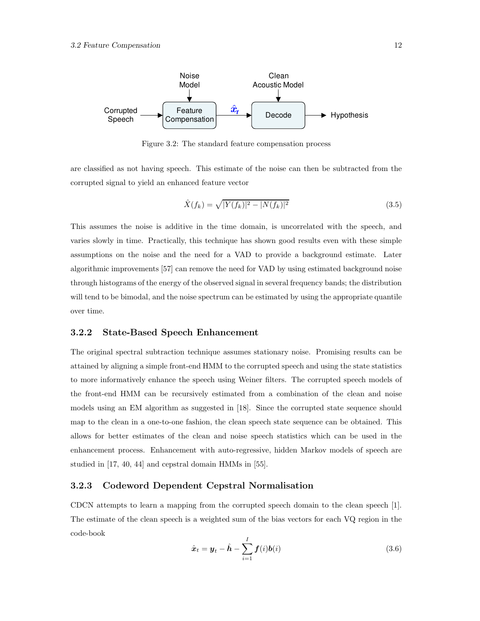

Figure 3.2: The standard feature compensation process

are classified as not having speech. This estimate of the noise can then be subtracted from the corrupted signal to yield an enhanced feature vector

$$
\hat{X}(f_k) = \sqrt{|Y(f_k)|^2 - |N(f_k)|^2} \tag{3.5}
$$

This assumes the noise is additive in the time domain, is uncorrelated with the speech, and varies slowly in time. Practically, this technique has shown good results even with these simple assumptions on the noise and the need for a VAD to provide a background estimate. Later algorithmic improvements [57] can remove the need for VAD by using estimated background noise through histograms of the energy of the observed signal in several frequency bands; the distribution will tend to be bimodal, and the noise spectrum can be estimated by using the appropriate quantile over time.

#### 3.2.2 State-Based Speech Enhancement

The original spectral subtraction technique assumes stationary noise. Promising results can be attained by aligning a simple front-end HMM to the corrupted speech and using the state statistics to more informatively enhance the speech using Weiner filters. The corrupted speech models of the front-end HMM can be recursively estimated from a combination of the clean and noise models using an EM algorithm as suggested in [18]. Since the corrupted state sequence should map to the clean in a one-to-one fashion, the clean speech state sequence can be obtained. This allows for better estimates of the clean and noise speech statistics which can be used in the enhancement process. Enhancement with auto-regressive, hidden Markov models of speech are studied in [17, 40, 44] and cepstral domain HMMs in [55].

#### 3.2.3 Codeword Dependent Cepstral Normalisation

CDCN attempts to learn a mapping from the corrupted speech domain to the clean speech [1]. The estimate of the clean speech is a weighted sum of the bias vectors for each VQ region in the code-book

$$
\hat{\boldsymbol{x}}_t = \boldsymbol{y}_t - \hat{\boldsymbol{h}} - \sum_{i=1}^I \boldsymbol{f}(i) \boldsymbol{b}(i)
$$
\n(3.6)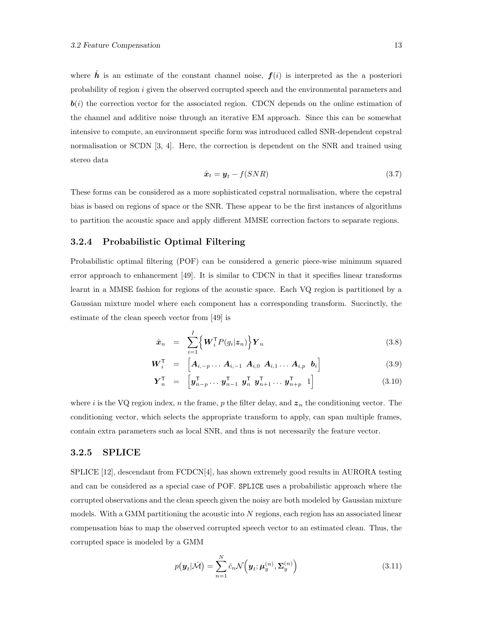where  $\hat{h}$  is an estimate of the constant channel noise,  $f(i)$  is interpreted as the a posteriori probability of region i given the observed corrupted speech and the environmental parameters and  $\mathbf{b}(i)$  the correction vector for the associated region. CDCN depends on the online estimation of the channel and additive noise through an iterative EM approach. Since this can be somewhat intensive to compute, an environment specific form was introduced called SNR-dependent cepstral normalisation or SCDN [3, 4]. Here, the correction is dependent on the SNR and trained using stereo data

$$
\hat{\boldsymbol{x}}_t = \boldsymbol{y}_t - f(SNR) \tag{3.7}
$$

These forms can be considered as a more sophisticated cepstral normalisation, where the cepstral bias is based on regions of space or the SNR. These appear to be the first instances of algorithms to partition the acoustic space and apply different MMSE correction factors to separate regions.

#### 3.2.4 Probabilistic Optimal Filtering

Probabilistic optimal filtering (POF) can be considered a generic piece-wise minimum squared error approach to enhancement [49]. It is similar to CDCN in that it specifies linear transforms learnt in a MMSE fashion for regions of the acoustic space. Each VQ region is partitioned by a Gaussian mixture model where each component has a corresponding transform. Succinctly, the estimate of the clean speech vector from [49] is

$$
\hat{\boldsymbol{x}}_n = \sum_{i=1}^I \left\{ \boldsymbol{W}_i^{\mathsf{T}} P(g_i | \boldsymbol{z}_n) \right\} \boldsymbol{Y}_n \tag{3.8}
$$

$$
\boldsymbol{W}_i^{\mathsf{T}} = \begin{bmatrix} \boldsymbol{A}_{i,-p} \dots \boldsymbol{A}_{i,-1} & \boldsymbol{A}_{i,0} & \boldsymbol{A}_{i,1} & \dots & \boldsymbol{A}_{i,p} & \boldsymbol{b}_i \end{bmatrix}
$$
(3.9)

$$
\boldsymbol{Y}_n^{\mathsf{T}} = \left[ \boldsymbol{y}_{n-p}^{\mathsf{T}} \dots \boldsymbol{y}_{n-1}^{\mathsf{T}} \boldsymbol{y}_n^{\mathsf{T}} \boldsymbol{y}_{n+1}^{\mathsf{T}} \dots \boldsymbol{y}_{n+p}^{\mathsf{T}} \boldsymbol{1} \right]
$$
(3.10)

where i is the VQ region index, n the frame, p the filter delay, and  $z_n$  the conditioning vector. The conditioning vector, which selects the appropriate transform to apply, can span multiple frames, contain extra parameters such as local SNR, and thus is not necessarily the feature vector.

#### 3.2.5 SPLICE

SPLICE [12], descendant from FCDCN[4], has shown extremely good results in AURORA testing and can be considered as a special case of POF. SPLICE uses a probabilistic approach where the corrupted observations and the clean speech given the noisy are both modeled by Gaussian mixture models. With a GMM partitioning the acoustic into  $N$  regions, each region has an associated linear compensation bias to map the observed corrupted speech vector to an estimated clean. Thus, the corrupted space is modeled by a GMM

$$
p(\boldsymbol{y}_t|\tilde{\mathcal{M}}) = \sum_{n=1}^N \check{c}_n \mathcal{N}\left(\boldsymbol{y}_t; \boldsymbol{\mu}_y^{(n)}, \boldsymbol{\Sigma}_y^{(n)}\right)
$$
(3.11)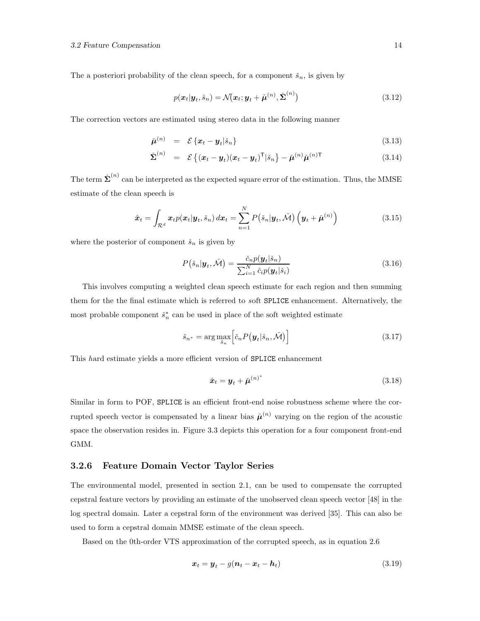The a posteriori probability of the clean speech, for a component  $\check{s}_n$ , is given by

$$
p(\boldsymbol{x}_t|\boldsymbol{y}_t, \check{s}_n) = \mathcal{N}(\boldsymbol{x}_t; \boldsymbol{y}_t + \check{\boldsymbol{\mu}}^{(n)}, \check{\boldsymbol{\Sigma}}^{(n)})
$$
\n(3.12)

The correction vectors are estimated using stereo data in the following manner

$$
\tilde{\boldsymbol{\mu}}^{(n)} = \mathcal{E}\left\{\boldsymbol{x}_t - \boldsymbol{y}_t | \check{\boldsymbol{s}}_n\right\} \tag{3.13}
$$

$$
\check{\Sigma}^{(n)} = \mathcal{E}\left\{(\boldsymbol{x}_t - \boldsymbol{y}_t)(\boldsymbol{x}_t - \boldsymbol{y}_t)^{\mathsf{T}} | \check{s}_n\right\} - \check{\boldsymbol{\mu}}^{(n)} \check{\boldsymbol{\mu}}^{(n)\mathsf{T}}
$$
(3.14)

The term  $\check{\Sigma}^{(n)}$  can be interpreted as the expected square error of the estimation. Thus, the MMSE estimate of the clean speech is

$$
\hat{\boldsymbol{x}}_t = \int_{\mathcal{R}^d} \boldsymbol{x}_t p(\boldsymbol{x}_t | \boldsymbol{y}_t, \check{s}_n) d\boldsymbol{x}_t = \sum_{n=1}^N P(\check{s}_n | \boldsymbol{y}_t, \check{\mathcal{M}}) \left( \boldsymbol{y}_t + \check{\boldsymbol{\mu}}^{(n)} \right)
$$
(3.15)

where the posterior of component  $\check{s}_n$  is given by

$$
P(\check{s}_n|\mathbf{y}_t, \check{\mathcal{M}}) = \frac{\check{c}_n p(\mathbf{y}_t|\check{s}_n)}{\sum_{i=1}^N \check{c}_i p(\mathbf{y}_t|\check{s}_i)}
$$
(3.16)

This involves computing a weighted clean speech estimate for each region and then summing them for the the final estimate which is referred to soft SPLICE enhancement. Alternatively, the most probable component  $\check{s}_n^*$  can be used in place of the soft weighted estimate

$$
\check{s}_{n^*} = \arg \max_{\check{s}_n} \left[ \check{c}_n P(\boldsymbol{y}_t | \check{s}_n, \check{\mathcal{M}}) \right] \tag{3.17}
$$

This hard estimate yields a more efficient version of SPLICE enhancement

$$
\hat{\boldsymbol{x}}_t = \boldsymbol{y}_t + \check{\boldsymbol{\mu}}^{(n)^*} \tag{3.18}
$$

Similar in form to POF, SPLICE is an efficient front-end noise robustness scheme where the corrupted speech vector is compensated by a linear bias  $\check{\mu}^{(n)}$  varying on the region of the acoustic space the observation resides in. Figure 3.3 depicts this operation for a four component front-end GMM.

#### 3.2.6 Feature Domain Vector Taylor Series

The environmental model, presented in section 2.1, can be used to compensate the corrupted cepstral feature vectors by providing an estimate of the unobserved clean speech vector [48] in the log spectral domain. Later a cepstral form of the environment was derived [35]. This can also be used to form a cepstral domain MMSE estimate of the clean speech.

Based on the 0th-order VTS approximation of the corrupted speech, as in equation 2.6

$$
\boldsymbol{x}_t = \boldsymbol{y}_t - g(\boldsymbol{n}_t - \boldsymbol{x}_t - \boldsymbol{h}_t) \tag{3.19}
$$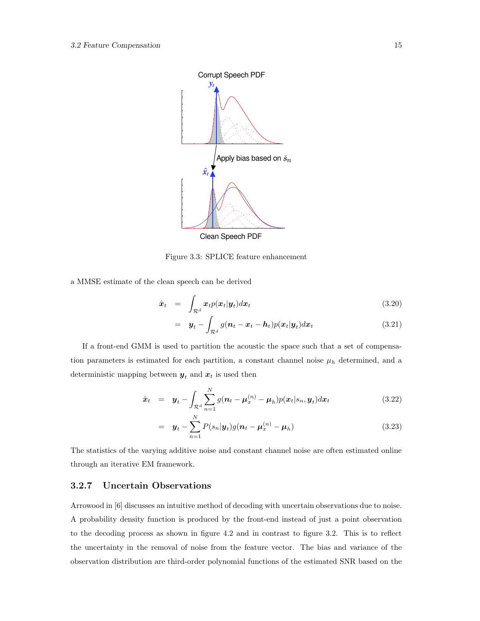

Figure 3.3: SPLICE feature enhancement

a MMSE estimate of the clean speech can be derived

$$
\hat{\boldsymbol{x}}_t = \int_{\mathcal{R}^d} \boldsymbol{x}_t p(\boldsymbol{x}_t | \boldsymbol{y}_t) d\boldsymbol{x}_t \tag{3.20}
$$

$$
= y_t - \int_{\mathcal{R}^d} g(\boldsymbol{n}_t - \boldsymbol{x}_t - \boldsymbol{h}_t) p(\boldsymbol{x}_t | \boldsymbol{y}_t) d\boldsymbol{x}_t \qquad (3.21)
$$

If a front-end GMM is used to partition the acoustic the space such that a set of compensation parameters is estimated for each partition, a constant channel noise  $\mu_h$  determined, and a deterministic mapping between  $y_t$  and  $x_t$  is used then

$$
\hat{\boldsymbol{x}}_t = \boldsymbol{y}_t - \int_{\mathcal{R}^d} \sum_{n=1}^N g(\boldsymbol{n}_t - \boldsymbol{\mu}_x^{(n)} - \boldsymbol{\mu}_h) p(\boldsymbol{x}_t | s_n, \boldsymbol{y}_t) d\boldsymbol{x}_t \qquad (3.22)
$$

$$
= y_t - \sum_{n=1}^{N} P(s_n | y_t) g(n_t - \mu_x^{(n)} - \mu_h)
$$
\n(3.23)

The statistics of the varying additive noise and constant channel noise are often estimated online through an iterative EM framework.

#### 3.2.7 Uncertain Observations

Arrowood in [6] discusses an intuitive method of decoding with uncertain observations due to noise. A probability density function is produced by the front-end instead of just a point observation to the decoding process as shown in figure 4.2 and in contrast to figure 3.2. This is to reflect the uncertainty in the removal of noise from the feature vector. The bias and variance of the observation distribution are third-order polynomial functions of the estimated SNR based on the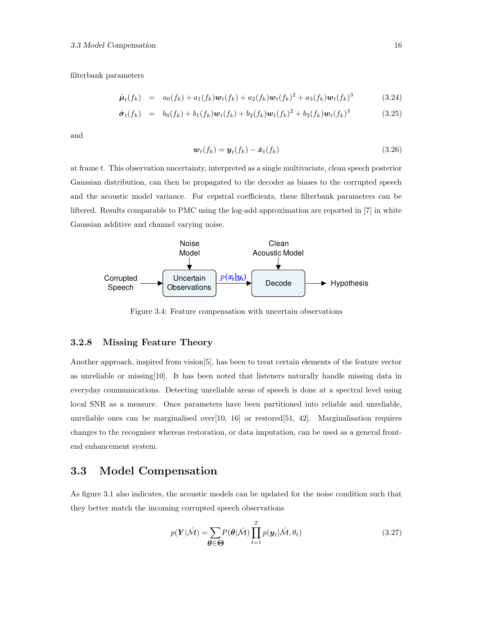filterbank parameters

$$
\hat{\boldsymbol{\mu}}_t(f_k) = a_0(f_k) + a_1(f_k)\boldsymbol{w}_t(f_k) + a_2(f_k)\boldsymbol{w}_t(f_k)^2 + a_3(f_k)\boldsymbol{w}_t(f_k)^3 \tag{3.24}
$$

$$
\hat{\sigma}_t(f_k) = b_0(f_k) + b_1(f_k) \mathbf{w}_t(f_k) + b_2(f_k) \mathbf{w}_t(f_k)^2 + b_3(f_k) \mathbf{w}_t(f_k)^3 \tag{3.25}
$$

and

$$
\boldsymbol{w}_t(f_k) = \boldsymbol{y}_t(f_k) - \hat{\boldsymbol{x}}_t(f_k) \tag{3.26}
$$

at frame t. This observation uncertainty, interpreted as a single multivariate, clean speech posterior Gaussian distribution, can then be propagated to the decoder as biases to the corrupted speech and the acoustic model variance. For cepstral coefficients, these filterbank parameters can be liftered. Results comparable to PMC using the log-add approximation are reported in [7] in white Gaussian additive and channel varying noise.



Figure 3.4: Feature compensation with uncertain observations

#### 3.2.8 Missing Feature Theory

Another approach, inspired from vision[5], has been to treat certain elements of the feature vector as unreliable or missing[10]. It has been noted that listeners naturally handle missing data in everyday communications. Detecting unreliable areas of speech is done at a spectral level using local SNR as a measure. Once parameters have been partitioned into reliable and unreliable, unreliable ones can be marginalised over $[10, 16]$  or restored $[51, 42]$ . Marginalisation requires changes to the recogniser whereas restoration, or data imputation, can be used as a general frontend enhancement system.

#### 3.3 Model Compensation

As figure 3.1 also indicates, the acoustic models can be updated for the noise condition such that they better match the incoming corrupted speech observations

$$
p(\boldsymbol{Y}|\hat{\mathcal{M}}) = \sum_{\boldsymbol{\theta} \in \boldsymbol{\Theta}} P(\boldsymbol{\theta}|\hat{\mathcal{M}}) \prod_{t=1}^{T} p(\boldsymbol{y}_t | \hat{\mathcal{M}}, \theta_t)
$$
(3.27)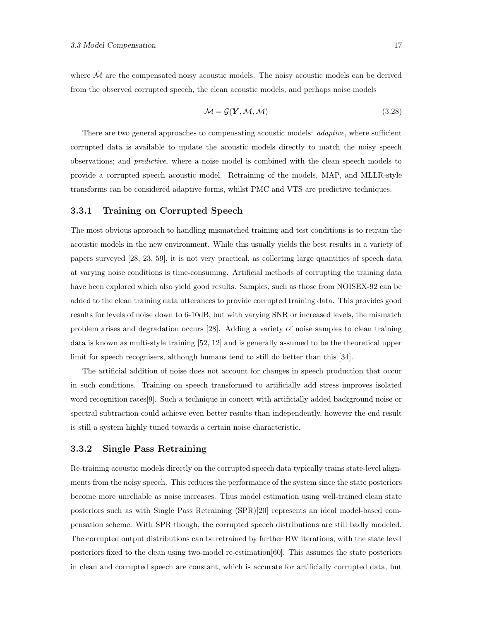where  $\hat{\mathcal{M}}$  are the compensated noisy acoustic models. The noisy acoustic models can be derived from the observed corrupted speech, the clean acoustic models, and perhaps noise models

$$
\hat{\mathcal{M}} = \mathcal{G}(\mathbf{Y}, \mathcal{M}, \tilde{\mathcal{M}}) \tag{3.28}
$$

There are two general approaches to compensating acoustic models: *adaptive*, where sufficient corrupted data is available to update the acoustic models directly to match the noisy speech observations; and predictive, where a noise model is combined with the clean speech models to provide a corrupted speech acoustic model. Retraining of the models, MAP, and MLLR-style transforms can be considered adaptive forms, whilst PMC and VTS are predictive techniques.

#### 3.3.1 Training on Corrupted Speech

The most obvious approach to handling mismatched training and test conditions is to retrain the acoustic models in the new environment. While this usually yields the best results in a variety of papers surveyed [28, 23, 59], it is not very practical, as collecting large quantities of speech data at varying noise conditions is time-consuming. Artificial methods of corrupting the training data have been explored which also yield good results. Samples, such as those from NOISEX-92 can be added to the clean training data utterances to provide corrupted training data. This provides good results for levels of noise down to 6-10dB, but with varying SNR or increased levels, the mismatch problem arises and degradation occurs [28]. Adding a variety of noise samples to clean training data is known as multi-style training [52, 12] and is generally assumed to be the theoretical upper limit for speech recognisers, although humans tend to still do better than this [34].

The artificial addition of noise does not account for changes in speech production that occur in such conditions. Training on speech transformed to artificially add stress improves isolated word recognition rates[9]. Such a technique in concert with artificially added background noise or spectral subtraction could achieve even better results than independently, however the end result is still a system highly tuned towards a certain noise characteristic.

#### 3.3.2 Single Pass Retraining

Re-training acoustic models directly on the corrupted speech data typically trains state-level alignments from the noisy speech. This reduces the performance of the system since the state posteriors become more unreliable as noise increases. Thus model estimation using well-trained clean state posteriors such as with Single Pass Retraining (SPR)[20] represents an ideal model-based compensation scheme. With SPR though, the corrupted speech distributions are still badly modeled. The corrupted output distributions can be retrained by further BW iterations, with the state level posteriors fixed to the clean using two-model re-estimation[60]. This assumes the state posteriors in clean and corrupted speech are constant, which is accurate for artificially corrupted data, but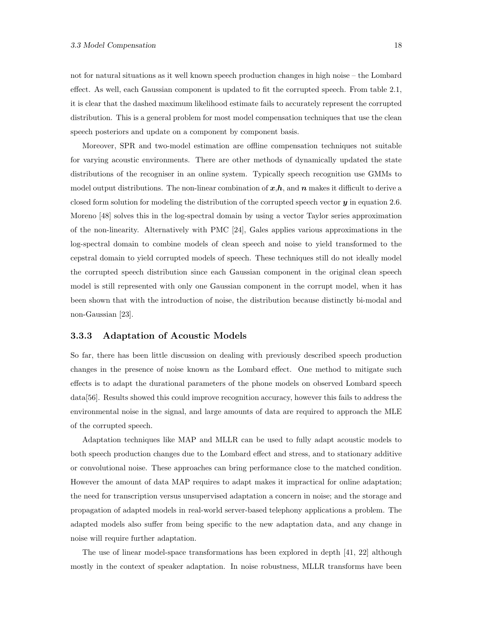not for natural situations as it well known speech production changes in high noise – the Lombard effect. As well, each Gaussian component is updated to fit the corrupted speech. From table 2.1, it is clear that the dashed maximum likelihood estimate fails to accurately represent the corrupted distribution. This is a general problem for most model compensation techniques that use the clean speech posteriors and update on a component by component basis.

Moreover, SPR and two-model estimation are offline compensation techniques not suitable for varying acoustic environments. There are other methods of dynamically updated the state distributions of the recogniser in an online system. Typically speech recognition use GMMs to model output distributions. The non-linear combination of  $x,h$ , and  $n$  makes it difficult to derive a closed form solution for modeling the distribution of the corrupted speech vector  $y$  in equation 2.6. Moreno [48] solves this in the log-spectral domain by using a vector Taylor series approximation of the non-linearity. Alternatively with PMC [24], Gales applies various approximations in the log-spectral domain to combine models of clean speech and noise to yield transformed to the cepstral domain to yield corrupted models of speech. These techniques still do not ideally model the corrupted speech distribution since each Gaussian component in the original clean speech model is still represented with only one Gaussian component in the corrupt model, when it has been shown that with the introduction of noise, the distribution because distinctly bi-modal and non-Gaussian [23].

#### 3.3.3 Adaptation of Acoustic Models

So far, there has been little discussion on dealing with previously described speech production changes in the presence of noise known as the Lombard effect. One method to mitigate such effects is to adapt the durational parameters of the phone models on observed Lombard speech data[56]. Results showed this could improve recognition accuracy, however this fails to address the environmental noise in the signal, and large amounts of data are required to approach the MLE of the corrupted speech.

Adaptation techniques like MAP and MLLR can be used to fully adapt acoustic models to both speech production changes due to the Lombard effect and stress, and to stationary additive or convolutional noise. These approaches can bring performance close to the matched condition. However the amount of data MAP requires to adapt makes it impractical for online adaptation; the need for transcription versus unsupervised adaptation a concern in noise; and the storage and propagation of adapted models in real-world server-based telephony applications a problem. The adapted models also suffer from being specific to the new adaptation data, and any change in noise will require further adaptation.

The use of linear model-space transformations has been explored in depth [41, 22] although mostly in the context of speaker adaptation. In noise robustness, MLLR transforms have been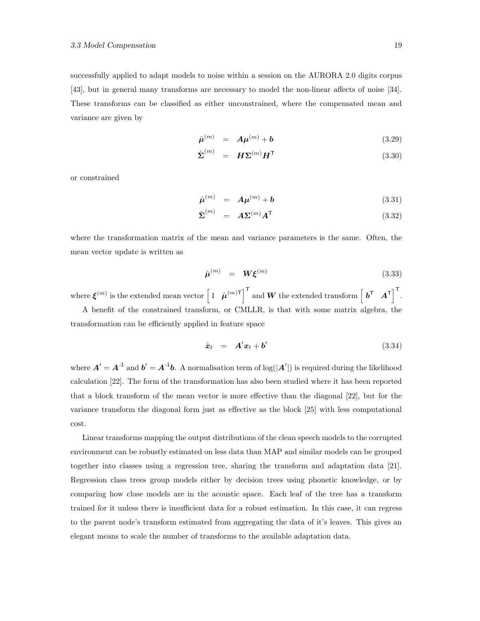successfully applied to adapt models to noise within a session on the AURORA 2.0 digits corpus [43], but in general many transforms are necessary to model the non-linear affects of noise [34]. These transforms can be classified as either unconstrained, where the compensated mean and variance are given by

$$
\hat{\boldsymbol{\mu}}^{(m)} = A\boldsymbol{\mu}^{(m)} + \boldsymbol{b} \tag{3.29}
$$

$$
\hat{\boldsymbol{\Sigma}}^{(m)} = \boldsymbol{H} \boldsymbol{\Sigma}^{(m)} \boldsymbol{H}^{\mathsf{T}}
$$
\n(3.30)

or constrained

$$
\hat{\boldsymbol{\mu}}^{(m)} = A\boldsymbol{\mu}^{(m)} + \boldsymbol{b} \tag{3.31}
$$

$$
\hat{\boldsymbol{\Sigma}}^{(m)} = A \boldsymbol{\Sigma}^{(m)} A^{\mathsf{T}} \tag{3.32}
$$

where the transformation matrix of the mean and variance parameters is the same. Often, the mean vector update is written as

$$
\hat{\boldsymbol{\mu}}^{(m)} = \boldsymbol{W}\boldsymbol{\xi}^{(m)} \tag{3.33}
$$

where  $\boldsymbol{\xi}^{(m)}$  is the extended mean vector  $\begin{bmatrix} 1 & \hat{\boldsymbol{\mu}}^{(m)\mathsf{T}} \end{bmatrix}^{\mathsf{T}}$  and  $\boldsymbol{W}$  the extended transform  $\begin{bmatrix} \boldsymbol{b}^{\mathsf{T}} & \boldsymbol{A}^{\mathsf{T}} \end{bmatrix}^{\mathsf{T}}$ . A benefit of the constrained transform, or CMLLR, is that with some matrix algebra, the transformation can be efficiently applied in feature space

$$
\hat{\boldsymbol{x}}_t = \boldsymbol{A}' \boldsymbol{x}_t + \boldsymbol{b}' \tag{3.34}
$$

where  $A' = A^{-1}$  and  $b' = A^{-1}b$ . A normalisation term of  $\log(|A'|)$  is required during the likelihood calculation [22]. The form of the transformation has also been studied where it has been reported that a block transform of the mean vector is more effective than the diagonal [22], but for the variance transform the diagonal form just as effective as the block [25] with less computational cost.

Linear transforms mapping the output distributions of the clean speech models to the corrupted environment can be robustly estimated on less data than MAP and similar models can be grouped together into classes using a regression tree, sharing the transform and adaptation data [21]. Regression class trees group models either by decision trees using phonetic knowledge, or by comparing how close models are in the acoustic space. Each leaf of the tree has a transform trained for it unless there is insufficient data for a robust estimation. In this case, it can regress to the parent node's transform estimated from aggregating the data of it's leaves. This gives an elegant means to scale the number of transforms to the available adaptation data.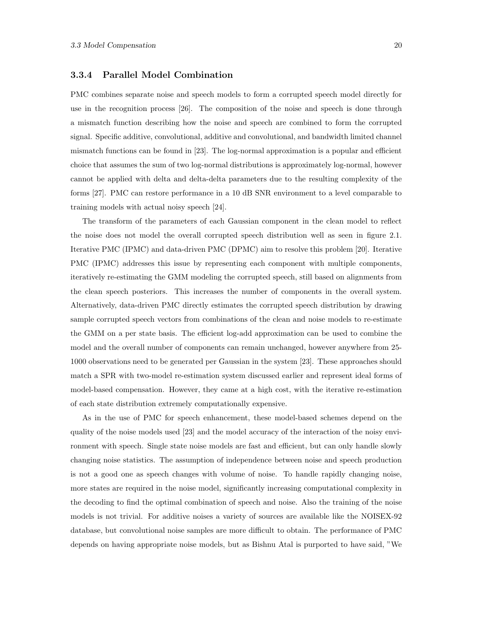#### 3.3.4 Parallel Model Combination

PMC combines separate noise and speech models to form a corrupted speech model directly for use in the recognition process [26]. The composition of the noise and speech is done through a mismatch function describing how the noise and speech are combined to form the corrupted signal. Specific additive, convolutional, additive and convolutional, and bandwidth limited channel mismatch functions can be found in [23]. The log-normal approximation is a popular and efficient choice that assumes the sum of two log-normal distributions is approximately log-normal, however cannot be applied with delta and delta-delta parameters due to the resulting complexity of the forms [27]. PMC can restore performance in a 10 dB SNR environment to a level comparable to training models with actual noisy speech [24].

The transform of the parameters of each Gaussian component in the clean model to reflect the noise does not model the overall corrupted speech distribution well as seen in figure 2.1. Iterative PMC (IPMC) and data-driven PMC (DPMC) aim to resolve this problem [20]. Iterative PMC (IPMC) addresses this issue by representing each component with multiple components, iteratively re-estimating the GMM modeling the corrupted speech, still based on alignments from the clean speech posteriors. This increases the number of components in the overall system. Alternatively, data-driven PMC directly estimates the corrupted speech distribution by drawing sample corrupted speech vectors from combinations of the clean and noise models to re-estimate the GMM on a per state basis. The efficient log-add approximation can be used to combine the model and the overall number of components can remain unchanged, however anywhere from 25- 1000 observations need to be generated per Gaussian in the system [23]. These approaches should match a SPR with two-model re-estimation system discussed earlier and represent ideal forms of model-based compensation. However, they came at a high cost, with the iterative re-estimation of each state distribution extremely computationally expensive.

As in the use of PMC for speech enhancement, these model-based schemes depend on the quality of the noise models used [23] and the model accuracy of the interaction of the noisy environment with speech. Single state noise models are fast and efficient, but can only handle slowly changing noise statistics. The assumption of independence between noise and speech production is not a good one as speech changes with volume of noise. To handle rapidly changing noise, more states are required in the noise model, significantly increasing computational complexity in the decoding to find the optimal combination of speech and noise. Also the training of the noise models is not trivial. For additive noises a variety of sources are available like the NOISEX-92 database, but convolutional noise samples are more difficult to obtain. The performance of PMC depends on having appropriate noise models, but as Bishnu Atal is purported to have said, "We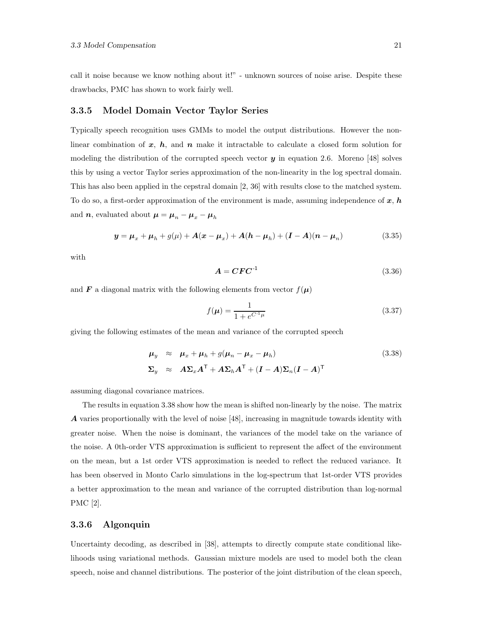call it noise because we know nothing about it!" - unknown sources of noise arise. Despite these drawbacks, PMC has shown to work fairly well.

#### 3.3.5 Model Domain Vector Taylor Series

Typically speech recognition uses GMMs to model the output distributions. However the nonlinear combination of  $x$ ,  $h$ , and  $n$  make it intractable to calculate a closed form solution for modeling the distribution of the corrupted speech vector  $y$  in equation 2.6. Moreno [48] solves this by using a vector Taylor series approximation of the non-linearity in the log spectral domain. This has also been applied in the cepstral domain [2, 36] with results close to the matched system. To do so, a first-order approximation of the environment is made, assuming independence of  $x, h$ and  $n$ , evaluated about  $\mu = \mu_n - \mu_x - \mu_h$ 

$$
y = \mu_x + \mu_h + g(\mu) + A(x - \mu_x) + A(h - \mu_h) + (I - A)(n - \mu_n)
$$
 (3.35)

with

$$
A = CFC^{-1} \tag{3.36}
$$

and **F** a diagonal matrix with the following elements from vector  $f(\mu)$ 

$$
f(\mu) = \frac{1}{1 + e^{C^{-1}\mu}}\tag{3.37}
$$

giving the following estimates of the mean and variance of the corrupted speech

$$
\mu_y \approx \mu_x + \mu_h + g(\mu_n - \mu_x - \mu_h)
$$
  
\n
$$
\Sigma_y \approx A\Sigma_x A^{\mathsf{T}} + A\Sigma_h A^{\mathsf{T}} + (I - A)\Sigma_n (I - A)^{\mathsf{T}}
$$
\n(3.38)

assuming diagonal covariance matrices.

The results in equation 3.38 show how the mean is shifted non-linearly by the noise. The matrix A varies proportionally with the level of noise [48], increasing in magnitude towards identity with greater noise. When the noise is dominant, the variances of the model take on the variance of the noise. A 0th-order VTS approximation is sufficient to represent the affect of the environment on the mean, but a 1st order VTS approximation is needed to reflect the reduced variance. It has been observed in Monto Carlo simulations in the log-spectrum that 1st-order VTS provides a better approximation to the mean and variance of the corrupted distribution than log-normal PMC [2].

#### 3.3.6 Algonquin

Uncertainty decoding, as described in [38], attempts to directly compute state conditional likelihoods using variational methods. Gaussian mixture models are used to model both the clean speech, noise and channel distributions. The posterior of the joint distribution of the clean speech,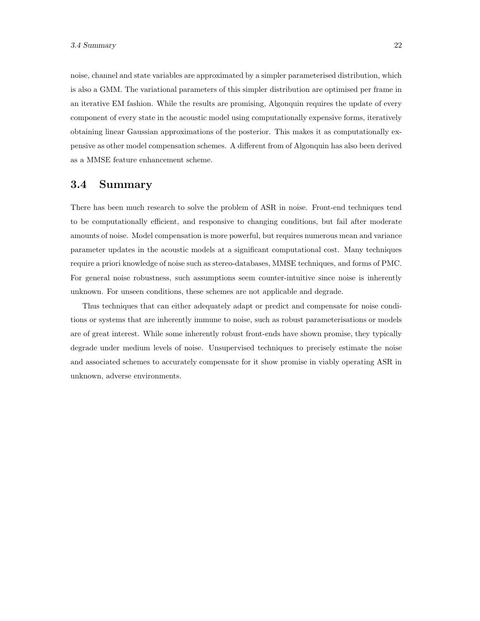noise, channel and state variables are approximated by a simpler parameterised distribution, which is also a GMM. The variational parameters of this simpler distribution are optimised per frame in an iterative EM fashion. While the results are promising, Algonquin requires the update of every component of every state in the acoustic model using computationally expensive forms, iteratively obtaining linear Gaussian approximations of the posterior. This makes it as computationally expensive as other model compensation schemes. A different from of Algonquin has also been derived as a MMSE feature enhancement scheme.

#### 3.4 Summary

There has been much research to solve the problem of ASR in noise. Front-end techniques tend to be computationally efficient, and responsive to changing conditions, but fail after moderate amounts of noise. Model compensation is more powerful, but requires numerous mean and variance parameter updates in the acoustic models at a significant computational cost. Many techniques require a priori knowledge of noise such as stereo-databases, MMSE techniques, and forms of PMC. For general noise robustness, such assumptions seem counter-intuitive since noise is inherently unknown. For unseen conditions, these schemes are not applicable and degrade.

Thus techniques that can either adequately adapt or predict and compensate for noise conditions or systems that are inherently immune to noise, such as robust parameterisations or models are of great interest. While some inherently robust front-ends have shown promise, they typically degrade under medium levels of noise. Unsupervised techniques to precisely estimate the noise and associated schemes to accurately compensate for it show promise in viably operating ASR in unknown, adverse environments.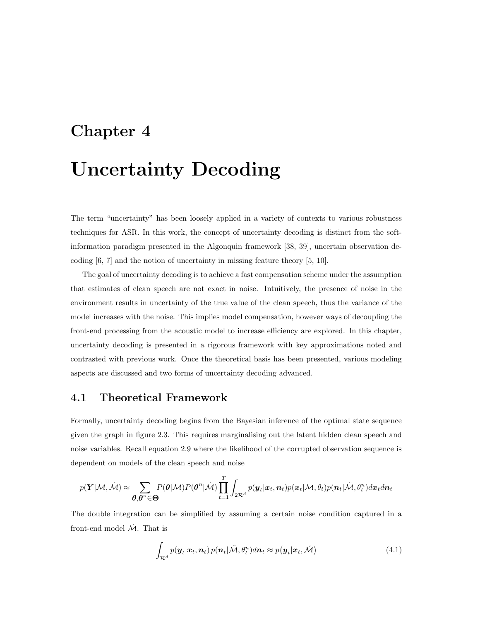## Chapter 4

## Uncertainty Decoding

The term "uncertainty" has been loosely applied in a variety of contexts to various robustness techniques for ASR. In this work, the concept of uncertainty decoding is distinct from the softinformation paradigm presented in the Algonquin framework [38, 39], uncertain observation decoding [6, 7] and the notion of uncertainty in missing feature theory [5, 10].

The goal of uncertainty decoding is to achieve a fast compensation scheme under the assumption that estimates of clean speech are not exact in noise. Intuitively, the presence of noise in the environment results in uncertainty of the true value of the clean speech, thus the variance of the model increases with the noise. This implies model compensation, however ways of decoupling the front-end processing from the acoustic model to increase efficiency are explored. In this chapter, uncertainty decoding is presented in a rigorous framework with key approximations noted and contrasted with previous work. Once the theoretical basis has been presented, various modeling aspects are discussed and two forms of uncertainty decoding advanced.

#### 4.1 Theoretical Framework

Formally, uncertainty decoding begins from the Bayesian inference of the optimal state sequence given the graph in figure 2.3. This requires marginalising out the latent hidden clean speech and noise variables. Recall equation 2.9 where the likelihood of the corrupted observation sequence is dependent on models of the clean speech and noise

$$
p(\boldsymbol{Y}|\mathcal{M},\tilde{\mathcal{M}}) \approx \sum_{\boldsymbol{\theta},\boldsymbol{\theta}^n \in \boldsymbol{\Theta}} P(\boldsymbol{\theta}|\mathcal{M}) P(\boldsymbol{\theta}^n|\tilde{\mathcal{M}}) \prod_{t=1}^T \int_{2\mathcal{R}^d} p(\boldsymbol{y}_t|\boldsymbol{x}_t,\boldsymbol{n}_t) p(\boldsymbol{x}_t|\mathcal{M},\theta_t) p(\boldsymbol{n}_t|\tilde{\mathcal{M}},\theta_t^n) d\boldsymbol{x}_t d\boldsymbol{n}_t
$$

The double integration can be simplified by assuming a certain noise condition captured in a front-end model  $\dot{M}$ . That is

$$
\int_{\mathcal{R}^d} p(\boldsymbol{y}_t | \boldsymbol{x}_t, \boldsymbol{n}_t) p(\boldsymbol{n}_t | \tilde{\mathcal{M}}, \theta_t^n) d\boldsymbol{n}_t \approx p(\boldsymbol{y}_t | \boldsymbol{x}_t, \tilde{\mathcal{M}})
$$
\n(4.1)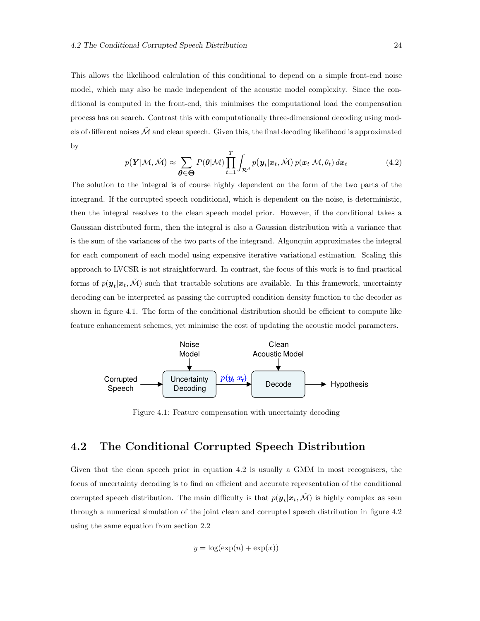This allows the likelihood calculation of this conditional to depend on a simple front-end noise model, which may also be made independent of the acoustic model complexity. Since the conditional is computed in the front-end, this minimises the computational load the compensation process has on search. Contrast this with computationally three-dimensional decoding using models of different noises  $\tilde{\mathcal{M}}$  and clean speech. Given this, the final decoding likelihood is approximated by

$$
p(\boldsymbol{Y}|\mathcal{M},\tilde{\mathcal{M}}) \approx \sum_{\boldsymbol{\theta} \in \boldsymbol{\Theta}} P(\boldsymbol{\theta}|\mathcal{M}) \prod_{t=1}^{T} \int_{\mathcal{R}^d} p(\boldsymbol{y}_t|\boldsymbol{x}_t,\tilde{\mathcal{M}}) p(\boldsymbol{x}_t|\mathcal{M},\theta_t) d\boldsymbol{x}_t
$$
(4.2)

The solution to the integral is of course highly dependent on the form of the two parts of the integrand. If the corrupted speech conditional, which is dependent on the noise, is deterministic, then the integral resolves to the clean speech model prior. However, if the conditional takes a Gaussian distributed form, then the integral is also a Gaussian distribution with a variance that is the sum of the variances of the two parts of the integrand. Algonquin approximates the integral for each component of each model using expensive iterative variational estimation. Scaling this approach to LVCSR is not straightforward. In contrast, the focus of this work is to find practical forms of  $p(\mathbf{y}_t|\mathbf{x}_t, \check{M})$  such that tractable solutions are available. In this framework, uncertainty decoding can be interpreted as passing the corrupted condition density function to the decoder as shown in figure 4.1. The form of the conditional distribution should be efficient to compute like feature enhancement schemes, yet minimise the cost of updating the acoustic model parameters.



Figure 4.1: Feature compensation with uncertainty decoding

#### 4.2 The Conditional Corrupted Speech Distribution

Given that the clean speech prior in equation 4.2 is usually a GMM in most recognisers, the focus of uncertainty decoding is to find an efficient and accurate representation of the conditional corrupted speech distribution. The main difficulty is that  $p(\mathbf{y}_t|\mathbf{x}_t, \check{M})$  is highly complex as seen through a numerical simulation of the joint clean and corrupted speech distribution in figure 4.2 using the same equation from section 2.2

$$
y = \log(\exp(n) + \exp(x))
$$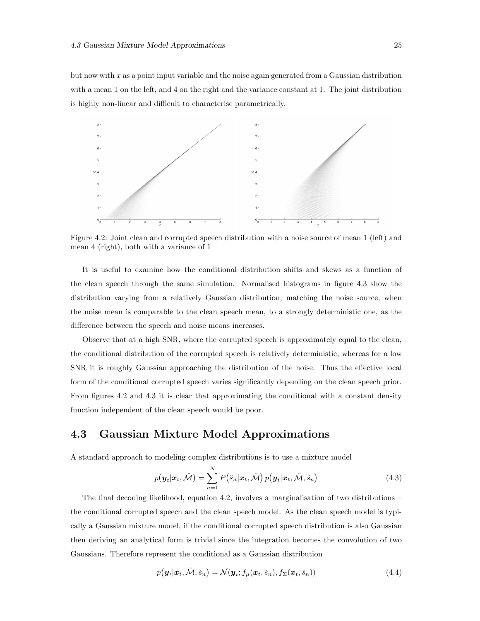but now with x as a point input variable and the noise again generated from a Gaussian distribution with a mean 1 on the left, and 4 on the right and the variance constant at 1. The joint distribution is highly non-linear and difficult to characterise parametrically.



Figure 4.2: Joint clean and corrupted speech distribution with a noise source of mean 1 (left) and mean 4 (right), both with a variance of 1

It is useful to examine how the conditional distribution shifts and skews as a function of the clean speech through the same simulation. Normalised histograms in figure 4.3 show the distribution varying from a relatively Gaussian distribution, matching the noise source, when the noise mean is comparable to the clean speech mean, to a strongly deterministic one, as the difference between the speech and noise means increases.

Observe that at a high SNR, where the corrupted speech is approximately equal to the clean, the conditional distribution of the corrupted speech is relatively deterministic, whereas for a low SNR it is roughly Gaussian approaching the distribution of the noise. Thus the effective local form of the conditional corrupted speech varies significantly depending on the clean speech prior. From figures 4.2 and 4.3 it is clear that approximating the conditional with a constant density function independent of the clean speech would be poor.

#### 4.3 Gaussian Mixture Model Approximations

A standard approach to modeling complex distributions is to use a mixture model

$$
p(\boldsymbol{y}_t|\boldsymbol{x}_t, \check{\mathcal{M}}) = \sum_{n=1}^N P(\check{s}_n|\boldsymbol{x}_t, \check{\mathcal{M}}) p(\boldsymbol{y}_t|\boldsymbol{x}_t, \check{\mathcal{M}}, \check{s}_n)
$$
(4.3)

The final decoding likelihood, equation 4.2, involves a marginalisation of two distributions – the conditional corrupted speech and the clean speech model. As the clean speech model is typically a Gaussian mixture model, if the conditional corrupted speech distribution is also Gaussian then deriving an analytical form is trivial since the integration becomes the convolution of two Gaussians. Therefore represent the conditional as a Gaussian distribution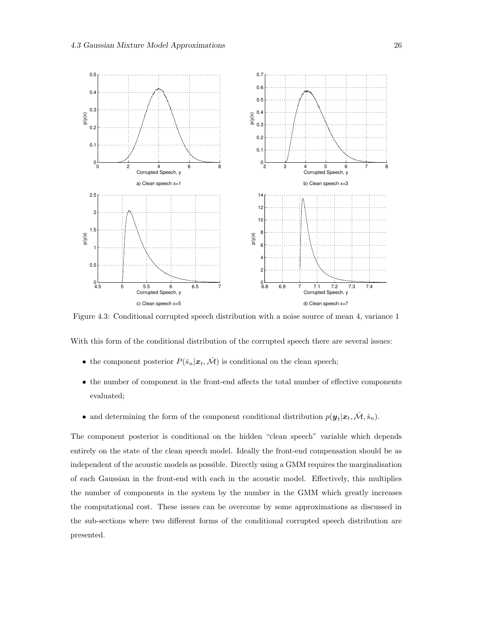

Figure 4.3: Conditional corrupted speech distribution with a noise source of mean 4, variance 1

With this form of the conditional distribution of the corrupted speech there are several issues:

- the component posterior  $P(\check{s}_n|\boldsymbol{x}_t,\check{\mathcal{M}})$  is conditional on the clean speech;
- the number of component in the front-end affects the total number of effective components evaluated;
- and determining the form of the component conditional distribution  $p(\mathbf{y}_t|\mathbf{x}_t, \check{\mathcal{M}}, \check{s}_n)$ .

The component posterior is conditional on the hidden "clean speech" variable which depends entirely on the state of the clean speech model. Ideally the front-end compensation should be as independent of the acoustic models as possible. Directly using a GMM requires the marginalisation of each Gaussian in the front-end with each in the acoustic model. Effectively, this multiplies the number of components in the system by the number in the GMM which greatly increases the computational cost. These issues can be overcome by some approximations as discussed in the sub-sections where two different forms of the conditional corrupted speech distribution are presented.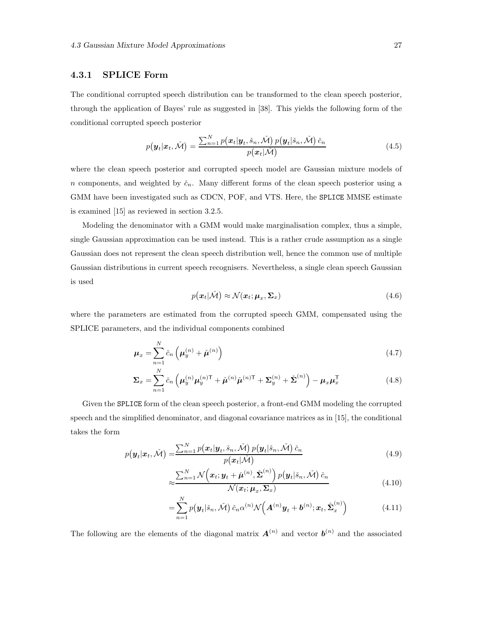#### 4.3.1 SPLICE Form

The conditional corrupted speech distribution can be transformed to the clean speech posterior, through the application of Bayes' rule as suggested in [38]. This yields the following form of the conditional corrupted speech posterior

$$
p(\boldsymbol{y}_t|\boldsymbol{x}_t, \check{\mathcal{M}}) = \frac{\sum_{n=1}^N p(\boldsymbol{x}_t|\boldsymbol{y}_t, \check{s}_n, \check{\mathcal{M}}) p(\boldsymbol{y}_t|\check{s}_n, \check{\mathcal{M}}) \check{c}_n}{p(\boldsymbol{x}_t|\check{\mathcal{M}})}
$$
(4.5)

where the clean speech posterior and corrupted speech model are Gaussian mixture models of n components, and weighted by  $\check{c}_n$ . Many different forms of the clean speech posterior using a GMM have been investigated such as CDCN, POF, and VTS. Here, the SPLICE MMSE estimate is examined [15] as reviewed in section 3.2.5.

Modeling the denominator with a GMM would make marginalisation complex, thus a simple, single Gaussian approximation can be used instead. This is a rather crude assumption as a single Gaussian does not represent the clean speech distribution well, hence the common use of multiple Gaussian distributions in current speech recognisers. Nevertheless, a single clean speech Gaussian is used

$$
p(\mathbf{x}_t|\tilde{\mathcal{M}}) \approx \mathcal{N}(\mathbf{x}_t; \boldsymbol{\mu}_x, \boldsymbol{\Sigma}_x)
$$
\n(4.6)

where the parameters are estimated from the corrupted speech GMM, compensated using the SPLICE parameters, and the individual components combined

$$
\mu_x = \sum_{n=1}^N \check{c}_n \left( \mu_y^{(n)} + \check{\mu}^{(n)} \right)
$$
\n(4.7)

$$
\Sigma_x = \sum_{n=1}^N \check{c}_n \left( \mu_y^{(n)} \mu_y^{(n)T} + \check{\mu}^{(n)} \check{\mu}^{(n)T} + \Sigma_y^{(n)} + \check{\Sigma}^{(n)} \right) - \mu_x \mu_x^T
$$
(4.8)

Given the SPLICE form of the clean speech posterior, a front-end GMM modeling the corrupted speech and the simplified denominator, and diagonal covariance matrices as in [15], the conditional takes the form

$$
p(\boldsymbol{y}_t|\boldsymbol{x}_t, \check{\mathcal{M}}) = \frac{\sum_{n=1}^N p(\boldsymbol{x}_t|\boldsymbol{y}_t, \check{s}_n, \check{\mathcal{M}}) p(\boldsymbol{y}_t|\check{s}_n, \check{\mathcal{M}}) \check{c}_n}{p(\boldsymbol{x}_t|\check{\mathcal{M}})}
$$
(4.9)

$$
\approx \frac{\sum_{n=1}^{N} \mathcal{N}\left(\boldsymbol{x}_{t}; \boldsymbol{y}_{t} + \check{\boldsymbol{\mu}}^{(n)}, \check{\boldsymbol{\Sigma}}^{(n)}\right) p\left(\boldsymbol{y}_{t} | \check{s}_{n}, \check{\mathcal{M}}\right) \check{c}_{n}}{\mathcal{N}(\boldsymbol{x}_{t}; \boldsymbol{\mu}_{x}, \boldsymbol{\Sigma}_{x})}
$$
(4.10)

$$
= \sum_{n=1}^{N} p(\boldsymbol{y}_t | \check{s}_n, \check{\mathcal{M}}) \check{c}_n \alpha^{(n)} \mathcal{N} \left( \boldsymbol{A}^{(n)} \boldsymbol{y}_t + \boldsymbol{b}^{(n)}; \boldsymbol{x}_t, \hat{\boldsymbol{\Sigma}}_x^{(n)} \right) \tag{4.11}
$$

The following are the elements of the diagonal matrix  $A^{(n)}$  and vector  $b^{(n)}$  and the associated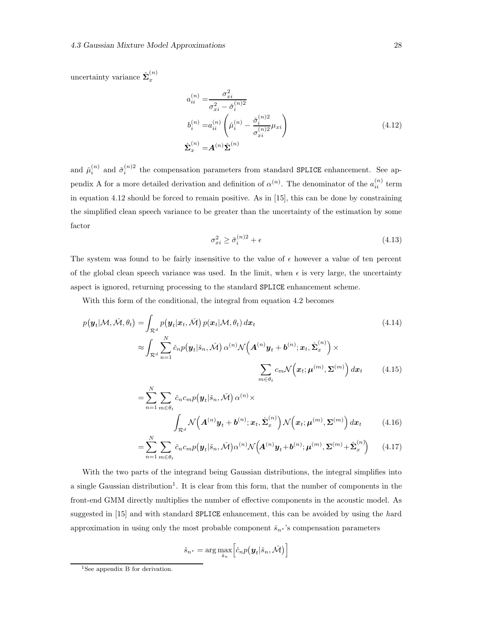uncertainty variance  $\hat{\Sigma}_x^{(n)}$ x

$$
a_{ii}^{(n)} = \frac{\sigma_{xi}^2}{\sigma_{xi}^2 - \check{\sigma}_i^{(n)2}}
$$
  
\n
$$
b_i^{(n)} = a_{ii}^{(n)} \left( \check{\mu}_i^{(n)} - \frac{\check{\sigma}_i^{(n)2}}{\sigma_{xi}^{(n)2}} \mu_{xi} \right)
$$
  
\n
$$
\hat{\Sigma}_x^{(n)} = A^{(n)} \check{\Sigma}^{(n)}
$$
\n(4.12)

and  $\mu_i^{(n)}$  and  $\sigma_i^{(n)}$ ? the compensation parameters from standard SPLICE enhancement. See appendix A for a more detailed derivation and definition of  $\alpha^{(n)}$ . The denominator of the  $a_{ii}^{(n)}$  term in equation 4.12 should be forced to remain positive. As in [15], this can be done by constraining the simplified clean speech variance to be greater than the uncertainty of the estimation by some factor

$$
\sigma_{xi}^2 \ge \check{\sigma}_i^{(n)2} + \epsilon \tag{4.13}
$$

The system was found to be fairly insensitive to the value of  $\epsilon$  however a value of ten percent of the global clean speech variance was used. In the limit, when  $\epsilon$  is very large, the uncertainty aspect is ignored, returning processing to the standard SPLICE enhancement scheme.

With this form of the conditional, the integral from equation 4.2 becomes

$$
p(\mathbf{y}_t | \mathcal{M}, \tilde{\mathcal{M}}, \theta_t) = \int_{\mathcal{R}^d} p(\mathbf{y}_t | \mathbf{x}_t, \tilde{\mathcal{M}}) p(\mathbf{x}_t | \mathcal{M}, \theta_t) d\mathbf{x}_t
$$
\n
$$
\approx \int_{\mathcal{R}^d} \sum_{n=1}^N \tilde{c}_n p(\mathbf{y}_t | \tilde{s}_n, \tilde{\mathcal{M}}) \alpha^{(n)} \mathcal{N}(\mathbf{A}^{(n)} \mathbf{y}_t + \mathbf{b}^{(n)}; \mathbf{x}_t, \hat{\Sigma}_x^{(n)}) \times \sum_{m \in \theta_t} c_m \mathcal{N}(\mathbf{x}_t; \boldsymbol{\mu}^{(m)}, \boldsymbol{\Sigma}^{(m)}) d\mathbf{x}_t
$$
\n(4.15)

$$
= \sum_{n=1}^{N} \sum_{m \in \theta_t} \check{c}_n c_m p(\boldsymbol{y}_t | \check{s}_n, \check{\mathcal{M}}) \alpha^{(n)} \times \int_{\mathcal{R}^d} \mathcal{N}\left(\boldsymbol{A}^{(n)} \boldsymbol{y}_t + \boldsymbol{b}^{(n)}; \boldsymbol{x}_t, \hat{\boldsymbol{\Sigma}}_x^{(n)}\right) \mathcal{N}\left(\boldsymbol{x}_t; \boldsymbol{\mu}^{(m)}, \boldsymbol{\Sigma}^{(m)}\right) d\boldsymbol{x}_t \tag{4.16}
$$

$$
=\sum_{n=1}^{N}\sum_{m\in\theta_t}\check{c}_nc_m p(\boldsymbol{y}_t|\check{s}_n,\check{\mathcal{M}})\alpha^{(n)}\mathcal{N}\Big(\boldsymbol{A}^{(n)}\boldsymbol{y}_t+\boldsymbol{b}^{(n)};\boldsymbol{\mu}^{(m)},\boldsymbol{\Sigma}^{(m)}+\hat{\boldsymbol{\Sigma}}_x^{(n)}\Big) \qquad(4.17)
$$

With the two parts of the integrand being Gaussian distributions, the integral simplifies into a single Gaussian distribution<sup>1</sup>. It is clear from this form, that the number of components in the front-end GMM directly multiplies the number of effective components in the acoustic model. As suggested in [15] and with standard **SPLICE** enhancement, this can be avoided by using the hard approximation in using only the most probable component  $\check{s}_n*$ 's compensation parameters

$$
\check{s}_{n^*} = \arg\max_{\check{s}_n} \left[ \check{c}_n p(\boldsymbol{y}_t | \check{s}_n, \check{\mathcal{M}}) \right]
$$

<sup>&</sup>lt;sup>1</sup>See appendix B for derivation.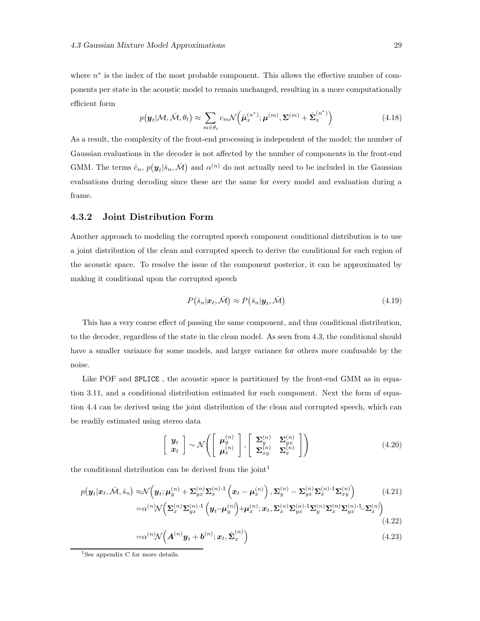where  $n^*$  is the index of the most probable component. This allows the effective number of components per state in the acoustic model to remain unchanged, resulting in a more computationally efficient form

$$
p(\mathbf{y}_t|\mathcal{M}, \tilde{\mathcal{M}}, \theta_t) \approx \sum_{m \in \theta_t} c_m \mathcal{N}\left(\hat{\boldsymbol{\mu}}_x^{(n^*)}; \boldsymbol{\mu}^{(m)}, \boldsymbol{\Sigma}^{(m)} + \hat{\boldsymbol{\Sigma}}_x^{(n^*)}\right)
$$
(4.18)

As a result, the complexity of the front-end processing is independent of the model; the number of Gaussian evaluations in the decoder is not affected by the number of components in the front-end GMM. The terms  $\check{c}_n$ ,  $p(\mathbf{y}_t | \check{s}_n, \check{\mathcal{M}})$  and  $\alpha^{(n)}$  do not actually need to be included in the Gaussian evaluations during decoding since these are the same for every model and evaluation during a frame.

#### 4.3.2 Joint Distribution Form

Another approach to modeling the corrupted speech component conditional distribution is to use a joint distribution of the clean and corrupted speech to derive the conditional for each region of the acoustic space. To resolve the issue of the component posterior, it can be approximated by making it conditional upon the corrupted speech

$$
P(\check{s}_n|\boldsymbol{x}_t, \check{\mathcal{M}}) \approx P(\check{s}_n|\boldsymbol{y}_t, \check{\mathcal{M}})
$$
\n(4.19)

This has a very coarse effect of passing the same component, and thus conditional distribution, to the decoder, regardless of the state in the clean model. As seen from 4.3, the conditional should have a smaller variance for some models, and larger variance for others more confusable by the noise.

Like POF and SPLICE, the acoustic space is partitioned by the front-end GMM as in equation 3.11, and a conditional distribution estimated for each component. Next the form of equation 4.4 can be derived using the joint distribution of the clean and corrupted speech, which can be readily estimated using stereo data

$$
\begin{bmatrix}\n\mathbf{y}_t \\
\mathbf{x}_t\n\end{bmatrix}\n\sim \mathcal{N}\left(\begin{bmatrix}\n\mu_y^{(n)} \\
\mu_x^{(n)}\n\end{bmatrix}, \begin{bmatrix}\n\Sigma_y^{(n)} & \Sigma_{yx}^{(n)} \\
\Sigma_{xy}^{(n)} & \Sigma_x^{(n)}\n\end{bmatrix}\right)
$$
\n(4.20)

the conditional distribution can be derived from the joint 1

$$
p(\mathbf{y}_t|\mathbf{x}_t, \check{\mathcal{M}}, \check{s}_n) \approx \mathcal{N}\left(\mathbf{y}_t; \boldsymbol{\mu}_y^{(n)} + \boldsymbol{\Sigma}_{yx}^{(n)} \boldsymbol{\Sigma}_x^{(n)-1} \left(\mathbf{x}_t - \boldsymbol{\mu}_x^{(n)}\right), \boldsymbol{\Sigma}_y^{(n)} - \boldsymbol{\Sigma}_{yx}^{(n)} \boldsymbol{\Sigma}_x^{(n)-1} \boldsymbol{\Sigma}_{xy}^{(n)}\right) \tag{4.21}
$$
\n
$$
= \alpha^{(n)} \mathcal{N}\left(\boldsymbol{\Sigma}_x^{(n)} \boldsymbol{\Sigma}_{yx}^{(n)-1} \left(\mathbf{y}_t - \boldsymbol{\mu}_y^{(n)}\right) + \boldsymbol{\mu}_x^{(n)}; \mathbf{x}_t, \boldsymbol{\Sigma}_x^{(n)} \boldsymbol{\Sigma}_{yx}^{(n)-1} \boldsymbol{\Sigma}_y^{(n)} \boldsymbol{\Sigma}_{yx}^{(n)-1} \boldsymbol{\Sigma}_x^{(n)}\right)
$$

$$
(4.22)
$$

$$
=\alpha^{(n)}\mathcal{N}\left(\mathbf{A}^{(n)}\mathbf{y}_t+\mathbf{b}^{(n)};\mathbf{x}_t,\hat{\boldsymbol{\Sigma}}_x^{(n)}\right)
$$
(4.23)

<sup>&</sup>lt;sup>1</sup>See appendix C for more details.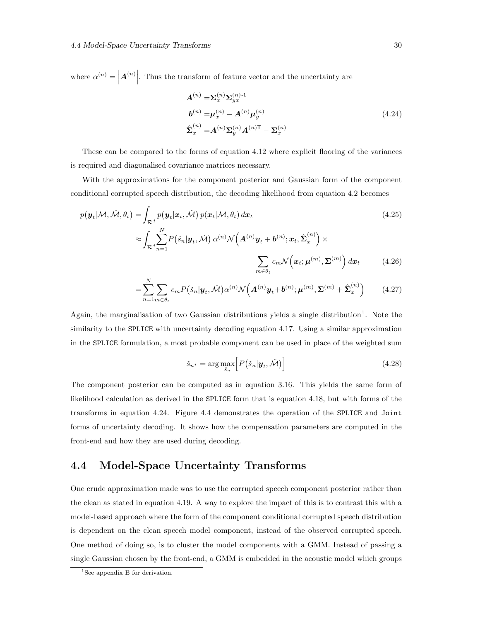where  $\alpha^{(n)} =$  $A^{(n)}$ . Thus the transform of feature vector and the uncertainty are

$$
A^{(n)} = \Sigma_x^{(n)} \Sigma_{yx}^{(n)-1}
$$
  
\n
$$
b^{(n)} = \mu_x^{(n)} - A^{(n)} \mu_y^{(n)}
$$
  
\n
$$
\hat{\Sigma}_x^{(n)} = A^{(n)} \Sigma_y^{(n)} A^{(n)T} - \Sigma_x^{(n)}
$$
\n(4.24)

These can be compared to the forms of equation 4.12 where explicit flooring of the variances is required and diagonalised covariance matrices necessary.

With the approximations for the component posterior and Gaussian form of the component conditional corrupted speech distribution, the decoding likelihood from equation 4.2 becomes

$$
p(\mathbf{y}_t | \mathcal{M}, \check{\mathcal{M}}, \theta_t) = \int_{\mathcal{R}^d} p(\mathbf{y}_t | \mathbf{x}_t, \check{\mathcal{M}}) p(\mathbf{x}_t | \mathcal{M}, \theta_t) d\mathbf{x}_t
$$
\n
$$
\approx \int_{\mathcal{R}^d} \sum_{n=1}^N P(\check{s}_n | \mathbf{y}_t, \check{\mathcal{M}}) \alpha^{(n)} \mathcal{N}\Big(\mathbf{A}^{(n)} \mathbf{y}_t + \mathbf{b}^{(n)}; \mathbf{x}_t, \hat{\boldsymbol{\Sigma}}_x^{(n)}\Big) \times
$$
\n
$$
\sum_{n=1}^N \mathcal{N}\Big(\mathbf{x}_t | \mathbf{x}_t | \mathbf{y}_t \Big) d\mathbf{x}_n
$$
\n(4.26)

$$
\sum_{m \in \theta_t} c_m \mathcal{N}\Big(\mathbf{x}_t; \boldsymbol{\mu}^{(m)}, \boldsymbol{\Sigma}^{(m)}\Big) \, d\mathbf{x}_t \tag{4.26}
$$

$$
=\sum_{n=1}^{N} \sum_{m \in \theta_t} c_m P(\check{s}_n | \mathbf{y}_t, \check{\mathcal{M}}) \alpha^{(n)} \mathcal{N}\Big(\mathbf{A}^{(n)} \mathbf{y}_t + \mathbf{b}^{(n)}; \boldsymbol{\mu}^{(m)}, \boldsymbol{\Sigma}^{(m)} + \hat{\boldsymbol{\Sigma}}_x^{(n)}\Big) \qquad (4.27)
$$

Again, the marginalisation of two Gaussian distributions yields a single distribution<sup>1</sup>. Note the similarity to the SPLICE with uncertainty decoding equation 4.17. Using a similar approximation in the SPLICE formulation, a most probable component can be used in place of the weighted sum

$$
\check{s}_{n^*} = \arg \max_{\check{s}_n} \left[ P(\check{s}_n | \boldsymbol{y}_t, \check{\mathcal{M}}) \right]
$$
(4.28)

The component posterior can be computed as in equation 3.16. This yields the same form of likelihood calculation as derived in the SPLICE form that is equation 4.18, but with forms of the transforms in equation 4.24. Figure 4.4 demonstrates the operation of the SPLICE and Joint forms of uncertainty decoding. It shows how the compensation parameters are computed in the front-end and how they are used during decoding.

# 4.4 Model-Space Uncertainty Transforms

One crude approximation made was to use the corrupted speech component posterior rather than the clean as stated in equation 4.19. A way to explore the impact of this is to contrast this with a model-based approach where the form of the component conditional corrupted speech distribution is dependent on the clean speech model component, instead of the observed corrupted speech. One method of doing so, is to cluster the model components with a GMM. Instead of passing a single Gaussian chosen by the front-end, a GMM is embedded in the acoustic model which groups

<sup>&</sup>lt;sup>1</sup>See appendix B for derivation.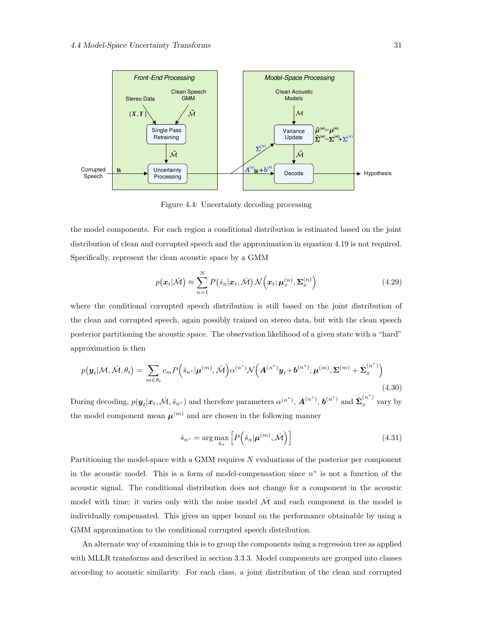

Figure 4.4: Uncertainty decoding processing

the model components. For each region a conditional distribution is estimated based on the joint distribution of clean and corrupted speech and the approximation in equation 4.19 is not required. Specifically, represent the clean acoustic space by a GMM

$$
p(\boldsymbol{x}_t|\tilde{\mathcal{M}}) \approx \sum_{n=1}^N P(\check{s}_n|\boldsymbol{x}_t, \tilde{\mathcal{M}}) \mathcal{N}(\boldsymbol{x}_t; \boldsymbol{\mu}_x^{(n)}, \boldsymbol{\Sigma}_x^{(n)})
$$
(4.29)

where the conditional corrupted speech distribution is still based on the joint distribution of the clean and corrupted speech, again possibly trained on stereo data, but with the clean speech posterior partitioning the acoustic space. The observation likelihood of a given state with a "hard" approximation is then

$$
p(\boldsymbol{y}_t | \mathcal{M}, \check{\mathcal{M}}, \theta_t) = \sum_{m \in \theta_t} c_m P\left(\check{s}_{n^*} | \boldsymbol{\mu}^{(m)}, \check{\mathcal{M}}\right) \alpha^{(n^*)} \mathcal{N}\left(\boldsymbol{A}^{(n^*)} \boldsymbol{y}_t + \boldsymbol{b}^{(n^*)}; \boldsymbol{\mu}^{(m)}, \boldsymbol{\Sigma}^{(m)} + \hat{\boldsymbol{\Sigma}}_x^{(n^*)}\right)
$$
\n(4.30)

During decoding,  $p(\mathbf{y}_t|\mathbf{x}_t, \tilde{\mathcal{M}}, \check{s}_{n^*})$  and therefore parameters  $\alpha^{(n^*)}$ ,  $\mathbf{A}^{(n^*)}$ ,  $\mathbf{b}^{(n^*)}$  and  $\hat{\boldsymbol{\Sigma}}_x^{(n^*)}$  vary by the model component mean  $\mu^{(m)}$  and are chosen in the following manner

$$
\check{s}_{n^*} = \arg \max_{\check{s}_n} \left[ P\left(\check{s}_n | \boldsymbol{\mu}^{(m)}, \check{\mathcal{M}}\right) \right] \tag{4.31}
$$

Partitioning the model-space with a GMM requires N evaluations of the posterior per component in the acoustic model. This is a form of model-compensation since  $n^*$  is not a function of the acoustic signal. The conditional distribution does not change for a component in the acoustic model with time; it varies only with the noise model  $\check{\mathcal{M}}$  and each component in the model is individually compensated. This gives an upper bound on the performance obtainable by using a GMM approximation to the conditional corrupted speech distribution.

An alternate way of examining this is to group the components using a regression tree as applied with MLLR transforms and described in section 3.3.3. Model components are grouped into classes according to acoustic similarity. For each class, a joint distribution of the clean and corrupted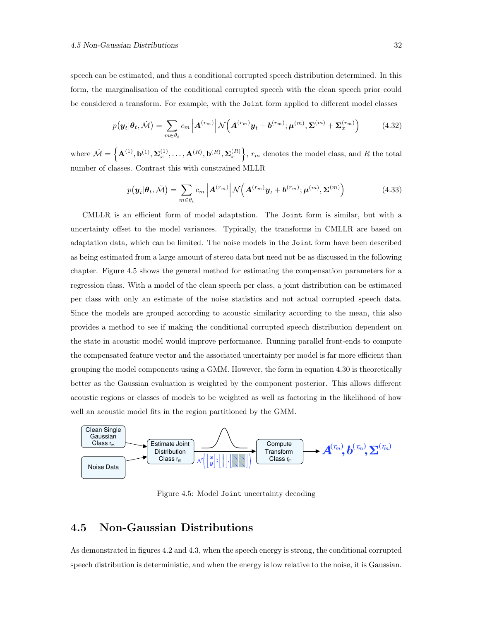speech can be estimated, and thus a conditional corrupted speech distribution determined. In this form, the marginalisation of the conditional corrupted speech with the clean speech prior could be considered a transform. For example, with the Joint form applied to different model classes

$$
p(\boldsymbol{y}_t|\boldsymbol{\theta}_t, \check{\mathcal{M}}) = \sum_{m \in \theta_t} c_m \left| \boldsymbol{A}^{(r_m)} \right| \mathcal{N} \left( \boldsymbol{A}^{(r_m)} \boldsymbol{y}_t + \boldsymbol{b}^{(r_m)}; \boldsymbol{\mu}^{(m)}, \boldsymbol{\Sigma}^{(m)} + \boldsymbol{\Sigma}_x^{(r_m)} \right) \tag{4.32}
$$

where  $\check{\mathcal{M}} = \left\{ \mathbf{A}^{(1)}, \mathbf{b}^{(1)}, \boldsymbol{\Sigma}_x^{(1)}, \ldots, \mathbf{A}^{(R)}, \mathbf{b}^{(R)}, \boldsymbol{\Sigma}_x^{(R)} \right\}$ ,  $r_m$  denotes the model class, and R the total number of classes. Contrast this with constrained MLLR

$$
p(\boldsymbol{y}_t|\boldsymbol{\theta}_t, \check{\mathcal{M}}) = \sum_{m \in \theta_t} c_m \left| \boldsymbol{A}^{(r_m)} \right| \mathcal{N} \left( \boldsymbol{A}^{(r_m)} \boldsymbol{y}_t + \boldsymbol{b}^{(r_m)}; \boldsymbol{\mu}^{(m)}, \boldsymbol{\Sigma}^{(m)} \right) \tag{4.33}
$$

CMLLR is an efficient form of model adaptation. The Joint form is similar, but with a uncertainty offset to the model variances. Typically, the transforms in CMLLR are based on adaptation data, which can be limited. The noise models in the Joint form have been described as being estimated from a large amount of stereo data but need not be as discussed in the following chapter. Figure 4.5 shows the general method for estimating the compensation parameters for a regression class. With a model of the clean speech per class, a joint distribution can be estimated per class with only an estimate of the noise statistics and not actual corrupted speech data. Since the models are grouped according to acoustic similarity according to the mean, this also provides a method to see if making the conditional corrupted speech distribution dependent on the state in acoustic model would improve performance. Running parallel front-ends to compute the compensated feature vector and the associated uncertainty per model is far more efficient than grouping the model components using a GMM. However, the form in equation 4.30 is theoretically better as the Gaussian evaluation is weighted by the component posterior. This allows different acoustic regions or classes of models to be weighted as well as factoring in the likelihood of how well an acoustic model fits in the region partitioned by the GMM.



Figure 4.5: Model Joint uncertainty decoding

### 4.5 Non-Gaussian Distributions

As demonstrated in figures 4.2 and 4.3, when the speech energy is strong, the conditional corrupted speech distribution is deterministic, and when the energy is low relative to the noise, it is Gaussian.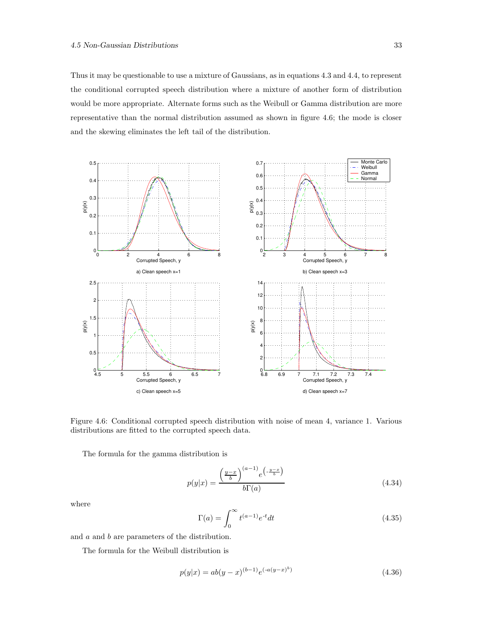Thus it may be questionable to use a mixture of Gaussians, as in equations 4.3 and 4.4, to represent the conditional corrupted speech distribution where a mixture of another form of distribution would be more appropriate. Alternate forms such as the Weibull or Gamma distribution are more representative than the normal distribution assumed as shown in figure 4.6; the mode is closer and the skewing eliminates the left tail of the distribution.



Figure 4.6: Conditional corrupted speech distribution with noise of mean 4, variance 1. Various distributions are fitted to the corrupted speech data.

The formula for the gamma distribution is

$$
p(y|x) = \frac{\left(\frac{y-x}{b}\right)^{(a-1)} e^{\left(-\frac{y-x}{b}\right)}}{b\Gamma(a)}
$$
\n(4.34)

where

$$
\Gamma(a) = \int_0^\infty t^{(a-1)} e^{-t} dt \tag{4.35}
$$

and a and b are parameters of the distribution.

The formula for the Weibull distribution is

$$
p(y|x) = ab(y - x)^{(b-1)}e^{(-a(y - x)^b)}
$$
\n(4.36)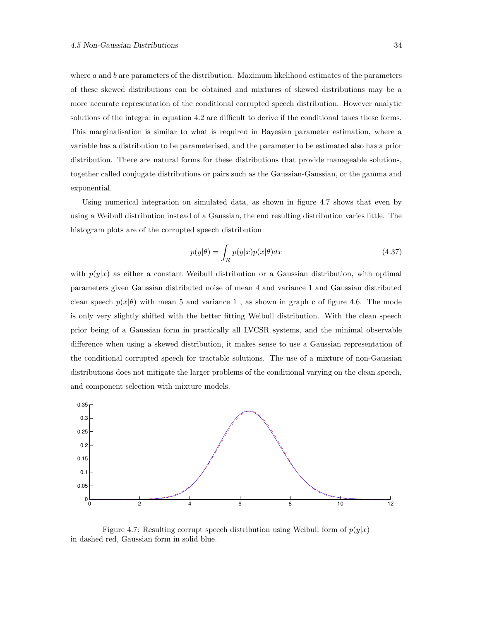where  $a$  and  $b$  are parameters of the distribution. Maximum likelihood estimates of the parameters of these skewed distributions can be obtained and mixtures of skewed distributions may be a more accurate representation of the conditional corrupted speech distribution. However analytic solutions of the integral in equation 4.2 are difficult to derive if the conditional takes these forms. This marginalisation is similar to what is required in Bayesian parameter estimation, where a variable has a distribution to be parameterised, and the parameter to be estimated also has a prior distribution. There are natural forms for these distributions that provide manageable solutions, together called conjugate distributions or pairs such as the Gaussian-Gaussian, or the gamma and exponential.

Using numerical integration on simulated data, as shown in figure 4.7 shows that even by using a Weibull distribution instead of a Gaussian, the end resulting distribution varies little. The histogram plots are of the corrupted speech distribution

$$
p(y|\theta) = \int_{\mathcal{R}} p(y|x)p(x|\theta)dx
$$
\n(4.37)

with  $p(y|x)$  as either a constant Weibull distribution or a Gaussian distribution, with optimal parameters given Gaussian distributed noise of mean 4 and variance 1 and Gaussian distributed clean speech  $p(x|\theta)$  with mean 5 and variance 1, as shown in graph c of figure 4.6. The mode is only very slightly shifted with the better fitting Weibull distribution. With the clean speech prior being of a Gaussian form in practically all LVCSR systems, and the minimal observable difference when using a skewed distribution, it makes sense to use a Gaussian representation of the conditional corrupted speech for tractable solutions. The use of a mixture of non-Gaussian distributions does not mitigate the larger problems of the conditional varying on the clean speech, and component selection with mixture models.



Figure 4.7: Resulting corrupt speech distribution using Weibull form of  $p(y|x)$ in dashed red, Gaussian form in solid blue.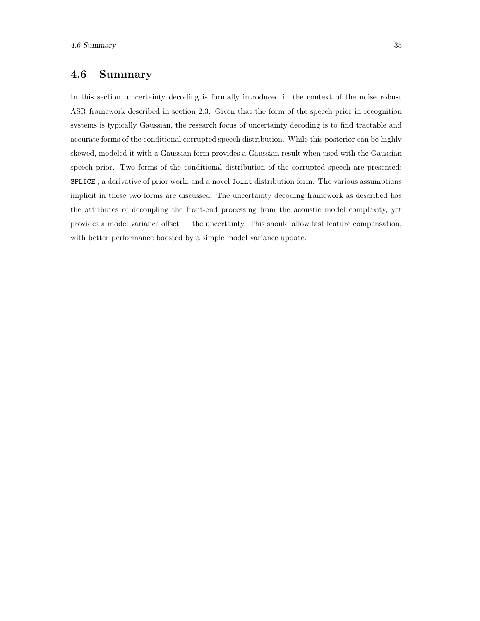# 4.6 Summary

In this section, uncertainty decoding is formally introduced in the context of the noise robust ASR framework described in section 2.3. Given that the form of the speech prior in recognition systems is typically Gaussian, the research focus of uncertainty decoding is to find tractable and accurate forms of the conditional corrupted speech distribution. While this posterior can be highly skewed, modeled it with a Gaussian form provides a Gaussian result when used with the Gaussian speech prior. Two forms of the conditional distribution of the corrupted speech are presented: SPLICE , a derivative of prior work, and a novel Joint distribution form. The various assumptions implicit in these two forms are discussed. The uncertainty decoding framework as described has the attributes of decoupling the front-end processing from the acoustic model complexity, yet provides a model variance offset — the uncertainty. This should allow fast feature compensation, with better performance boosted by a simple model variance update.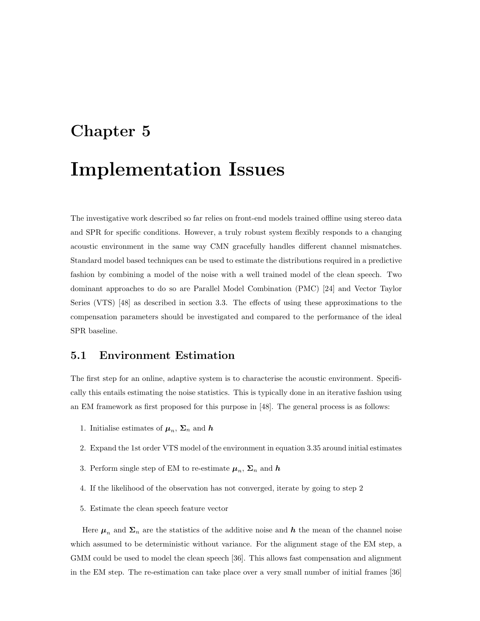# Chapter 5

# Implementation Issues

The investigative work described so far relies on front-end models trained offline using stereo data and SPR for specific conditions. However, a truly robust system flexibly responds to a changing acoustic environment in the same way CMN gracefully handles different channel mismatches. Standard model based techniques can be used to estimate the distributions required in a predictive fashion by combining a model of the noise with a well trained model of the clean speech. Two dominant approaches to do so are Parallel Model Combination (PMC) [24] and Vector Taylor Series (VTS) [48] as described in section 3.3. The effects of using these approximations to the compensation parameters should be investigated and compared to the performance of the ideal SPR baseline.

### 5.1 Environment Estimation

The first step for an online, adaptive system is to characterise the acoustic environment. Specifically this entails estimating the noise statistics. This is typically done in an iterative fashion using an EM framework as first proposed for this purpose in [48]. The general process is as follows:

- 1. Initialise estimates of  $\mu_n$ ,  $\Sigma_n$  and h
- 2. Expand the 1st order VTS model of the environment in equation 3.35 around initial estimates
- 3. Perform single step of EM to re-estimate  $\mu_n$ ,  $\Sigma_n$  and h
- 4. If the likelihood of the observation has not converged, iterate by going to step 2
- 5. Estimate the clean speech feature vector

Here  $\mu_n$  and  $\Sigma_n$  are the statistics of the additive noise and h the mean of the channel noise which assumed to be deterministic without variance. For the alignment stage of the EM step, a GMM could be used to model the clean speech [36]. This allows fast compensation and alignment in the EM step. The re-estimation can take place over a very small number of initial frames [36]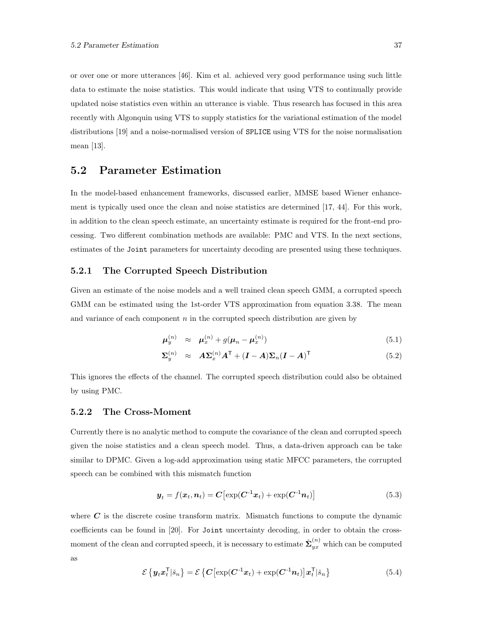or over one or more utterances [46]. Kim et al. achieved very good performance using such little data to estimate the noise statistics. This would indicate that using VTS to continually provide updated noise statistics even within an utterance is viable. Thus research has focused in this area recently with Algonquin using VTS to supply statistics for the variational estimation of the model distributions [19] and a noise-normalised version of SPLICE using VTS for the noise normalisation mean [13].

### 5.2 Parameter Estimation

In the model-based enhancement frameworks, discussed earlier, MMSE based Wiener enhancement is typically used once the clean and noise statistics are determined [17, 44]. For this work, in addition to the clean speech estimate, an uncertainty estimate is required for the front-end processing. Two different combination methods are available: PMC and VTS. In the next sections, estimates of the Joint parameters for uncertainty decoding are presented using these techniques.

#### 5.2.1 The Corrupted Speech Distribution

Given an estimate of the noise models and a well trained clean speech GMM, a corrupted speech GMM can be estimated using the 1st-order VTS approximation from equation 3.38. The mean and variance of each component  $n$  in the corrupted speech distribution are given by

$$
\boldsymbol{\mu}_y^{(n)} \quad \approx \quad \boldsymbol{\mu}_x^{(n)} + g(\boldsymbol{\mu}_n - \boldsymbol{\mu}_x^{(n)}) \tag{5.1}
$$

$$
\Sigma_y^{(n)} \approx A\Sigma_x^{(n)}A^{\mathsf{T}} + (I - A)\Sigma_n(I - A)^{\mathsf{T}}
$$
\n(5.2)

This ignores the effects of the channel. The corrupted speech distribution could also be obtained by using PMC.

#### 5.2.2 The Cross-Moment

Currently there is no analytic method to compute the covariance of the clean and corrupted speech given the noise statistics and a clean speech model. Thus, a data-driven approach can be take similar to DPMC. Given a log-add approximation using static MFCC parameters, the corrupted speech can be combined with this mismatch function

$$
\boldsymbol{y}_t = f(\boldsymbol{x}_t, \boldsymbol{n}_t) = \boldsymbol{C} \big[ \exp(\boldsymbol{C}^{-1} \boldsymbol{x}_t) + \exp(\boldsymbol{C}^{-1} \boldsymbol{n}_t) \big] \tag{5.3}
$$

where  $C$  is the discrete cosine transform matrix. Mismatch functions to compute the dynamic coefficients can be found in [20]. For Joint uncertainty decoding, in order to obtain the crossmoment of the clean and corrupted speech, it is necessary to estimate  $\check{\Sigma}_{yx}^{(n)}$  which can be computed as

$$
\mathcal{E}\left\{\boldsymbol{y}_t \boldsymbol{x}_t^{\mathsf{T}} | \check{\boldsymbol{s}}_n\right\} = \mathcal{E}\left\{\boldsymbol{C} \left[\exp(\boldsymbol{C}^{-1} \boldsymbol{x}_t) + \exp(\boldsymbol{C}^{-1} \boldsymbol{n}_t)\right] \boldsymbol{x}_t^{\mathsf{T}} | \check{\boldsymbol{s}}_n\right\} \tag{5.4}
$$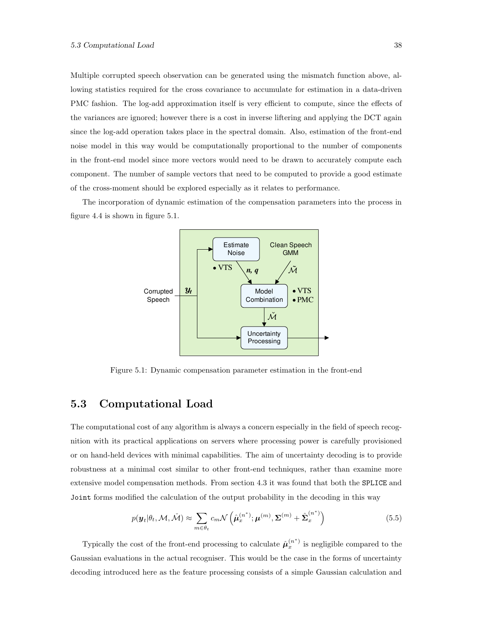Multiple corrupted speech observation can be generated using the mismatch function above, allowing statistics required for the cross covariance to accumulate for estimation in a data-driven PMC fashion. The log-add approximation itself is very efficient to compute, since the effects of the variances are ignored; however there is a cost in inverse liftering and applying the DCT again since the log-add operation takes place in the spectral domain. Also, estimation of the front-end noise model in this way would be computationally proportional to the number of components in the front-end model since more vectors would need to be drawn to accurately compute each component. The number of sample vectors that need to be computed to provide a good estimate of the cross-moment should be explored especially as it relates to performance.

The incorporation of dynamic estimation of the compensation parameters into the process in figure 4.4 is shown in figure 5.1.



Figure 5.1: Dynamic compensation parameter estimation in the front-end

### 5.3 Computational Load

The computational cost of any algorithm is always a concern especially in the field of speech recognition with its practical applications on servers where processing power is carefully provisioned or on hand-held devices with minimal capabilities. The aim of uncertainty decoding is to provide robustness at a minimal cost similar to other front-end techniques, rather than examine more extensive model compensation methods. From section 4.3 it was found that both the SPLICE and Joint forms modified the calculation of the output probability in the decoding in this way

$$
p(\boldsymbol{y}_t|\theta_t, \mathcal{M}, \tilde{\mathcal{M}}) \approx \sum_{m \in \theta_t} c_m \mathcal{N}\left(\hat{\boldsymbol{\mu}}_x^{(n^*)}; \boldsymbol{\mu}^{(m)}, \boldsymbol{\Sigma}^{(m)} + \hat{\boldsymbol{\Sigma}}_x^{(n^*)}\right)
$$
(5.5)

Typically the cost of the front-end processing to calculate  $\hat{\boldsymbol{\mu}}_x^{(n^*)}$  is negligible compared to the Gaussian evaluations in the actual recogniser. This would be the case in the forms of uncertainty decoding introduced here as the feature processing consists of a simple Gaussian calculation and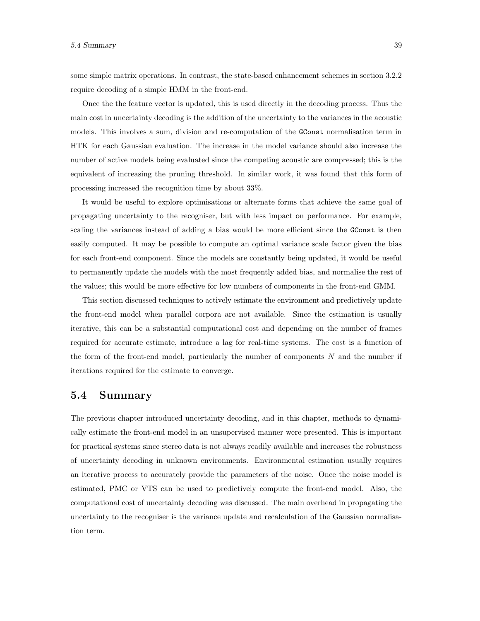some simple matrix operations. In contrast, the state-based enhancement schemes in section 3.2.2 require decoding of a simple HMM in the front-end.

Once the the feature vector is updated, this is used directly in the decoding process. Thus the main cost in uncertainty decoding is the addition of the uncertainty to the variances in the acoustic models. This involves a sum, division and re-computation of the GConst normalisation term in HTK for each Gaussian evaluation. The increase in the model variance should also increase the number of active models being evaluated since the competing acoustic are compressed; this is the equivalent of increasing the pruning threshold. In similar work, it was found that this form of processing increased the recognition time by about 33%.

It would be useful to explore optimisations or alternate forms that achieve the same goal of propagating uncertainty to the recogniser, but with less impact on performance. For example, scaling the variances instead of adding a bias would be more efficient since the **GConst** is then easily computed. It may be possible to compute an optimal variance scale factor given the bias for each front-end component. Since the models are constantly being updated, it would be useful to permanently update the models with the most frequently added bias, and normalise the rest of the values; this would be more effective for low numbers of components in the front-end GMM.

This section discussed techniques to actively estimate the environment and predictively update the front-end model when parallel corpora are not available. Since the estimation is usually iterative, this can be a substantial computational cost and depending on the number of frames required for accurate estimate, introduce a lag for real-time systems. The cost is a function of the form of the front-end model, particularly the number of components  $N$  and the number if iterations required for the estimate to converge.

#### 5.4 Summary

The previous chapter introduced uncertainty decoding, and in this chapter, methods to dynamically estimate the front-end model in an unsupervised manner were presented. This is important for practical systems since stereo data is not always readily available and increases the robustness of uncertainty decoding in unknown environments. Environmental estimation usually requires an iterative process to accurately provide the parameters of the noise. Once the noise model is estimated, PMC or VTS can be used to predictively compute the front-end model. Also, the computational cost of uncertainty decoding was discussed. The main overhead in propagating the uncertainty to the recogniser is the variance update and recalculation of the Gaussian normalisation term.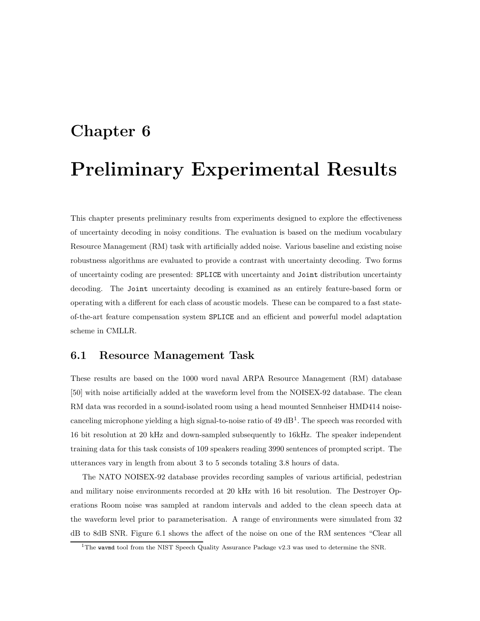# Chapter 6 Preliminary Experimental Results

This chapter presents preliminary results from experiments designed to explore the effectiveness of uncertainty decoding in noisy conditions. The evaluation is based on the medium vocabulary Resource Management (RM) task with artificially added noise. Various baseline and existing noise robustness algorithms are evaluated to provide a contrast with uncertainty decoding. Two forms of uncertainty coding are presented: SPLICE with uncertainty and Joint distribution uncertainty decoding. The Joint uncertainty decoding is examined as an entirely feature-based form or operating with a different for each class of acoustic models. These can be compared to a fast stateof-the-art feature compensation system SPLICE and an efficient and powerful model adaptation scheme in CMLLR.

### 6.1 Resource Management Task

These results are based on the 1000 word naval ARPA Resource Management (RM) database [50] with noise artificially added at the waveform level from the NOISEX-92 database. The clean RM data was recorded in a sound-isolated room using a head mounted Sennheiser HMD414 noisecanceling microphone yielding a high signal-to-noise ratio of  $49 \text{ dB}^1$ . The speech was recorded with 16 bit resolution at 20 kHz and down-sampled subsequently to 16kHz. The speaker independent training data for this task consists of 109 speakers reading 3990 sentences of prompted script. The utterances vary in length from about 3 to 5 seconds totaling 3.8 hours of data.

The NATO NOISEX-92 database provides recording samples of various artificial, pedestrian and military noise environments recorded at 20 kHz with 16 bit resolution. The Destroyer Operations Room noise was sampled at random intervals and added to the clean speech data at the waveform level prior to parameterisation. A range of environments were simulated from 32 dB to 8dB SNR. Figure 6.1 shows the affect of the noise on one of the RM sentences "Clear all

<sup>&</sup>lt;sup>1</sup>The wavmd tool from the NIST Speech Quality Assurance Package v2.3 was used to determine the SNR.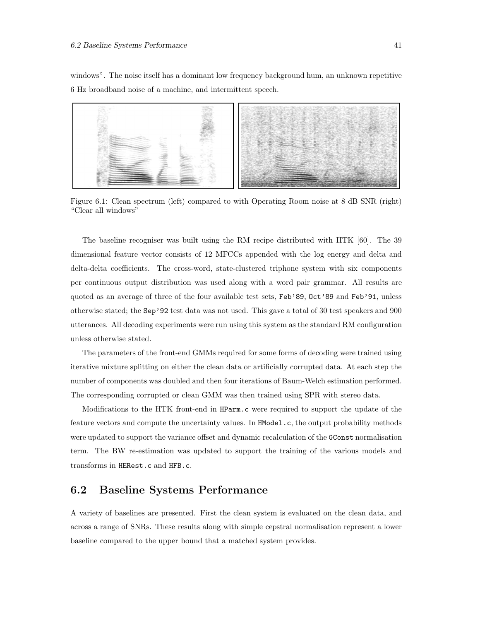windows". The noise itself has a dominant low frequency background hum, an unknown repetitive 6 Hz broadband noise of a machine, and intermittent speech.



Figure 6.1: Clean spectrum (left) compared to with Operating Room noise at 8 dB SNR (right) "Clear all windows"

The baseline recogniser was built using the RM recipe distributed with HTK [60]. The 39 dimensional feature vector consists of 12 MFCCs appended with the log energy and delta and delta-delta coefficients. The cross-word, state-clustered triphone system with six components per continuous output distribution was used along with a word pair grammar. All results are quoted as an average of three of the four available test sets, Feb'89, Oct'89 and Feb'91, unless otherwise stated; the Sep'92 test data was not used. This gave a total of 30 test speakers and 900 utterances. All decoding experiments were run using this system as the standard RM configuration unless otherwise stated.

The parameters of the front-end GMMs required for some forms of decoding were trained using iterative mixture splitting on either the clean data or artificially corrupted data. At each step the number of components was doubled and then four iterations of Baum-Welch estimation performed. The corresponding corrupted or clean GMM was then trained using SPR with stereo data.

Modifications to the HTK front-end in HParm.c were required to support the update of the feature vectors and compute the uncertainty values. In HModel.c, the output probability methods were updated to support the variance offset and dynamic recalculation of the GConst normalisation term. The BW re-estimation was updated to support the training of the various models and transforms in HERest.c and HFB.c.

## 6.2 Baseline Systems Performance

A variety of baselines are presented. First the clean system is evaluated on the clean data, and across a range of SNRs. These results along with simple cepstral normalisation represent a lower baseline compared to the upper bound that a matched system provides.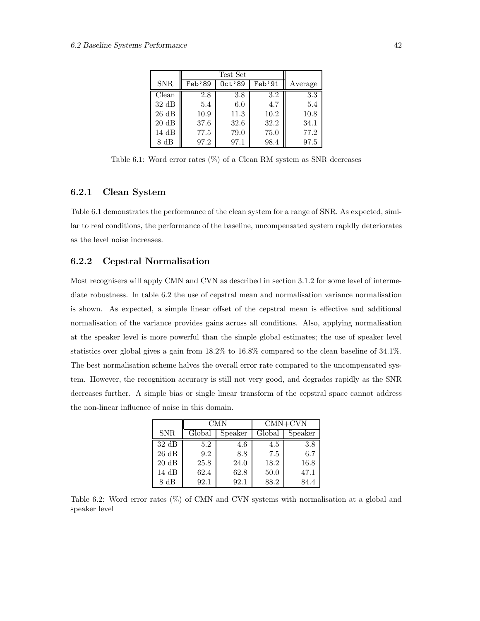| <b>SNR</b>        | Feb'89 | $0ct'$ 89 | Feb'91 | Average |
|-------------------|--------|-----------|--------|---------|
| Clean             | 2.8    | 3.8       | 3.2    | 3.3     |
| $32 \text{ dB}$   | 5.4    | 6.0       | 4.7    | 5.4     |
| $26\ \mathrm{dB}$ | 10.9   | 11.3      | 10.2   | 10.8    |
| $20\ \mathrm{dB}$ | 37.6   | 32.6      | 32.2   | 34.1    |
| 14dB              | 77.5   | 79.0      | 75.0   | 77.2    |
| 8 dB              | 97.2   | 97.1      | 98.4   | 97.5    |

Table 6.1: Word error rates  $(\%)$  of a Clean RM system as SNR decreases

#### 6.2.1 Clean System

Table 6.1 demonstrates the performance of the clean system for a range of SNR. As expected, similar to real conditions, the performance of the baseline, uncompensated system rapidly deteriorates as the level noise increases.

#### 6.2.2 Cepstral Normalisation

Most recognisers will apply CMN and CVN as described in section 3.1.2 for some level of intermediate robustness. In table 6.2 the use of cepstral mean and normalisation variance normalisation is shown. As expected, a simple linear offset of the cepstral mean is effective and additional normalisation of the variance provides gains across all conditions. Also, applying normalisation at the speaker level is more powerful than the simple global estimates; the use of speaker level statistics over global gives a gain from 18.2% to 16.8% compared to the clean baseline of 34.1%. The best normalisation scheme halves the overall error rate compared to the uncompensated system. However, the recognition accuracy is still not very good, and degrades rapidly as the SNR decreases further. A simple bias or single linear transform of the cepstral space cannot address the non-linear influence of noise in this domain.

|                   | CMN    |         | $CMN+CVN$ |         |  |
|-------------------|--------|---------|-----------|---------|--|
| <b>SNR</b>        | Global | Speaker | Global    | Speaker |  |
| $32 \text{ dB}$   | 5.2    | 4.6     | 4.5       | 3.8     |  |
| $26\ \mathrm{dB}$ | 9.2    | 8.8     | 7.5       | 6.7     |  |
| $20\ \mathrm{dB}$ | 25.8   | 24.0    | 18.2      | 16.8    |  |
| $14 \text{ dB}$   | 62.4   | 62.8    | 50.0      | 47.1    |  |
| 8 dB              | 92.1   | 92.1    | 88.2      | 84.4    |  |

Table 6.2: Word error rates (%) of CMN and CVN systems with normalisation at a global and speaker level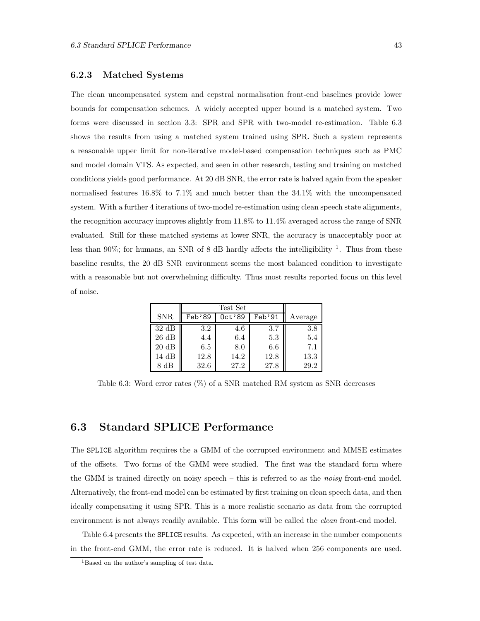#### 6.2.3 Matched Systems

The clean uncompensated system and cepstral normalisation front-end baselines provide lower bounds for compensation schemes. A widely accepted upper bound is a matched system. Two forms were discussed in section 3.3: SPR and SPR with two-model re-estimation. Table 6.3 shows the results from using a matched system trained using SPR. Such a system represents a reasonable upper limit for non-iterative model-based compensation techniques such as PMC and model domain VTS. As expected, and seen in other research, testing and training on matched conditions yields good performance. At 20 dB SNR, the error rate is halved again from the speaker normalised features 16.8% to 7.1% and much better than the 34.1% with the uncompensated system. With a further 4 iterations of two-model re-estimation using clean speech state alignments, the recognition accuracy improves slightly from 11.8% to 11.4% averaged across the range of SNR evaluated. Still for these matched systems at lower SNR, the accuracy is unacceptably poor at less than 90%; for humans, an SNR of 8 dB hardly affects the intelligibility  $^1$ . Thus from these baseline results, the 20 dB SNR environment seems the most balanced condition to investigate with a reasonable but not overwhelming difficulty. Thus most results reported focus on this level of noise.

| <b>SNR</b>      | Feb'89 | 0ct'89 | Feb'91 | Average |
|-----------------|--------|--------|--------|---------|
| 32dB            | 3.2    | 4.6    | 3.7    | 3.8     |
| 26 dB           | 4.4    | 6.4    | 5.3    | 5.4     |
| $20 \text{ dB}$ | 6.5    | 8.0    | 6.6    | 7.1     |
| 14 dB           | 12.8   | 14.2   | 12.8   | 13.3    |
| dВ              | 32.6   | 27.2   | 27.8   | 29.2    |

Table 6.3: Word error rates (%) of a SNR matched RM system as SNR decreases

### 6.3 Standard SPLICE Performance

The SPLICE algorithm requires the a GMM of the corrupted environment and MMSE estimates of the offsets. Two forms of the GMM were studied. The first was the standard form where the GMM is trained directly on noisy speech – this is referred to as the *noisy* front-end model. Alternatively, the front-end model can be estimated by first training on clean speech data, and then ideally compensating it using SPR. This is a more realistic scenario as data from the corrupted environment is not always readily available. This form will be called the *clean* front-end model.

Table 6.4 presents the SPLICE results. As expected, with an increase in the number components in the front-end GMM, the error rate is reduced. It is halved when 256 components are used.

<sup>&</sup>lt;sup>1</sup>Based on the author's sampling of test data.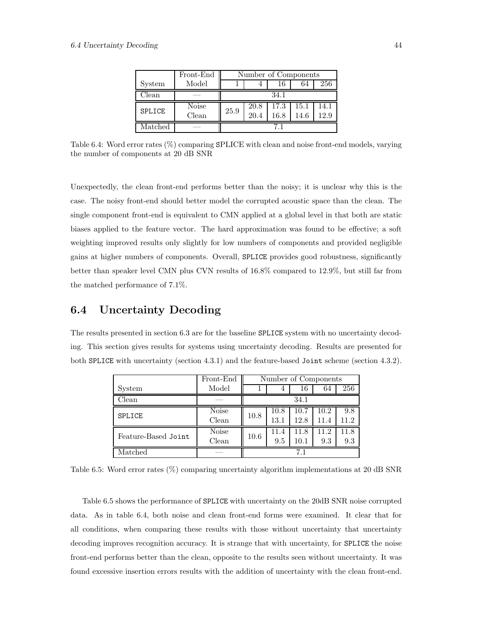|               | Front-End             | Number of Components |              |              |              |              |  |
|---------------|-----------------------|----------------------|--------------|--------------|--------------|--------------|--|
| System        | Model                 |                      | 4            | 16           | 64           | 256          |  |
| Clean         |                       | 34.1                 |              |              |              |              |  |
| <b>SPLICE</b> | <b>Noise</b><br>Clean | 25.9                 | 20.8<br>20.4 | 17.3<br>16.8 | 15.1<br>14.6 | 14.1<br>12.9 |  |
| Matched       |                       |                      |              |              |              |              |  |

Table 6.4: Word error rates (%) comparing SPLICE with clean and noise front-end models, varying the number of components at 20 dB SNR

Unexpectedly, the clean front-end performs better than the noisy; it is unclear why this is the case. The noisy front-end should better model the corrupted acoustic space than the clean. The single component front-end is equivalent to CMN applied at a global level in that both are static biases applied to the feature vector. The hard approximation was found to be effective; a soft weighting improved results only slightly for low numbers of components and provided negligible gains at higher numbers of components. Overall, SPLICE provides good robustness, significantly better than speaker level CMN plus CVN results of 16.8% compared to 12.9%, but still far from the matched performance of 7.1%.

### 6.4 Uncertainty Decoding

The results presented in section 6.3 are for the baseline SPLICE system with no uncertainty decoding. This section gives results for systems using uncertainty decoding. Results are presented for both SPLICE with uncertainty (section 4.3.1) and the feature-based Joint scheme (section 4.3.2).

|                     | Front-End    | Number of Components |      |          |      |      |
|---------------------|--------------|----------------------|------|----------|------|------|
| System              | Model        |                      | 4    | 16       | 64   | 256  |
| Clean               |              | 34.1                 |      |          |      |      |
| <b>SPLICE</b>       | <b>Noise</b> | 10.8                 | 10.8 | 10.7     | 10.2 | 9.8  |
|                     | Clean        |                      | 13.1 | 12.8     | 11.4 | 11.2 |
| Feature-Based Joint | <b>Noise</b> | 10.6                 | 11.4 | 11.8     | 11.2 | 11.8 |
|                     | Clean        |                      | 9.5  | $10.1\,$ | 9.3  | 9.3  |
| Matched             |              |                      |      |          |      |      |

Table 6.5: Word error rates (%) comparing uncertainty algorithm implementations at 20 dB SNR

Table 6.5 shows the performance of SPLICE with uncertainty on the 20dB SNR noise corrupted data. As in table 6.4, both noise and clean front-end forms were examined. It clear that for all conditions, when comparing these results with those without uncertainty that uncertainty decoding improves recognition accuracy. It is strange that with uncertainty, for SPLICE the noise front-end performs better than the clean, opposite to the results seen without uncertainty. It was found excessive insertion errors results with the addition of uncertainty with the clean front-end.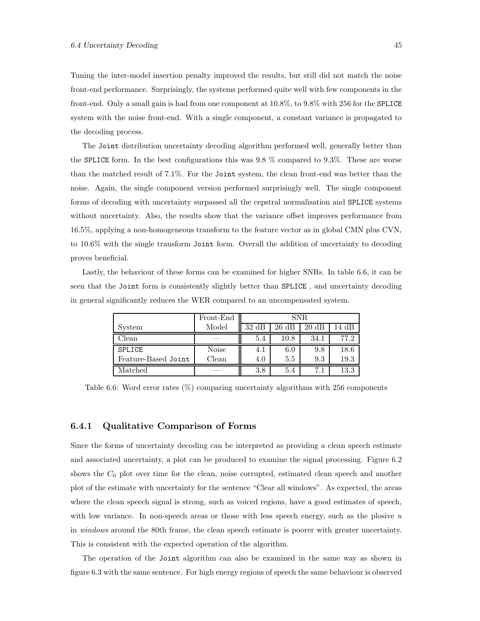Tuning the inter-model insertion penalty improved the results, but still did not match the noise front-end performance. Surprisingly, the systems performed quite well with few components in the front-end. Only a small gain is had from one component at 10.8%, to 9.8% with 256 for the SPLICE system with the noise front-end. With a single component, a constant variance is propagated to the decoding process.

The Joint distribution uncertainty decoding algorithm performed well, generally better than the SPLICE form. In the best configurations this was 9.8 % compared to 9.3%. These are worse than the matched result of 7.1%. For the Joint system, the clean front-end was better than the noise. Again, the single component version performed surprisingly well. The single component forms of decoding with uncertainty surpassed all the cepstral normalisation and SPLICE systems without uncertainty. Also, the results show that the variance offset improves performance from 16.5%, applying a non-homogeneous transform to the feature vector as in global CMN plus CVN, to 10.6% with the single transform Joint form. Overall the addition of uncertainty to decoding proves beneficial.

Lastly, the behaviour of these forms can be examined for higher SNRs. In table 6.6, it can be seen that the Joint form is consistently slightly better than SPLICE , and uncertainty decoding in general significantly reduces the WER compared to an uncompensated system.

|                     | Front-End    | SNR.            |                 |                 |       |  |
|---------------------|--------------|-----------------|-----------------|-----------------|-------|--|
| System              | Model        | $32 \text{ dB}$ | $26 \text{ dB}$ | $20 \text{ dB}$ | 14 dB |  |
| Clean               |              | 5.4             | $10.8\,$        | 34.1            | 77.2  |  |
| <b>SPLICE</b>       | <b>Noise</b> | 4. I            | 6.0             | 9.8             | 18.6  |  |
| Feature-Based Joint | Clean        | 4.0             | 5.5             | 9.3             | 19.3  |  |
| Matched             |              | 3.8             | 5.4             | 7.1             | 13.3  |  |

Table 6.6: Word error rates (%) comparing uncertainty algorithms with 256 components

#### 6.4.1 Qualitative Comparison of Forms

Since the forms of uncertainty decoding can be interpreted as providing a clean speech estimate and associated uncertainty, a plot can be produced to examine the signal processing. Figure 6.2 shows the  $C_0$  plot over time for the clean, noise corrupted, estimated clean speech and another plot of the estimate with uncertainty for the sentence "Clear all windows". As expected, the areas where the clean speech signal is strong, such as voiced regions, have a good estimates of speech, with low variance. In non-speech areas or those with less speech energy, such as the plosive  $n$ in windows around the 80th frame, the clean speech estimate is poorer with greater uncertainty. This is consistent with the expected operation of the algorithm.

The operation of the Joint algorithm can also be examined in the same way as shown in figure 6.3 with the same sentence. For high energy regions of speech the same behaviour is observed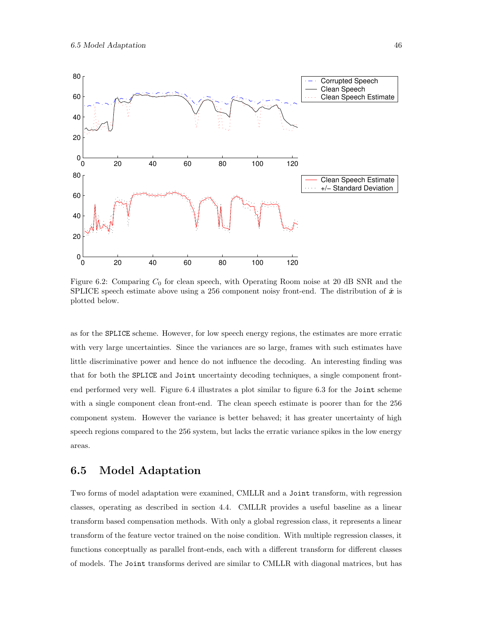

Figure 6.2: Comparing  $C_0$  for clean speech, with Operating Room noise at 20 dB SNR and the SPLICE speech estimate above using a 256 component noisy front-end. The distribution of  $\hat{x}$  is plotted below.

as for the SPLICE scheme. However, for low speech energy regions, the estimates are more erratic with very large uncertainties. Since the variances are so large, frames with such estimates have little discriminative power and hence do not influence the decoding. An interesting finding was that for both the SPLICE and Joint uncertainty decoding techniques, a single component frontend performed very well. Figure 6.4 illustrates a plot similar to figure 6.3 for the Joint scheme with a single component clean front-end. The clean speech estimate is poorer than for the 256 component system. However the variance is better behaved; it has greater uncertainty of high speech regions compared to the 256 system, but lacks the erratic variance spikes in the low energy areas.

### 6.5 Model Adaptation

Two forms of model adaptation were examined, CMLLR and a Joint transform, with regression classes, operating as described in section 4.4. CMLLR provides a useful baseline as a linear transform based compensation methods. With only a global regression class, it represents a linear transform of the feature vector trained on the noise condition. With multiple regression classes, it functions conceptually as parallel front-ends, each with a different transform for different classes of models. The Joint transforms derived are similar to CMLLR with diagonal matrices, but has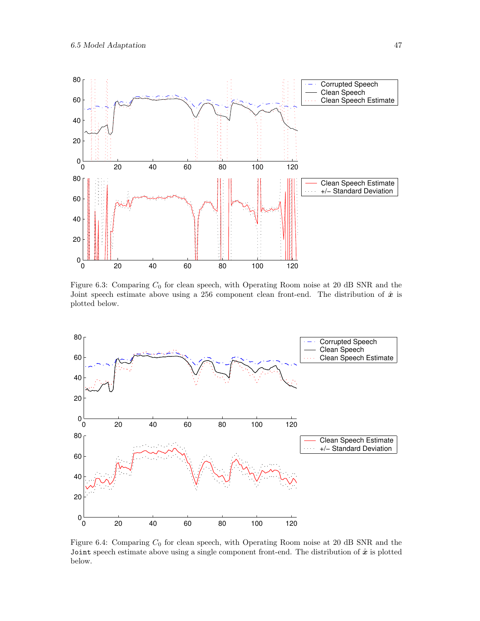

Figure 6.3: Comparing  $C_0$  for clean speech, with Operating Room noise at 20 dB SNR and the Joint speech estimate above using a 256 component clean front-end. The distribution of  $\hat{x}$  is plotted below.



Figure 6.4: Comparing  $C_0$  for clean speech, with Operating Room noise at 20 dB SNR and the Joint speech estimate above using a single component front-end. The distribution of  $\hat{x}$  is plotted below.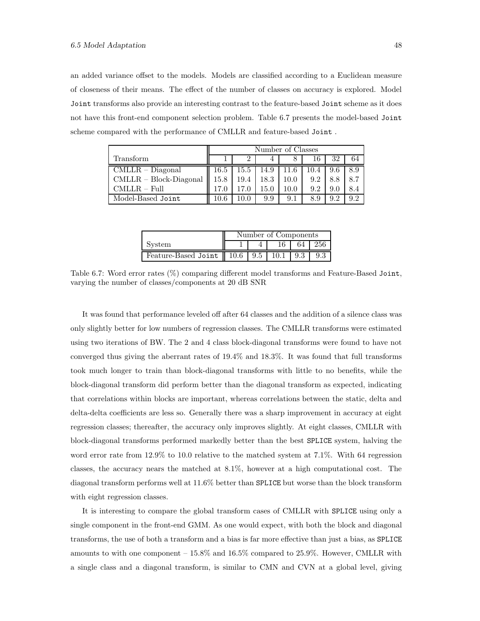an added variance offset to the models. Models are classified according to a Euclidean measure of closeness of their means. The effect of the number of classes on accuracy is explored. Model Joint transforms also provide an interesting contrast to the feature-based Joint scheme as it does not have this front-end component selection problem. Table 6.7 presents the model-based Joint scheme compared with the performance of CMLLR and feature-based Joint .

|                        | Number of Classes |      |      |      |      |     |     |
|------------------------|-------------------|------|------|------|------|-----|-----|
| Transform              |                   |      |      |      |      | 32  | 64  |
| $CMLLR - Diagonal$     | $16.5\,$          | 15.5 | 14.9 | 11.6 | 10.4 | 9.6 | 8.9 |
| CMLLR - Block-Diagonal | $15.8\,$          | 19.4 | 18.3 | 10.0 | 9.2  | 8.8 | 8.7 |
| CMLLR – Full           | 17.0              |      | 15.0 | 10.0 | 9.2  | 9.0 | 8.4 |
| Model-Based Joint      | $10.6\,$          | 10.0 | 9.9  | 9.1  | 8.9  | 9.2 | 92  |

|                              | Number of Components |      |      |     |  |  |
|------------------------------|----------------------|------|------|-----|--|--|
| System                       | 256<br>64            |      |      |     |  |  |
| Feature-Based Joint   $10.6$ |                      | 19.5 | 10.1 | 9.3 |  |  |

Table 6.7: Word error rates  $(\%)$  comparing different model transforms and Feature-Based Joint, varying the number of classes/components at 20 dB SNR

It was found that performance leveled off after 64 classes and the addition of a silence class was only slightly better for low numbers of regression classes. The CMLLR transforms were estimated using two iterations of BW. The 2 and 4 class block-diagonal transforms were found to have not converged thus giving the aberrant rates of 19.4% and 18.3%. It was found that full transforms took much longer to train than block-diagonal transforms with little to no benefits, while the block-diagonal transform did perform better than the diagonal transform as expected, indicating that correlations within blocks are important, whereas correlations between the static, delta and delta-delta coefficients are less so. Generally there was a sharp improvement in accuracy at eight regression classes; thereafter, the accuracy only improves slightly. At eight classes, CMLLR with block-diagonal transforms performed markedly better than the best SPLICE system, halving the word error rate from 12.9% to 10.0 relative to the matched system at 7.1%. With 64 regression classes, the accuracy nears the matched at 8.1%, however at a high computational cost. The diagonal transform performs well at 11.6% better than SPLICE but worse than the block transform with eight regression classes.

It is interesting to compare the global transform cases of CMLLR with SPLICE using only a single component in the front-end GMM. As one would expect, with both the block and diagonal transforms, the use of both a transform and a bias is far more effective than just a bias, as SPLICE amounts to with one component – 15.8% and 16.5% compared to 25.9%. However, CMLLR with a single class and a diagonal transform, is similar to CMN and CVN at a global level, giving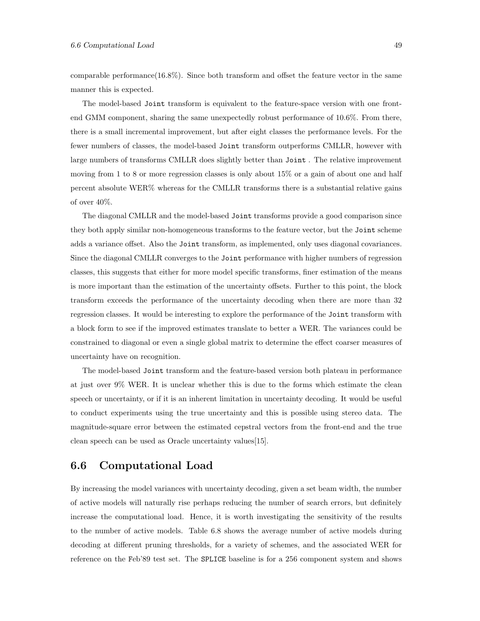comparable performance( $16.8\%$ ). Since both transform and offset the feature vector in the same manner this is expected.

The model-based Joint transform is equivalent to the feature-space version with one frontend GMM component, sharing the same unexpectedly robust performance of 10.6%. From there, there is a small incremental improvement, but after eight classes the performance levels. For the fewer numbers of classes, the model-based Joint transform outperforms CMLLR, however with large numbers of transforms CMLLR does slightly better than Joint . The relative improvement moving from 1 to 8 or more regression classes is only about 15% or a gain of about one and half percent absolute WER% whereas for the CMLLR transforms there is a substantial relative gains of over 40%.

The diagonal CMLLR and the model-based Joint transforms provide a good comparison since they both apply similar non-homogeneous transforms to the feature vector, but the Joint scheme adds a variance offset. Also the Joint transform, as implemented, only uses diagonal covariances. Since the diagonal CMLLR converges to the Joint performance with higher numbers of regression classes, this suggests that either for more model specific transforms, finer estimation of the means is more important than the estimation of the uncertainty offsets. Further to this point, the block transform exceeds the performance of the uncertainty decoding when there are more than 32 regression classes. It would be interesting to explore the performance of the Joint transform with a block form to see if the improved estimates translate to better a WER. The variances could be constrained to diagonal or even a single global matrix to determine the effect coarser measures of uncertainty have on recognition.

The model-based Joint transform and the feature-based version both plateau in performance at just over 9% WER. It is unclear whether this is due to the forms which estimate the clean speech or uncertainty, or if it is an inherent limitation in uncertainty decoding. It would be useful to conduct experiments using the true uncertainty and this is possible using stereo data. The magnitude-square error between the estimated cepstral vectors from the front-end and the true clean speech can be used as Oracle uncertainty values[15].

### 6.6 Computational Load

By increasing the model variances with uncertainty decoding, given a set beam width, the number of active models will naturally rise perhaps reducing the number of search errors, but definitely increase the computational load. Hence, it is worth investigating the sensitivity of the results to the number of active models. Table 6.8 shows the average number of active models during decoding at different pruning thresholds, for a variety of schemes, and the associated WER for reference on the Feb'89 test set. The SPLICE baseline is for a 256 component system and shows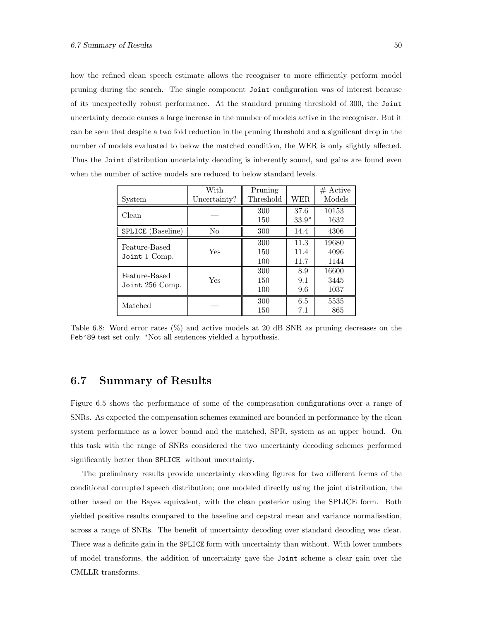how the refined clean speech estimate allows the recogniser to more efficiently perform model pruning during the search. The single component Joint configuration was of interest because of its unexpectedly robust performance. At the standard pruning threshold of 300, the Joint uncertainty decode causes a large increase in the number of models active in the recogniser. But it can be seen that despite a two fold reduction in the pruning threshold and a significant drop in the number of models evaluated to below the matched condition, the WER is only slightly affected. Thus the Joint distribution uncertainty decoding is inherently sound, and gains are found even when the number of active models are reduced to below standard levels.

|                   | With         | Pruning   |         | $#$ Active |
|-------------------|--------------|-----------|---------|------------|
| System            | Uncertainty? | Threshold | WER     | Models     |
| Clean             |              | 300       | 37.6    | 10153      |
|                   |              | 150       | $33.9*$ | 1632       |
| SPLICE (Baseline) | No           | 300       | 14.4    | 4306       |
| Feature-Based     |              | 300       | 11.3    | 19680      |
| Joint 1 Comp.     | Yes          | 150       | 11.4    | 4096       |
|                   |              | 100       | 11.7    | 1144       |
| Feature-Based     |              | 300       | 8.9     | 16600      |
| Joint 256 Comp.   | Yes          | 150       | 9.1     | 3445       |
|                   |              | 100       | 9.6     | 1037       |
| Matched           |              | 300       | 6.5     | 5535       |
|                   |              | 150       | 7.1     | 865        |

Table 6.8: Word error rates (%) and active models at 20 dB SNR as pruning decreases on the Feb'89 test set only. <sup>∗</sup>Not all sentences yielded a hypothesis.

# 6.7 Summary of Results

Figure 6.5 shows the performance of some of the compensation configurations over a range of SNRs. As expected the compensation schemes examined are bounded in performance by the clean system performance as a lower bound and the matched, SPR, system as an upper bound. On this task with the range of SNRs considered the two uncertainty decoding schemes performed significantly better than SPLICE without uncertainty.

The preliminary results provide uncertainty decoding figures for two different forms of the conditional corrupted speech distribution; one modeled directly using the joint distribution, the other based on the Bayes equivalent, with the clean posterior using the SPLICE form. Both yielded positive results compared to the baseline and cepstral mean and variance normalisation, across a range of SNRs. The benefit of uncertainty decoding over standard decoding was clear. There was a definite gain in the SPLICE form with uncertainty than without. With lower numbers of model transforms, the addition of uncertainty gave the Joint scheme a clear gain over the CMLLR transforms.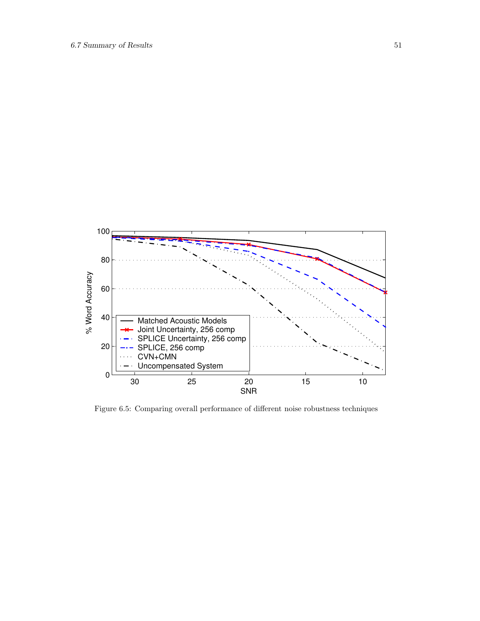

Figure 6.5: Comparing overall performance of different noise robustness techniques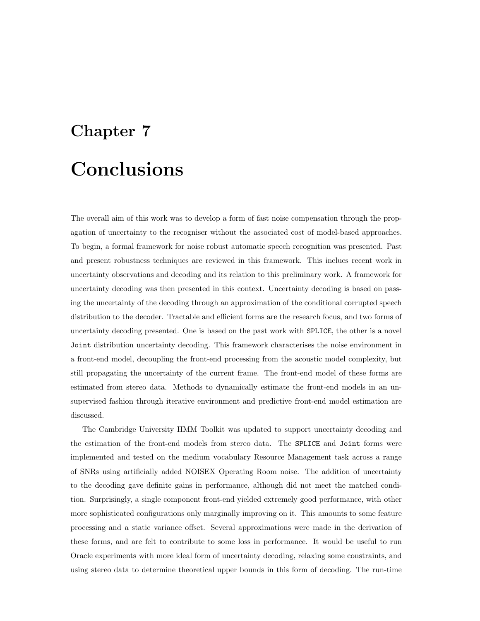# Chapter 7 **Conclusions**

The overall aim of this work was to develop a form of fast noise compensation through the propagation of uncertainty to the recogniser without the associated cost of model-based approaches. To begin, a formal framework for noise robust automatic speech recognition was presented. Past and present robustness techniques are reviewed in this framework. This inclues recent work in uncertainty observations and decoding and its relation to this preliminary work. A framework for uncertainty decoding was then presented in this context. Uncertainty decoding is based on passing the uncertainty of the decoding through an approximation of the conditional corrupted speech distribution to the decoder. Tractable and efficient forms are the research focus, and two forms of uncertainty decoding presented. One is based on the past work with SPLICE, the other is a novel Joint distribution uncertainty decoding. This framework characterises the noise environment in a front-end model, decoupling the front-end processing from the acoustic model complexity, but still propagating the uncertainty of the current frame. The front-end model of these forms are estimated from stereo data. Methods to dynamically estimate the front-end models in an unsupervised fashion through iterative environment and predictive front-end model estimation are discussed.

The Cambridge University HMM Toolkit was updated to support uncertainty decoding and the estimation of the front-end models from stereo data. The SPLICE and Joint forms were implemented and tested on the medium vocabulary Resource Management task across a range of SNRs using artificially added NOISEX Operating Room noise. The addition of uncertainty to the decoding gave definite gains in performance, although did not meet the matched condition. Surprisingly, a single component front-end yielded extremely good performance, with other more sophisticated configurations only marginally improving on it. This amounts to some feature processing and a static variance offset. Several approximations were made in the derivation of these forms, and are felt to contribute to some loss in performance. It would be useful to run Oracle experiments with more ideal form of uncertainty decoding, relaxing some constraints, and using stereo data to determine theoretical upper bounds in this form of decoding. The run-time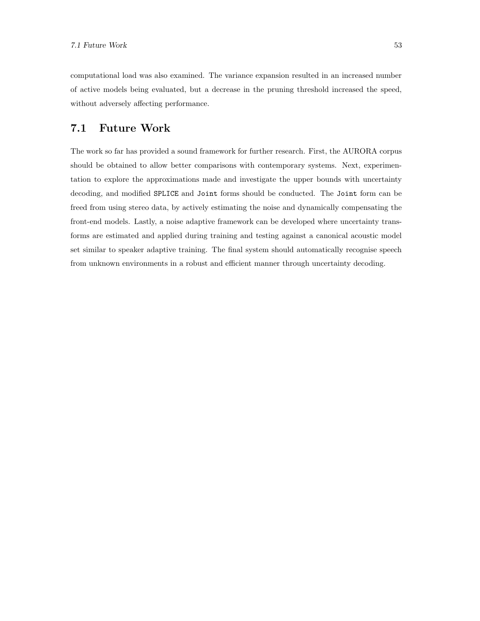computational load was also examined. The variance expansion resulted in an increased number of active models being evaluated, but a decrease in the pruning threshold increased the speed, without adversely affecting performance.

# 7.1 Future Work

The work so far has provided a sound framework for further research. First, the AURORA corpus should be obtained to allow better comparisons with contemporary systems. Next, experimentation to explore the approximations made and investigate the upper bounds with uncertainty decoding, and modified SPLICE and Joint forms should be conducted. The Joint form can be freed from using stereo data, by actively estimating the noise and dynamically compensating the front-end models. Lastly, a noise adaptive framework can be developed where uncertainty transforms are estimated and applied during training and testing against a canonical acoustic model set similar to speaker adaptive training. The final system should automatically recognise speech from unknown environments in a robust and efficient manner through uncertainty decoding.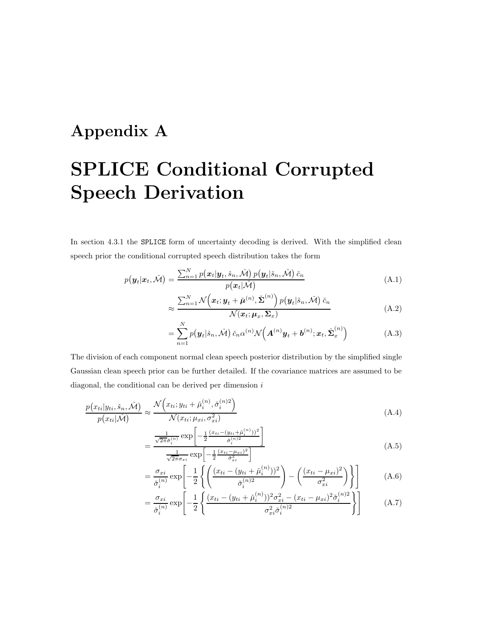# Appendix A

# SPLICE Conditional Corrupted Speech Derivation

In section 4.3.1 the SPLICE form of uncertainty decoding is derived. With the simplified clean speech prior the conditional corrupted speech distribution takes the form

$$
p(\boldsymbol{y}_t|\boldsymbol{x}_t, \check{\mathcal{M}}) = \frac{\sum_{n=1}^{N} p(\boldsymbol{x}_t | \boldsymbol{y}_t, \check{s}_n, \check{\mathcal{M}}) p(\boldsymbol{y}_t | \check{s}_n, \check{\mathcal{M}}) \check{c}_n}{p(\boldsymbol{x}_t | \check{\mathcal{M}})} \tag{A.1}
$$

$$
\approx \frac{\sum_{n=1}^{N} \mathcal{N}\left(\boldsymbol{x}_t; \boldsymbol{y}_t + \check{\boldsymbol{\mu}}^{(n)}, \check{\boldsymbol{\Sigma}}^{(n)}\right) p\left(\boldsymbol{y}_t | \check{s}_n, \check{\mathcal{M}}\right) \check{c}_n}{\mathcal{N}(\boldsymbol{x}_t; \boldsymbol{\mu}_x, \boldsymbol{\Sigma}_x)}\tag{A.2}
$$

$$
= \sum_{n=1}^{N} p(\boldsymbol{y}_t | \check{s}_n, \check{\mathcal{M}}) \check{c}_n \alpha^{(n)} \mathcal{N}\Big(\boldsymbol{A}^{(n)} \boldsymbol{y}_t + \boldsymbol{b}^{(n)}; \boldsymbol{x}_t, \hat{\boldsymbol{\Sigma}}_x^{(n)}\Big) \tag{A.3}
$$

The division of each component normal clean speech posterior distribution by the simplified single Gaussian clean speech prior can be further detailed. If the covariance matrices are assumed to be diagonal, the conditional can be derived per dimension  $i$ 

$$
\frac{p(x_{ti}|y_{ti}, \check{s}_n, \check{\mathcal{M}})}{p(x_{ti}|\check{\mathcal{M}})} \approx \frac{\mathcal{N}\left(x_{ti}; y_{ti} + \check{\mu}_i^{(n)}, \check{\sigma}_i^{(n)2}\right)}{\mathcal{N}(x_{ti}; \mu_{xi}, \sigma_{xi}^2)}
$$
(A.4)

$$
= \frac{\frac{1}{\sqrt{2\pi}\check{\sigma}_i^{(n)}} \exp\left[-\frac{1}{2} \frac{(x_{ti} - (y_{ti} + \check{\mu}_i^{(n)}))^2}{\check{\sigma}_i^{(n)2}}\right]}{\frac{1}{\sqrt{2\pi}\sigma_{xi}} \exp\left[-\frac{1}{2} \frac{(x_{ti} - \mu_{xi})^2}{\check{\sigma}_{xi}^2}\right]}
$$
(A.5)

$$
= \frac{\sigma_{xi}}{\check{\sigma}_i^{(n)}} \exp\left[-\frac{1}{2}\left\{\left(\frac{(x_{ti} - (y_{ti} + \check{\mu}_i^{(n)}))^2}{\check{\sigma}_i^{(n)2}}\right) - \left(\frac{(x_{ti} - \mu_{xi})^2}{\sigma_{xi}^2}\right)\right\}\right]
$$
(A.6)

$$
= \frac{\sigma_{xi}}{\check{\sigma}_{i}^{(n)}} \exp\left[-\frac{1}{2}\left\{\frac{(x_{ti} - (y_{ti} + \check{\mu}_{i}^{(n)}))^2 \sigma_{xi}^2 - (x_{ti} - \mu_{xi})^2 \check{\sigma}_{i}^{(n)2}}{\sigma_{xi}^2 \check{\sigma}_{i}^{(n)2}}\right\}\right]
$$
(A.7)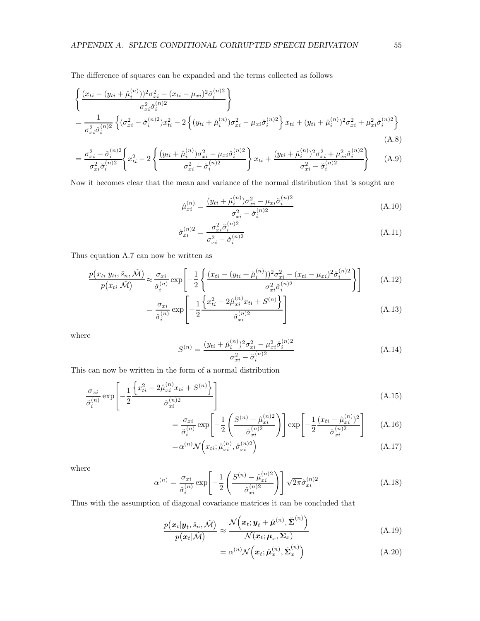The difference of squares can be expanded and the terms collected as follows

$$
\begin{split}\n&\left\{\frac{(x_{ti} - (y_{ti} + \check{\mu}_i^{(n)}))^2 \sigma_{xi}^2 - (x_{ti} - \mu_{xi})^2 \check{\sigma}_i^{(n)2}}{\sigma_{xi}^2 \check{\sigma}_i^{(n)2}}\right\} \\
&= \frac{1}{\sigma_{xi}^2 \check{\sigma}_i^{(n)2}} \left\{ (\sigma_{xi}^2 - \check{\sigma}_i^{(n)2}) x_{ti}^2 - 2 \left\{ (y_{ti} + \check{\mu}_i^{(n)}) \sigma_{xi}^2 - \mu_{xi} \check{\sigma}_i^{(n)2} \right\} x_{ti} + (y_{ti} + \check{\mu}_i^{(n)})^2 \sigma_{xi}^2 + \mu_{xi}^2 \check{\sigma}_i^{(n)2} \right\}\n\end{split} \tag{A.8}
$$

$$
= \frac{\sigma_{xi}^2 - \check{\sigma}_i^{(n)2}}{\sigma_{xi}^2 \check{\sigma}_i^{(n)2}} \left\{ x_{ti}^2 - 2 \left\{ \frac{(y_{ti} + \check{\mu}_i^{(n)}) \sigma_{xi}^2 - \mu_{xi} \check{\sigma}_i^{(n)2}}{\sigma_{xi}^2 - \check{\sigma}_i^{(n)2}} \right\} x_{ti} + \frac{(y_{ti} + \check{\mu}_i^{(n)})^2 \sigma_{xi}^2 + \mu_{xi}^2 \check{\sigma}_i^{(n)2}}{\sigma_{xi}^2 - \check{\sigma}_i^{(n)2}} \right\}
$$
(A.9)

Now it becomes clear that the mean and variance of the normal distribution that is sought are

$$
\hat{\mu}_{xi}^{(n)} = \frac{(y_{ti} + \check{\mu}_i^{(n)})\sigma_{xi}^2 - \mu_{xi}\check{\sigma}_i^{(n)2}}{\sigma_{xi}^2 - \check{\sigma}_i^{(n)2}}
$$
\n(A.10)

$$
\hat{\sigma}_{xi}^{(n)2} = \frac{\sigma_{xi}^2 \check{\sigma}_i^{(n)2}}{\sigma_{xi}^2 - \check{\sigma}_i^{(n)2}}
$$
\n(A.11)

Thus equation A.7 can now be written as

$$
\frac{p(x_{ti}|y_{ti},\check{s}_n,\check{M})}{p(x_{ti}|\check{M})} \approx \frac{\sigma_{xi}}{\check{\sigma}_i^{(n)}} \exp\left[-\frac{1}{2}\left\{\frac{(x_{ti} - (y_{ti} + \check{\mu}_i^{(n)}))^2 \sigma_{xi}^2 - (x_{ti} - \mu_{xi})^2 \check{\sigma}_i^{(n)2}}{\sigma_{xi}^2 \check{\sigma}_i^{(n)2}}\right\}\right]
$$
(A.12)

$$
= \frac{\sigma_{xi}}{\check{\sigma}_{i}^{(n)}} \exp\left[-\frac{1}{2} \frac{\left\{x_{ti}^{2} - 2\hat{\mu}_{xi}^{(n)} x_{ti} + S^{(n)}\right\}}{\hat{\sigma}_{xi}^{(n)2}}\right]
$$
(A.13)

where

$$
S^{(n)} = \frac{(y_{ti} + \check{\mu}_i^{(n)})^2 \sigma_{xi}^2 - \mu_{xi}^2 \check{\sigma}_i^{(n)2}}{\sigma_{xi}^2 - \check{\sigma}_i^{(n)2}}
$$
(A.14)

This can now be written in the form of a normal distribution

$$
\frac{\sigma_{xi}}{\check{\sigma}_{i}^{(n)}} \exp\left[-\frac{1}{2} \frac{\left\{x_{ti}^2 - 2\hat{\mu}_{xi}^{(n)} x_{ti} + S^{(n)}\right\}}{\hat{\sigma}_{xi}^{(n)2}}\right]
$$
\n(A.15)

$$
= \frac{\sigma_{xi}}{\check{\sigma}_i^{(n)}} \exp\left[-\frac{1}{2} \left( \frac{S^{(n)} - \hat{\mu}_{xi}^{(n)2}}{\hat{\sigma}_{xi}^{(n)2}} \right) \right] \exp\left[-\frac{1}{2} \frac{(x_{ti} - \hat{\mu}_{xi}^{(n)})^2}{\hat{\sigma}_{xi}^{(n)2}} \right] \tag{A.16}
$$

$$
=\alpha^{(n)}\mathcal{N}\left(x_{ti};\hat{\mu}_{xi}^{(n)},\hat{\sigma}_{xi}^{(n)2}\right)
$$
\n(A.17)

where

$$
\alpha^{(n)} = \frac{\sigma_{xi}}{\check{\sigma}_i^{(n)}} \exp\left[-\frac{1}{2} \left(\frac{S^{(n)} - \hat{\mu}_{xi}^{(n)2}}{\hat{\sigma}_{xi}^{(n)2}}\right)\right] \sqrt{2\pi} \hat{\sigma}_{xi}^{(n)2}
$$
\n(A.18)

Thus with the assumption of diagonal covariance matrices it can be concluded that

$$
\frac{p(\boldsymbol{x}_t|\boldsymbol{y}_t, \check{s}_n, \check{\mathcal{M}})}{p(\boldsymbol{x}_t|\check{\mathcal{M}})} \approx \frac{\mathcal{N}\left(\boldsymbol{x}_t; \boldsymbol{y}_t + \check{\boldsymbol{\mu}}^{(n)}, \check{\boldsymbol{\Sigma}}^{(n)}\right)}{\mathcal{N}(\boldsymbol{x}_t; \boldsymbol{\mu}_x, \boldsymbol{\Sigma}_x)}
$$
(A.19)

$$
= \alpha^{(n)} \mathcal{N}\left(\boldsymbol{x}_t; \hat{\boldsymbol{\mu}}_x^{(n)}, \hat{\boldsymbol{\Sigma}}_x^{(n)}\right) \tag{A.20}
$$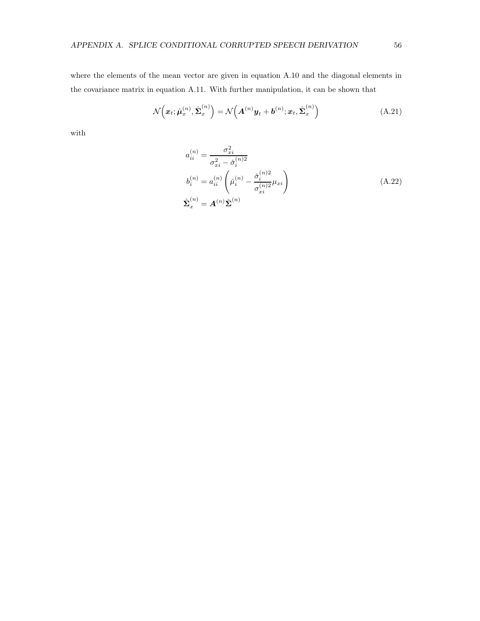where the elements of the mean vector are given in equation A.10 and the diagonal elements in the covariance matrix in equation A.11. With further manipulation, it can be shown that

$$
\mathcal{N}\left(\boldsymbol{x}_t; \hat{\boldsymbol{\mu}}_x^{(n)}, \hat{\boldsymbol{\Sigma}}_x^{(n)}\right) = \mathcal{N}\left(\boldsymbol{A}^{(n)}\boldsymbol{y}_t + \boldsymbol{b}^{(n)}; \boldsymbol{x}_t, \hat{\boldsymbol{\Sigma}}_x^{(n)}\right)
$$
(A.21)

with

$$
a_{ii}^{(n)} = \frac{\sigma_{xi}^2}{\sigma_{xi}^2 - \check{\sigma}_i^{(n)2}}
$$
  
\n
$$
b_i^{(n)} = a_{ii}^{(n)} \left( \check{\mu}_i^{(n)} - \frac{\check{\sigma}_i^{(n)2}}{\sigma_{xi}^{(n)2}} \mu_{xi} \right)
$$
  
\n
$$
\hat{\Sigma}_x^{(n)} = A^{(n)} \check{\Sigma}^{(n)}
$$
\n(A.22)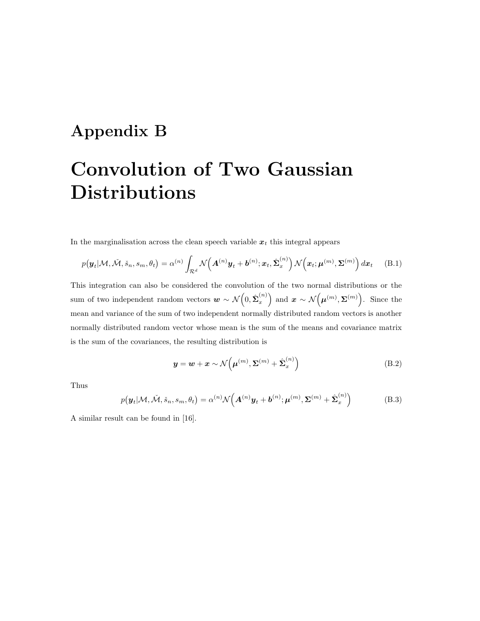# Appendix B

# Convolution of Two Gaussian Distributions

In the marginalisation across the clean speech variable  $x_t$  this integral appears

$$
p(\boldsymbol{y}_t | \mathcal{M}, \tilde{\mathcal{M}}, \tilde{s}_n, s_m, \theta_t) = \alpha^{(n)} \int_{\mathcal{R}^d} \mathcal{N}\Big(\boldsymbol{A}^{(n)}\boldsymbol{y}_t + \boldsymbol{b}^{(n)}; \boldsymbol{x}_t, \hat{\boldsymbol{\Sigma}}_x^{(n)}\Big) \mathcal{N}\Big(\boldsymbol{x}_t; \boldsymbol{\mu}^{(m)}, \boldsymbol{\Sigma}^{(m)}\Big) d\boldsymbol{x}_t \quad (B.1)
$$

This integration can also be considered the convolution of the two normal distributions or the sum of two independent random vectors  $\mathbf{w} \sim \mathcal{N}\left(0, \hat{\boldsymbol{\Sigma}}_x^{(n)}\right)$  $\left(\begin{matrix}n\end{matrix}\right)$  and  $\boldsymbol{x} \sim \mathcal{N}(\boldsymbol{\mu}^{(m)}, \boldsymbol{\Sigma}^{(m)})$ . Since the mean and variance of the sum of two independent normally distributed random vectors is another normally distributed random vector whose mean is the sum of the means and covariance matrix is the sum of the covariances, the resulting distribution is

$$
\mathbf{y} = \mathbf{w} + \mathbf{x} \sim \mathcal{N}\left(\boldsymbol{\mu}^{(m)}, \boldsymbol{\Sigma}^{(m)} + \hat{\boldsymbol{\Sigma}}_x^{(n)}\right)
$$
(B.2)

Thus

$$
p(\boldsymbol{y}_t | \mathcal{M}, \check{\mathcal{M}}, \check{s}_n, s_m, \theta_t) = \alpha^{(n)} \mathcal{N} \left( \boldsymbol{A}^{(n)} \boldsymbol{y}_t + \boldsymbol{b}^{(n)}; \boldsymbol{\mu}^{(m)}, \boldsymbol{\Sigma}^{(m)} + \hat{\boldsymbol{\Sigma}}_x^{(n)} \right)
$$
(B.3)

A similar result can be found in [16].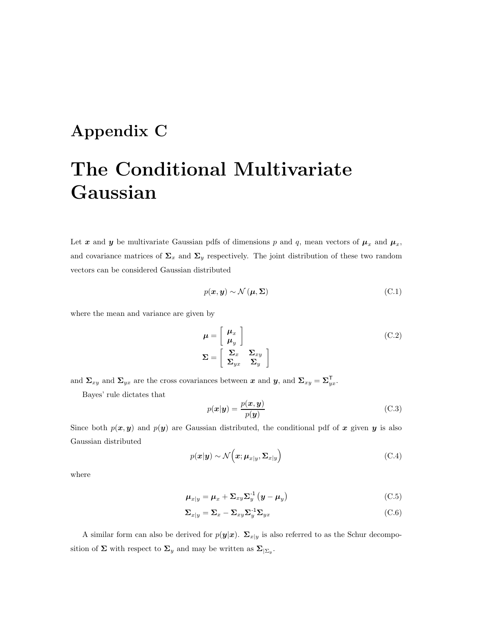# Appendix C

# The Conditional Multivariate Gaussian

Let x and y be multivariate Gaussian pdfs of dimensions p and q, mean vectors of  $\mu_x$  and  $\mu_x$ , and covariance matrices of  $\Sigma_x$  and  $\Sigma_y$  respectively. The joint distribution of these two random vectors can be considered Gaussian distributed

$$
p(\mathbf{x}, \mathbf{y}) \sim \mathcal{N}(\mathbf{\mu}, \mathbf{\Sigma})
$$
 (C.1)

where the mean and variance are given by

$$
\mu = \begin{bmatrix} \mu_x \\ \mu_y \end{bmatrix}
$$
  

$$
\Sigma = \begin{bmatrix} \Sigma_x & \Sigma_{xy} \\ \Sigma_{yx} & \Sigma_y \end{bmatrix}
$$
 (C.2)

and  $\Sigma_{xy}$  and  $\Sigma_{yx}$  are the cross covariances between x and y, and  $\Sigma_{xy} = \Sigma_{xy}^{\top}$  $_{yx}^{\,}$  .

Bayes' rule dictates that

$$
p(\mathbf{x}|\mathbf{y}) = \frac{p(\mathbf{x}, \mathbf{y})}{p(\mathbf{y})}
$$
(C.3)

Since both  $p(x, y)$  and  $p(y)$  are Gaussian distributed, the conditional pdf of x given y is also Gaussian distributed

$$
p(\mathbf{x}|\mathbf{y}) \sim \mathcal{N}\left(\mathbf{x}; \boldsymbol{\mu}_{x|y}, \boldsymbol{\Sigma}_{x|y}\right) \tag{C.4}
$$

where

$$
\mu_{x|y} = \mu_x + \Sigma_{xy} \Sigma_y^{-1} (y - \mu_y)
$$
\n(C.5)

$$
\Sigma_{x|y} = \Sigma_x - \Sigma_{xy} \Sigma_y^{-1} \Sigma_{yx}
$$
\n(C.6)

A similar form can also be derived for  $p(y|x)$ .  $\Sigma_{x|y}$  is also referred to as the Schur decomposition of  $\Sigma$  with respect to  $\Sigma_y$  and may be written as  $\Sigma_{|\Sigma_y}$ .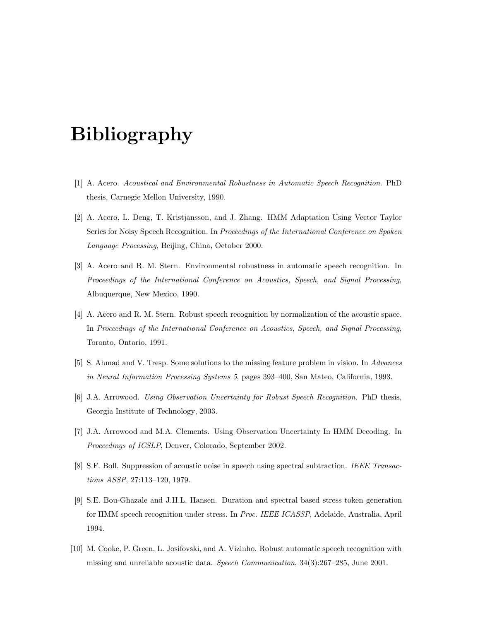# Bibliography

- [1] A. Acero. Acoustical and Environmental Robustness in Automatic Speech Recognition. PhD thesis, Carnegie Mellon University, 1990.
- [2] A. Acero, L. Deng, T. Kristjansson, and J. Zhang. HMM Adaptation Using Vector Taylor Series for Noisy Speech Recognition. In Proceedings of the International Conference on Spoken Language Processing, Beijing, China, October 2000.
- [3] A. Acero and R. M. Stern. Environmental robustness in automatic speech recognition. In Proceedings of the International Conference on Acoustics, Speech, and Signal Processing, Albuquerque, New Mexico, 1990.
- [4] A. Acero and R. M. Stern. Robust speech recognition by normalization of the acoustic space. In Proceedings of the International Conference on Acoustics, Speech, and Signal Processing, Toronto, Ontario, 1991.
- [5] S. Ahmad and V. Tresp. Some solutions to the missing feature problem in vision. In Advances in Neural Information Processing Systems 5, pages 393–400, San Mateo, California, 1993.
- [6] J.A. Arrowood. Using Observation Uncertainty for Robust Speech Recognition. PhD thesis, Georgia Institute of Technology, 2003.
- [7] J.A. Arrowood and M.A. Clements. Using Observation Uncertainty In HMM Decoding. In Proceedings of ICSLP, Denver, Colorado, September 2002.
- [8] S.F. Boll. Suppression of acoustic noise in speech using spectral subtraction. IEEE Transactions ASSP, 27:113–120, 1979.
- [9] S.E. Bou-Ghazale and J.H.L. Hansen. Duration and spectral based stress token generation for HMM speech recognition under stress. In Proc. IEEE ICASSP, Adelaide, Australia, April 1994.
- [10] M. Cooke, P. Green, L. Josifovski, and A. Vizinho. Robust automatic speech recognition with missing and unreliable acoustic data. Speech Communication, 34(3):267–285, June 2001.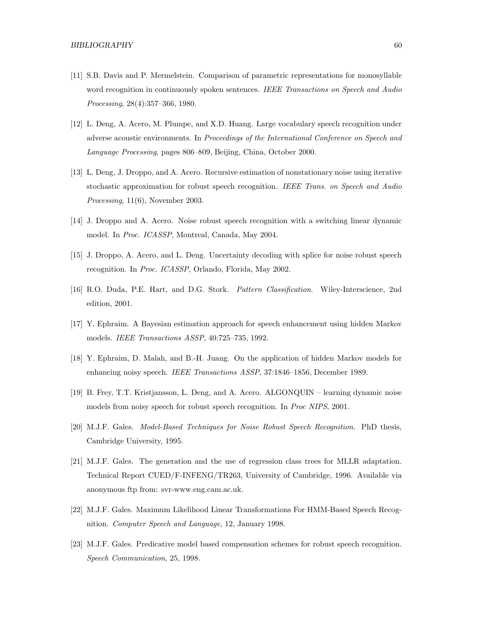- [11] S.B. Davis and P. Mermelstein. Comparison of parametric representations for monosyllable word recognition in continuously spoken sentences. IEEE Transactions on Speech and Audio Processing, 28(4):357–366, 1980.
- [12] L. Deng, A. Acero, M. Plumpe, and X.D. Huang. Large vocabulary speech recognition under adverse acoustic environments. In Proceedings of the International Conference on Speech and Language Processing, pages 806–809, Beijing, China, October 2000.
- [13] L. Deng, J. Droppo, and A. Acero. Recursive estimation of nonstationary noise using iterative stochastic approximation for robust speech recognition. IEEE Trans. on Speech and Audio Processing, 11(6), November 2003.
- [14] J. Droppo and A. Acero. Noise robust speech recognition with a switching linear dynamic model. In Proc. ICASSP, Montreal, Canada, May 2004.
- [15] J. Droppo, A. Acero, and L. Deng. Uncertainty decoding with splice for noise robust speech recognition. In Proc. ICASSP, Orlando, Florida, May 2002.
- [16] R.O. Duda, P.E. Hart, and D.G. Stork. Pattern Classification. Wiley-Interscience, 2nd edition, 2001.
- [17] Y. Ephraim. A Bayesian estimation approach for speech enhancement using hidden Markov models. IEEE Transactions ASSP, 40:725–735, 1992.
- [18] Y. Ephraim, D. Malah, and B.-H. Juang. On the application of hidden Markov models for enhancing noisy speech. IEEE Transactions ASSP, 37:1846–1856, December 1989.
- [19] B. Frey, T.T. Kristjansson, L. Deng, and A. Acero. ALGONQUIN learning dynamic noise models from noisy speech for robust speech recognition. In Proc NIPS, 2001.
- [20] M.J.F. Gales. Model-Based Techniques for Noise Robust Speech Recognition. PhD thesis, Cambridge University, 1995.
- [21] M.J.F. Gales. The generation and the use of regression class trees for MLLR adaptation. Technical Report CUED/F-INFENG/TR263, University of Cambridge, 1996. Available via anonymous ftp from: svr-www.eng.cam.ac.uk.
- [22] M.J.F. Gales. Maximum Likelihood Linear Transformations For HMM-Based Speech Recognition. Computer Speech and Language, 12, January 1998.
- [23] M.J.F. Gales. Predicative model based compensation schemes for robust speech recognition. Speech Communication, 25, 1998.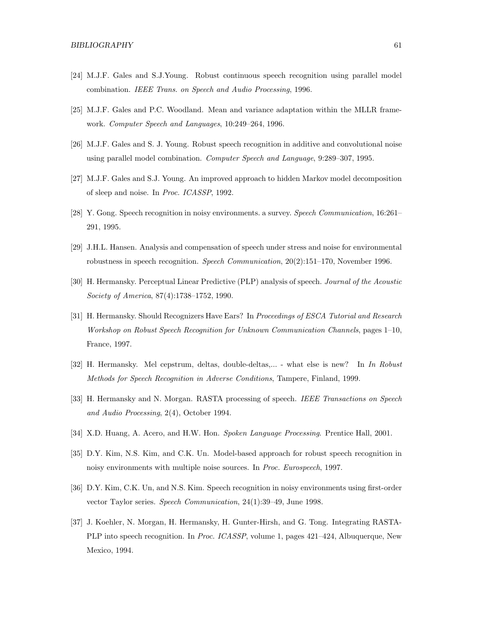- [24] M.J.F. Gales and S.J.Young. Robust continuous speech recognition using parallel model combination. IEEE Trans. on Speech and Audio Processing, 1996.
- [25] M.J.F. Gales and P.C. Woodland. Mean and variance adaptation within the MLLR framework. Computer Speech and Languages, 10:249–264, 1996.
- [26] M.J.F. Gales and S. J. Young. Robust speech recognition in additive and convolutional noise using parallel model combination. Computer Speech and Language, 9:289–307, 1995.
- [27] M.J.F. Gales and S.J. Young. An improved approach to hidden Markov model decomposition of sleep and noise. In Proc. ICASSP, 1992.
- [28] Y. Gong. Speech recognition in noisy environments. a survey. Speech Communication, 16:261– 291, 1995.
- [29] J.H.L. Hansen. Analysis and compensation of speech under stress and noise for environmental robustness in speech recognition. Speech Communication, 20(2):151–170, November 1996.
- [30] H. Hermansky. Perceptual Linear Predictive (PLP) analysis of speech. Journal of the Acoustic Society of America, 87(4):1738–1752, 1990.
- [31] H. Hermansky. Should Recognizers Have Ears? In Proceedings of ESCA Tutorial and Research Workshop on Robust Speech Recognition for Unknown Communication Channels, pages 1–10, France, 1997.
- [32] H. Hermansky. Mel cepstrum, deltas, double-deltas,... what else is new? In In Robust Methods for Speech Recognition in Adverse Conditions, Tampere, Finland, 1999.
- [33] H. Hermansky and N. Morgan. RASTA processing of speech. *IEEE Transactions on Speech* and Audio Processing, 2(4), October 1994.
- [34] X.D. Huang, A. Acero, and H.W. Hon. Spoken Language Processing. Prentice Hall, 2001.
- [35] D.Y. Kim, N.S. Kim, and C.K. Un. Model-based approach for robust speech recognition in noisy environments with multiple noise sources. In Proc. Eurospeech, 1997.
- [36] D.Y. Kim, C.K. Un, and N.S. Kim. Speech recognition in noisy environments using first-order vector Taylor series. Speech Communication, 24(1):39–49, June 1998.
- [37] J. Koehler, N. Morgan, H. Hermansky, H. Gunter-Hirsh, and G. Tong. Integrating RASTA-PLP into speech recognition. In *Proc. ICASSP*, volume 1, pages 421–424, Albuquerque, New Mexico, 1994.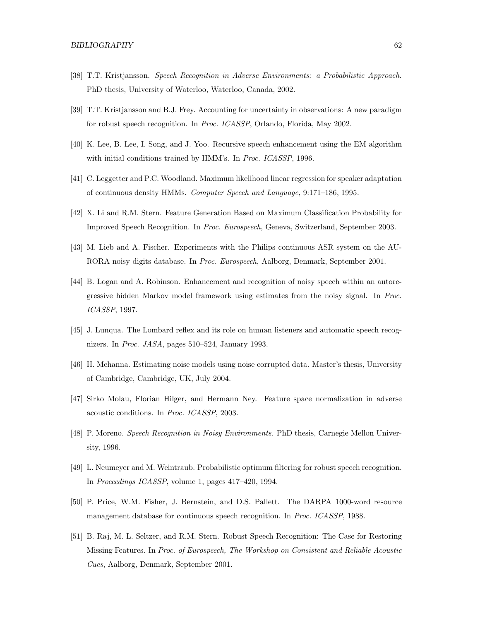- [38] T.T. Kristjansson. Speech Recognition in Adverse Environments: a Probabilistic Approach. PhD thesis, University of Waterloo, Waterloo, Canada, 2002.
- [39] T.T. Kristjansson and B.J. Frey. Accounting for uncertainty in observations: A new paradigm for robust speech recognition. In Proc. ICASSP, Orlando, Florida, May 2002.
- [40] K. Lee, B. Lee, I. Song, and J. Yoo. Recursive speech enhancement using the EM algorithm with initial conditions trained by HMM's. In Proc. ICASSP, 1996.
- [41] C. Leggetter and P.C. Woodland. Maximum likelihood linear regression for speaker adaptation of continuous density HMMs. Computer Speech and Language, 9:171–186, 1995.
- [42] X. Li and R.M. Stern. Feature Generation Based on Maximum Classification Probability for Improved Speech Recognition. In Proc. Eurospeech, Geneva, Switzerland, September 2003.
- [43] M. Lieb and A. Fischer. Experiments with the Philips continuous ASR system on the AU-RORA noisy digits database. In Proc. Eurospeech, Aalborg, Denmark, September 2001.
- [44] B. Logan and A. Robinson. Enhancement and recognition of noisy speech within an autoregressive hidden Markov model framework using estimates from the noisy signal. In Proc. ICASSP, 1997.
- [45] J. Lunqua. The Lombard reflex and its role on human listeners and automatic speech recognizers. In Proc. JASA, pages 510–524, January 1993.
- [46] H. Mehanna. Estimating noise models using noise corrupted data. Master's thesis, University of Cambridge, Cambridge, UK, July 2004.
- [47] Sirko Molau, Florian Hilger, and Hermann Ney. Feature space normalization in adverse acoustic conditions. In Proc. ICASSP, 2003.
- [48] P. Moreno. Speech Recognition in Noisy Environments. PhD thesis, Carnegie Mellon University, 1996.
- [49] L. Neumeyer and M. Weintraub. Probabilistic optimum filtering for robust speech recognition. In Proceedings ICASSP, volume 1, pages 417–420, 1994.
- [50] P. Price, W.M. Fisher, J. Bernstein, and D.S. Pallett. The DARPA 1000-word resource management database for continuous speech recognition. In Proc. ICASSP, 1988.
- [51] B. Raj, M. L. Seltzer, and R.M. Stern. Robust Speech Recognition: The Case for Restoring Missing Features. In Proc. of Eurospeech, The Workshop on Consistent and Reliable Acoustic Cues, Aalborg, Denmark, September 2001.